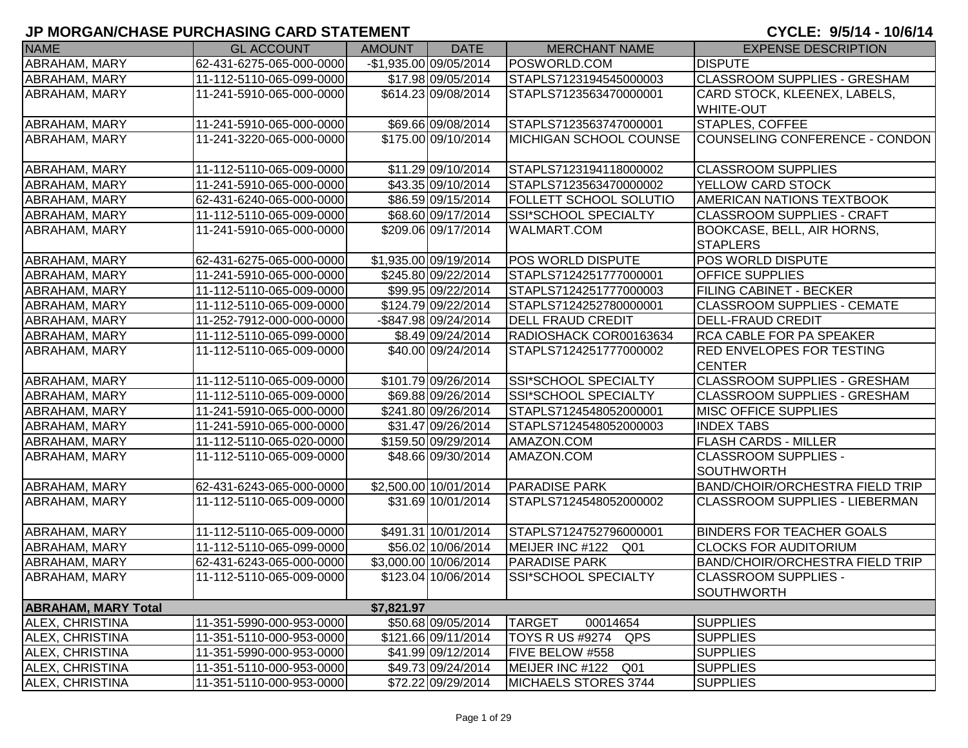| <b>NAME</b>                    | <b>GL ACCOUNT</b>        | <b>AMOUNT</b> | <b>DATE</b>                              | <b>MERCHANT NAME</b>                             | <b>EXPENSE DESCRIPTION</b>                           |
|--------------------------------|--------------------------|---------------|------------------------------------------|--------------------------------------------------|------------------------------------------------------|
| ABRAHAM, MARY                  | 62-431-6275-065-000-0000 |               | -\$1,935.00 09/05/2014                   | POSWORLD.COM                                     | <b>DISPUTE</b>                                       |
| ABRAHAM, MARY                  | 11-112-5110-065-099-0000 |               | \$17.98 09/05/2014                       | STAPLS7123194545000003                           | <b>CLASSROOM SUPPLIES - GRESHAM</b>                  |
| <b>ABRAHAM, MARY</b>           | 11-241-5910-065-000-0000 |               | \$614.23 09/08/2014                      | STAPLS7123563470000001                           | CARD STOCK, KLEENEX, LABELS,                         |
|                                |                          |               |                                          |                                                  | <b>WHITE-OUT</b>                                     |
| <b>ABRAHAM, MARY</b>           | 11-241-5910-065-000-0000 |               | \$69.66 09/08/2014                       | STAPLS7123563747000001                           | <b>STAPLES, COFFEE</b>                               |
| <b>ABRAHAM, MARY</b>           | 11-241-3220-065-000-0000 |               | \$175.00 09/10/2014                      | <b>MICHIGAN SCHOOL COUNSE</b>                    | COUNSELING CONFERENCE - CONDON                       |
|                                |                          |               |                                          |                                                  |                                                      |
| ABRAHAM, MARY                  | 11-112-5110-065-009-0000 |               | \$11.29 09/10/2014<br>\$43.35 09/10/2014 | STAPLS7123194118000002<br>STAPLS7123563470000002 | <b>CLASSROOM SUPPLIES</b>                            |
| ABRAHAM, MARY<br>ABRAHAM, MARY | 11-241-5910-065-000-0000 |               | \$86.59 09/15/2014                       |                                                  | YELLOW CARD STOCK                                    |
|                                | 62-431-6240-065-000-0000 |               |                                          | <b>FOLLETT SCHOOL SOLUTIO</b>                    | <b>AMERICAN NATIONS TEXTBOOK</b>                     |
| ABRAHAM, MARY                  | 11-112-5110-065-009-0000 |               | \$68.60 09/17/2014                       | SSI*SCHOOL SPECIALTY                             | <b>CLASSROOM SUPPLIES - CRAFT</b>                    |
| ABRAHAM, MARY                  | 11-241-5910-065-000-0000 |               | \$209.06 09/17/2014                      | <b>WALMART.COM</b>                               | <b>BOOKCASE, BELL, AIR HORNS,</b><br><b>STAPLERS</b> |
| ABRAHAM, MARY                  | 62-431-6275-065-000-0000 |               | \$1,935.00 09/19/2014                    | <b>POS WORLD DISPUTE</b>                         | POS WORLD DISPUTE                                    |
| ABRAHAM, MARY                  | 11-241-5910-065-000-0000 |               | \$245.80 09/22/2014                      | STAPLS7124251777000001                           | <b>OFFICE SUPPLIES</b>                               |
| <b>ABRAHAM, MARY</b>           | 11-112-5110-065-009-0000 |               | \$99.95 09/22/2014                       | STAPLS7124251777000003                           | <b>FILING CABINET - BECKER</b>                       |
| <b>ABRAHAM, MARY</b>           | 11-112-5110-065-009-0000 |               | \$124.79 09/22/2014                      | STAPLS7124252780000001                           | <b>CLASSROOM SUPPLIES - CEMATE</b>                   |
| <b>ABRAHAM, MARY</b>           | 11-252-7912-000-000-0000 |               | -\$847.98 09/24/2014                     | <b>DELL FRAUD CREDIT</b>                         | <b>DELL-FRAUD CREDIT</b>                             |
| <b>ABRAHAM, MARY</b>           | 11-112-5110-065-099-0000 |               | \$8.49 09/24/2014                        | RADIOSHACK COR00163634                           | <b>RCA CABLE FOR PA SPEAKER</b>                      |
| <b>ABRAHAM, MARY</b>           | 11-112-5110-065-009-0000 |               | \$40.00 09/24/2014                       | STAPLS7124251777000002                           | <b>RED ENVELOPES FOR TESTING</b>                     |
|                                |                          |               |                                          |                                                  | <b>CENTER</b>                                        |
| ABRAHAM, MARY                  | 11-112-5110-065-009-0000 |               | \$101.79 09/26/2014                      | <b>SSI*SCHOOL SPECIALTY</b>                      | <b>CLASSROOM SUPPLIES - GRESHAM</b>                  |
| ABRAHAM, MARY                  | 11-112-5110-065-009-0000 |               | \$69.88 09/26/2014                       | <b>SSI*SCHOOL SPECIALTY</b>                      | <b>CLASSROOM SUPPLIES - GRESHAM</b>                  |
| ABRAHAM, MARY                  | 11-241-5910-065-000-0000 |               | \$241.80 09/26/2014                      | STAPLS7124548052000001                           | <b>MISC OFFICE SUPPLIES</b>                          |
| ABRAHAM, MARY                  | 11-241-5910-065-000-0000 |               | \$31.47 09/26/2014                       | STAPLS7124548052000003                           | <b>INDEX TABS</b>                                    |
| <b>ABRAHAM, MARY</b>           | 11-112-5110-065-020-0000 |               | \$159.50 09/29/2014                      | AMAZON.COM                                       | <b>FLASH CARDS - MILLER</b>                          |
| <b>ABRAHAM, MARY</b>           | 11-112-5110-065-009-0000 |               | \$48.66 09/30/2014                       | AMAZON.COM                                       | <b>CLASSROOM SUPPLIES -</b>                          |
|                                |                          |               |                                          |                                                  | <b>SOUTHWORTH</b>                                    |
| <b>ABRAHAM, MARY</b>           | 62-431-6243-065-000-0000 |               | \$2,500.00 10/01/2014                    | <b>PARADISE PARK</b>                             | <b>BAND/CHOIR/ORCHESTRA FIELD TRIP</b>               |
| ABRAHAM, MARY                  | 11-112-5110-065-009-0000 |               | \$31.69 10/01/2014                       | STAPLS7124548052000002                           | <b>CLASSROOM SUPPLIES - LIEBERMAN</b>                |
| <b>ABRAHAM, MARY</b>           | 11-112-5110-065-009-0000 |               | \$491.31 10/01/2014                      | STAPLS7124752796000001                           | <b>BINDERS FOR TEACHER GOALS</b>                     |
| <b>ABRAHAM, MARY</b>           | 11-112-5110-065-099-0000 |               | \$56.02 10/06/2014                       | MEIJER INC #122 Q01                              | <b>CLOCKS FOR AUDITORIUM</b>                         |
| ABRAHAM, MARY                  | 62-431-6243-065-000-0000 |               | \$3,000.00 10/06/2014                    | <b>PARADISE PARK</b>                             | <b>BAND/CHOIR/ORCHESTRA FIELD TRIP</b>               |
| <b>ABRAHAM, MARY</b>           | 11-112-5110-065-009-0000 |               | \$123.04 10/06/2014                      | SSI*SCHOOL SPECIALTY                             | <b>CLASSROOM SUPPLIES -</b>                          |
|                                |                          |               |                                          |                                                  | SOUTHWORTH                                           |
| <b>ABRAHAM, MARY Total</b>     |                          | \$7,821.97    |                                          |                                                  |                                                      |
| ALEX, CHRISTINA                | 11-351-5990-000-953-0000 |               | \$50.68 09/05/2014                       | <b>TARGET</b><br>00014654                        | <b>SUPPLIES</b>                                      |
| ALEX, CHRISTINA                | 11-351-5110-000-953-0000 |               | \$121.66 09/11/2014                      | <b>TOYS R US #9274</b><br>QPS                    | <b>SUPPLIES</b>                                      |
| <b>ALEX, CHRISTINA</b>         | 11-351-5990-000-953-0000 |               | \$41.99 09/12/2014                       | FIVE BELOW #558                                  | <b>SUPPLIES</b>                                      |
| <b>ALEX, CHRISTINA</b>         | 11-351-5110-000-953-0000 |               | \$49.73 09/24/2014                       | MEIJER INC #122 Q01                              | <b>SUPPLIES</b>                                      |
| <b>ALEX, CHRISTINA</b>         | 11-351-5110-000-953-0000 |               | \$72.22 09/29/2014                       | MICHAELS STORES 3744                             | <b>SUPPLIES</b>                                      |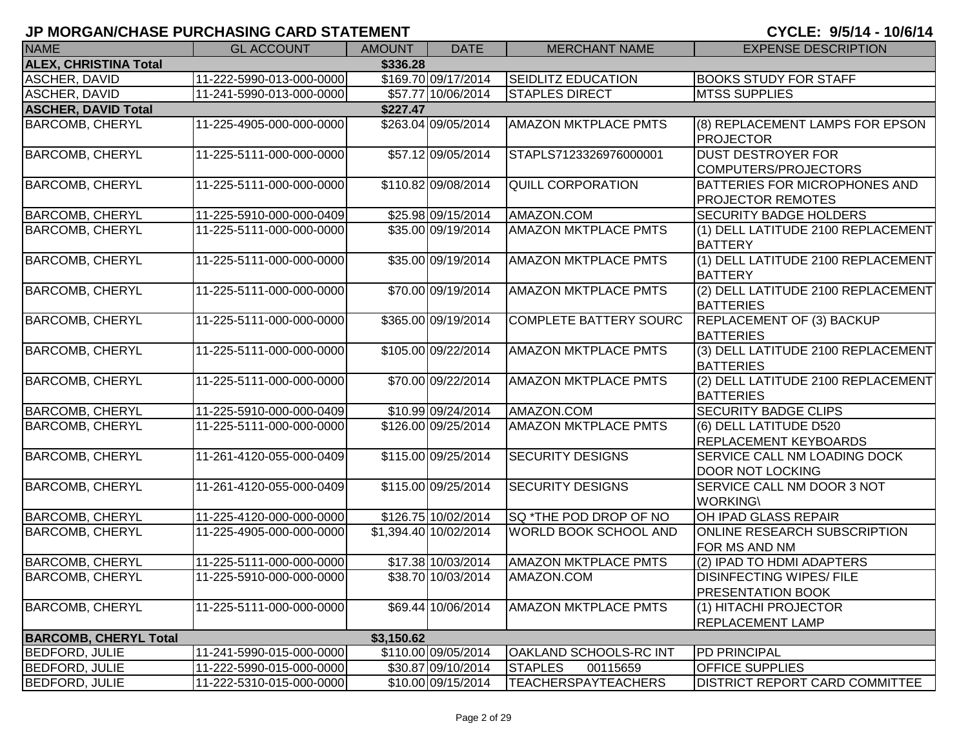|  |  | CYCLE: 9/5/14 - 10/6/14 |  |
|--|--|-------------------------|--|
|--|--|-------------------------|--|

| <b>NAME</b>                  | <b>GL ACCOUNT</b>        | <b>AMOUNT</b> | <b>DATE</b>           | <b>MERCHANT NAME</b>          | <b>EXPENSE DESCRIPTION</b>                                       |
|------------------------------|--------------------------|---------------|-----------------------|-------------------------------|------------------------------------------------------------------|
| <b>ALEX, CHRISTINA Total</b> |                          | \$336.28      |                       |                               |                                                                  |
| <b>ASCHER, DAVID</b>         | 11-222-5990-013-000-0000 |               | \$169.70 09/17/2014   | <b>SEIDLITZ EDUCATION</b>     | <b>BOOKS STUDY FOR STAFF</b>                                     |
| ASCHER, DAVID                | 11-241-5990-013-000-0000 |               | \$57.77 10/06/2014    | <b>STAPLES DIRECT</b>         | <b>MTSS SUPPLIES</b>                                             |
| <b>ASCHER, DAVID Total</b>   |                          | \$227.47      |                       |                               |                                                                  |
| <b>BARCOMB, CHERYL</b>       | 11-225-4905-000-000-0000 |               | \$263.04 09/05/2014   | <b>AMAZON MKTPLACE PMTS</b>   | (8) REPLACEMENT LAMPS FOR EPSON<br><b>PROJECTOR</b>              |
| <b>BARCOMB, CHERYL</b>       | 11-225-5111-000-000-0000 |               | \$57.12 09/05/2014    | STAPLS7123326976000001        | <b>DUST DESTROYER FOR</b><br>COMPUTERS/PROJECTORS                |
| <b>BARCOMB, CHERYL</b>       | 11-225-5111-000-000-0000 |               | \$110.82 09/08/2014   | QUILL CORPORATION             | <b>BATTERIES FOR MICROPHONES AND</b><br><b>PROJECTOR REMOTES</b> |
| <b>BARCOMB, CHERYL</b>       | 11-225-5910-000-000-0409 |               | \$25.98 09/15/2014    | AMAZON.COM                    | <b>SECURITY BADGE HOLDERS</b>                                    |
| <b>BARCOMB, CHERYL</b>       | 11-225-5111-000-000-0000 |               | \$35.00 09/19/2014    | <b>AMAZON MKTPLACE PMTS</b>   | (1) DELL LATITUDE 2100 REPLACEMENT<br><b>BATTERY</b>             |
| <b>BARCOMB, CHERYL</b>       | 11-225-5111-000-000-0000 |               | \$35.00 09/19/2014    | <b>AMAZON MKTPLACE PMTS</b>   | (1) DELL LATITUDE 2100 REPLACEMENT<br><b>BATTERY</b>             |
| <b>BARCOMB, CHERYL</b>       | 11-225-5111-000-000-0000 |               | \$70.00 09/19/2014    | <b>AMAZON MKTPLACE PMTS</b>   | (2) DELL LATITUDE 2100 REPLACEMENT<br><b>BATTERIES</b>           |
| <b>BARCOMB, CHERYL</b>       | 11-225-5111-000-000-0000 |               | \$365.00 09/19/2014   | <b>COMPLETE BATTERY SOURC</b> | <b>REPLACEMENT OF (3) BACKUP</b><br><b>BATTERIES</b>             |
| <b>BARCOMB, CHERYL</b>       | 11-225-5111-000-000-0000 |               | \$105.00 09/22/2014   | <b>AMAZON MKTPLACE PMTS</b>   | (3) DELL LATITUDE 2100 REPLACEMENT<br><b>BATTERIES</b>           |
| <b>BARCOMB, CHERYL</b>       | 11-225-5111-000-000-0000 |               | \$70.00 09/22/2014    | <b>AMAZON MKTPLACE PMTS</b>   | (2) DELL LATITUDE 2100 REPLACEMENT<br><b>BATTERIES</b>           |
| <b>BARCOMB, CHERYL</b>       | 11-225-5910-000-000-0409 |               | \$10.99 09/24/2014    | AMAZON.COM                    | <b>SECURITY BADGE CLIPS</b>                                      |
| <b>BARCOMB, CHERYL</b>       | 11-225-5111-000-000-0000 |               | \$126.00 09/25/2014   | <b>AMAZON MKTPLACE PMTS</b>   | (6) DELL LATITUDE D520<br><b>REPLACEMENT KEYBOARDS</b>           |
| <b>BARCOMB, CHERYL</b>       | 11-261-4120-055-000-0409 |               | \$115.00 09/25/2014   | <b>SECURITY DESIGNS</b>       | <b>SERVICE CALL NM LOADING DOCK</b><br><b>DOOR NOT LOCKING</b>   |
| <b>BARCOMB, CHERYL</b>       | 11-261-4120-055-000-0409 |               | \$115.00 09/25/2014   | <b>SECURITY DESIGNS</b>       | <b>SERVICE CALL NM DOOR 3 NOT</b><br><b>WORKING\</b>             |
| <b>BARCOMB, CHERYL</b>       | 11-225-4120-000-000-0000 |               | \$126.75 10/02/2014   | SQ *THE POD DROP OF NO        | OH IPAD GLASS REPAIR                                             |
| <b>BARCOMB, CHERYL</b>       | 11-225-4905-000-000-0000 |               | \$1,394.40 10/02/2014 | WORLD BOOK SCHOOL AND         | <b>ONLINE RESEARCH SUBSCRIPTION</b><br>FOR MS AND NM             |
| <b>BARCOMB, CHERYL</b>       | 11-225-5111-000-000-0000 |               | \$17.38 10/03/2014    | <b>AMAZON MKTPLACE PMTS</b>   | (2) IPAD TO HDMI ADAPTERS                                        |
| <b>BARCOMB, CHERYL</b>       | 11-225-5910-000-000-0000 |               | \$38.70 10/03/2014    | AMAZON.COM                    | <b>DISINFECTING WIPES/FILE</b><br><b>PRESENTATION BOOK</b>       |
| <b>BARCOMB, CHERYL</b>       | 11-225-5111-000-000-0000 |               | \$69.44 10/06/2014    | <b>AMAZON MKTPLACE PMTS</b>   | (1) HITACHI PROJECTOR<br><b>REPLACEMENT LAMP</b>                 |
| <b>BARCOMB, CHERYL Total</b> |                          | \$3,150.62    |                       |                               |                                                                  |
| <b>BEDFORD, JULIE</b>        | 11-241-5990-015-000-0000 |               | \$110.00 09/05/2014   | <b>OAKLAND SCHOOLS-RC INT</b> | <b>PD PRINCIPAL</b>                                              |
| <b>BEDFORD, JULIE</b>        | 11-222-5990-015-000-0000 |               | \$30.87 09/10/2014    | <b>STAPLES</b><br>00115659    | <b>OFFICE SUPPLIES</b>                                           |
| <b>BEDFORD, JULIE</b>        | 11-222-5310-015-000-0000 |               | \$10.00 09/15/2014    | <b>TEACHERSPAYTEACHERS</b>    | <b>DISTRICT REPORT CARD COMMITTEE</b>                            |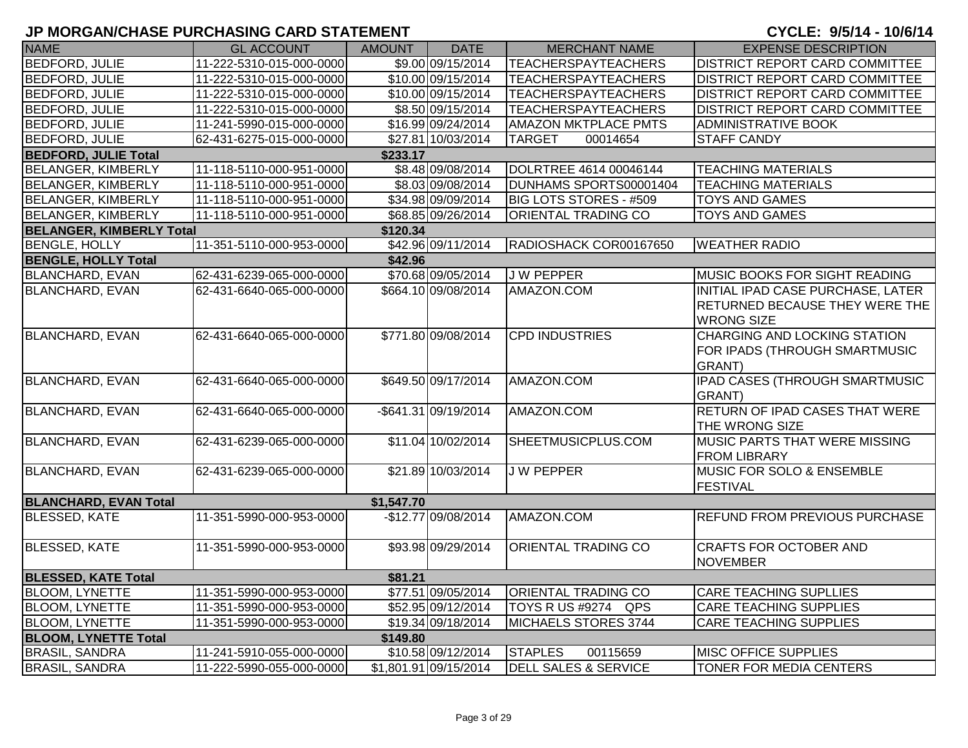| <b>NAME</b>                     | <b>GL ACCOUNT</b>        | AMOUNT     | <b>DATE</b>           | <b>MERCHANT NAME</b>            | <b>EXPENSE DESCRIPTION</b>            |
|---------------------------------|--------------------------|------------|-----------------------|---------------------------------|---------------------------------------|
| <b>BEDFORD, JULIE</b>           | 11-222-5310-015-000-0000 |            | \$9.00 09/15/2014     | <b>TEACHERSPAYTEACHERS</b>      | <b>DISTRICT REPORT CARD COMMITTEE</b> |
| <b>BEDFORD, JULIE</b>           | 11-222-5310-015-000-0000 |            | \$10.00 09/15/2014    | <b>TEACHERSPAYTEACHERS</b>      | DISTRICT REPORT CARD COMMITTEE        |
| <b>BEDFORD, JULIE</b>           | 11-222-5310-015-000-0000 |            | \$10.00 09/15/2014    | <b>TEACHERSPAYTEACHERS</b>      | <b>DISTRICT REPORT CARD COMMITTEE</b> |
| <b>BEDFORD, JULIE</b>           | 11-222-5310-015-000-0000 |            | \$8.50 09/15/2014     | <b>TEACHERSPAYTEACHERS</b>      | DISTRICT REPORT CARD COMMITTEE        |
| <b>BEDFORD, JULIE</b>           | 11-241-5990-015-000-0000 |            | \$16.99 09/24/2014    | <b>AMAZON MKTPLACE PMTS</b>     | <b>ADMINISTRATIVE BOOK</b>            |
| <b>BEDFORD, JULIE</b>           | 62-431-6275-015-000-0000 |            | \$27.81 10/03/2014    | <b>TARGET</b><br>00014654       | <b>STAFF CANDY</b>                    |
| <b>BEDFORD, JULIE Total</b>     |                          | \$233.17   |                       |                                 |                                       |
| <b>BELANGER, KIMBERLY</b>       | 11-118-5110-000-951-0000 |            | \$8.48 09/08/2014     | DOLRTREE 4614 00046144          | <b>TEACHING MATERIALS</b>             |
| <b>BELANGER, KIMBERLY</b>       | 11-118-5110-000-951-0000 |            | \$8.03 09/08/2014     | DUNHAMS SPORTS00001404          | <b>TEACHING MATERIALS</b>             |
| <b>BELANGER, KIMBERLY</b>       | 11-118-5110-000-951-0000 |            | \$34.98 09/09/2014    | BIG LOTS STORES - #509          | <b>TOYS AND GAMES</b>                 |
| <b>BELANGER, KIMBERLY</b>       | 11-118-5110-000-951-0000 |            | \$68.85 09/26/2014    | ORIENTAL TRADING CO             | <b>TOYS AND GAMES</b>                 |
| <b>BELANGER, KIMBERLY Total</b> |                          | \$120.34   |                       |                                 |                                       |
| <b>BENGLE, HOLLY</b>            | 11-351-5110-000-953-0000 |            | \$42.96 09/11/2014    | RADIOSHACK COR00167650          | <b>WEATHER RADIO</b>                  |
| <b>BENGLE, HOLLY Total</b>      |                          | \$42.96    |                       |                                 |                                       |
| <b>BLANCHARD, EVAN</b>          | 62-431-6239-065-000-0000 |            | \$70.68 09/05/2014    | <b>JW PEPPER</b>                | MUSIC BOOKS FOR SIGHT READING         |
| <b>BLANCHARD, EVAN</b>          | 62-431-6640-065-000-0000 |            | \$664.10 09/08/2014   | AMAZON.COM                      | INITIAL IPAD CASE PURCHASE, LATER     |
|                                 |                          |            |                       |                                 | <b>RETURNED BECAUSE THEY WERE THE</b> |
|                                 |                          |            |                       |                                 | <b>WRONG SIZE</b>                     |
| <b>BLANCHARD, EVAN</b>          | 62-431-6640-065-000-0000 |            | \$771.80 09/08/2014   | <b>CPD INDUSTRIES</b>           | CHARGING AND LOCKING STATION          |
|                                 |                          |            |                       |                                 | FOR IPADS (THROUGH SMARTMUSIC         |
|                                 |                          |            |                       |                                 | GRANT)                                |
| <b>BLANCHARD, EVAN</b>          | 62-431-6640-065-000-0000 |            | \$649.50 09/17/2014   | AMAZON.COM                      | <b>IPAD CASES (THROUGH SMARTMUSIC</b> |
|                                 |                          |            |                       |                                 | GRANT)                                |
| <b>BLANCHARD, EVAN</b>          | 62-431-6640-065-000-0000 |            | -\$641.31 09/19/2014  | AMAZON.COM                      | <b>RETURN OF IPAD CASES THAT WERE</b> |
|                                 |                          |            |                       |                                 | THE WRONG SIZE                        |
| <b>BLANCHARD, EVAN</b>          | 62-431-6239-065-000-0000 |            | \$11.04 10/02/2014    | SHEETMUSICPLUS.COM              | MUSIC PARTS THAT WERE MISSING         |
|                                 |                          |            |                       |                                 | <b>FROM LIBRARY</b>                   |
| <b>BLANCHARD, EVAN</b>          | 62-431-6239-065-000-0000 |            | \$21.89 10/03/2014    | <b>JW PEPPER</b>                | MUSIC FOR SOLO & ENSEMBLE             |
|                                 |                          |            |                       |                                 | FESTIVAL                              |
| <b>BLANCHARD, EVAN Total</b>    |                          | \$1,547.70 |                       |                                 |                                       |
| <b>BLESSED, KATE</b>            | 11-351-5990-000-953-0000 |            | -\$12.77 09/08/2014   | AMAZON.COM                      | <b>REFUND FROM PREVIOUS PURCHASE</b>  |
|                                 |                          |            |                       |                                 |                                       |
| <b>BLESSED, KATE</b>            | 11-351-5990-000-953-0000 |            | \$93.98 09/29/2014    | ORIENTAL TRADING CO             | <b>CRAFTS FOR OCTOBER AND</b>         |
|                                 |                          |            |                       |                                 | <b>NOVEMBER</b>                       |
| <b>BLESSED, KATE Total</b>      |                          | \$81.21    |                       |                                 |                                       |
| <b>BLOOM, LYNETTE</b>           | 11-351-5990-000-953-0000 |            | \$77.51 09/05/2014    | ORIENTAL TRADING CO             | <b>CARE TEACHING SUPLLIES</b>         |
| <b>BLOOM, LYNETTE</b>           | 11-351-5990-000-953-0000 |            | \$52.95 09/12/2014    | TOYS R US #9274 QPS             | <b>CARE TEACHING SUPPLIES</b>         |
| <b>BLOOM, LYNETTE</b>           | 11-351-5990-000-953-0000 |            | \$19.34 09/18/2014    | MICHAELS STORES 3744            | <b>CARE TEACHING SUPPLIES</b>         |
| <b>BLOOM, LYNETTE Total</b>     |                          | \$149.80   |                       |                                 |                                       |
| <b>BRASIL, SANDRA</b>           | 11-241-5910-055-000-0000 |            | \$10.58 09/12/2014    | <b>STAPLES</b><br>00115659      | <b>MISC OFFICE SUPPLIES</b>           |
| <b>BRASIL, SANDRA</b>           | 11-222-5990-055-000-0000 |            | \$1,801.91 09/15/2014 | <b>DELL SALES &amp; SERVICE</b> | TONER FOR MEDIA CENTERS               |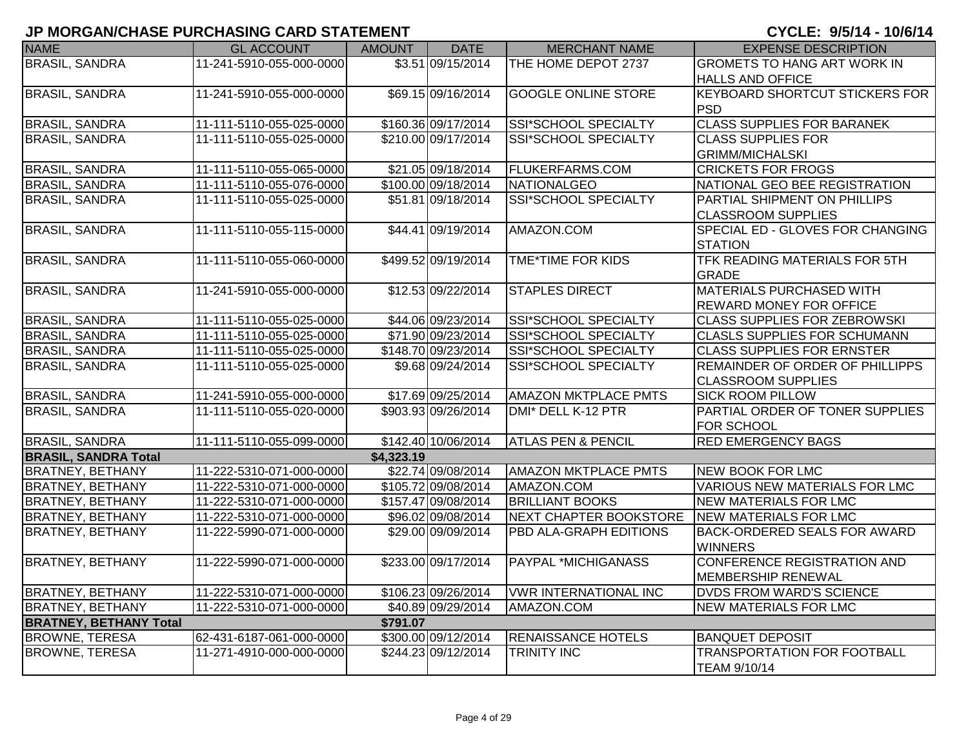| <b>NAME</b>                   | <b>GL ACCOUNT</b>        | <b>AMOUNT</b> | <b>DATE</b>         | <b>MERCHANT NAME</b>          | <b>EXPENSE DESCRIPTION</b>                                |
|-------------------------------|--------------------------|---------------|---------------------|-------------------------------|-----------------------------------------------------------|
| <b>BRASIL, SANDRA</b>         | 11-241-5910-055-000-0000 |               | \$3.51 09/15/2014   | THE HOME DEPOT 2737           | <b>GROMETS TO HANG ART WORK IN</b>                        |
|                               |                          |               |                     |                               | <b>HALLS AND OFFICE</b>                                   |
| <b>BRASIL, SANDRA</b>         | 11-241-5910-055-000-0000 |               | \$69.15 09/16/2014  | <b>GOOGLE ONLINE STORE</b>    | <b>KEYBOARD SHORTCUT STICKERS FOR</b>                     |
|                               |                          |               |                     |                               | PSD                                                       |
| <b>BRASIL, SANDRA</b>         | 11-111-5110-055-025-0000 |               | \$160.36 09/17/2014 | <b>SSI*SCHOOL SPECIALTY</b>   | <b>CLASS SUPPLIES FOR BARANEK</b>                         |
| <b>BRASIL, SANDRA</b>         | 11-111-5110-055-025-0000 |               | \$210.00 09/17/2014 | <b>SSI*SCHOOL SPECIALTY</b>   | <b>CLASS SUPPLIES FOR</b>                                 |
|                               |                          |               |                     |                               | <b>GRIMM/MICHALSKI</b>                                    |
| <b>BRASIL, SANDRA</b>         | 11-111-5110-055-065-0000 |               | \$21.05 09/18/2014  | FLUKERFARMS.COM               | <b>CRICKETS FOR FROGS</b>                                 |
| <b>BRASIL, SANDRA</b>         | 11-111-5110-055-076-0000 |               | \$100.00 09/18/2014 | NATIONALGEO                   | NATIONAL GEO BEE REGISTRATION                             |
| <b>BRASIL, SANDRA</b>         | 11-111-5110-055-025-0000 |               | \$51.81 09/18/2014  | <b>SSI*SCHOOL SPECIALTY</b>   | PARTIAL SHIPMENT ON PHILLIPS<br><b>CLASSROOM SUPPLIES</b> |
| <b>BRASIL, SANDRA</b>         | 11-111-5110-055-115-0000 |               | \$44.41 09/19/2014  | AMAZON.COM                    | <b>SPECIAL ED - GLOVES FOR CHANGING</b>                   |
|                               |                          |               |                     |                               | <b>STATION</b>                                            |
| <b>BRASIL, SANDRA</b>         | 11-111-5110-055-060-0000 |               | \$499.52 09/19/2014 | TME*TIME FOR KIDS             | TFK READING MATERIALS FOR 5TH                             |
|                               |                          |               |                     |                               | <b>GRADE</b>                                              |
| <b>BRASIL, SANDRA</b>         | 11-241-5910-055-000-0000 |               | \$12.53 09/22/2014  | <b>STAPLES DIRECT</b>         | <b>MATERIALS PURCHASED WITH</b>                           |
|                               |                          |               |                     |                               | <b>REWARD MONEY FOR OFFICE</b>                            |
| <b>BRASIL, SANDRA</b>         | 11-111-5110-055-025-0000 |               | \$44.06 09/23/2014  | <b>SSI*SCHOOL SPECIALTY</b>   | <b>CLASS SUPPLIES FOR ZEBROWSKI</b>                       |
| <b>BRASIL, SANDRA</b>         | 11-111-5110-055-025-0000 |               | \$71.90 09/23/2014  | SSI*SCHOOL SPECIALTY          | <b>CLASLS SUPPLIES FOR SCHUMANN</b>                       |
| <b>BRASIL, SANDRA</b>         | 11-111-5110-055-025-0000 |               | \$148.70 09/23/2014 | SSI*SCHOOL SPECIALTY          | <b>CLASS SUPPLIES FOR ERNSTER</b>                         |
| <b>BRASIL, SANDRA</b>         | 11-111-5110-055-025-0000 |               | \$9.68 09/24/2014   | SSI*SCHOOL SPECIALTY          | REMAINDER OF ORDER OF PHILLIPPS                           |
|                               |                          |               |                     |                               | <b>CLASSROOM SUPPLIES</b>                                 |
| <b>BRASIL, SANDRA</b>         | 11-241-5910-055-000-0000 |               | \$17.69 09/25/2014  | <b>AMAZON MKTPLACE PMTS</b>   | <b>SICK ROOM PILLOW</b>                                   |
| <b>BRASIL, SANDRA</b>         | 11-111-5110-055-020-0000 |               | \$903.93 09/26/2014 | DMI* DELL K-12 PTR            | PARTIAL ORDER OF TONER SUPPLIES                           |
|                               |                          |               |                     |                               | <b>FOR SCHOOL</b>                                         |
| <b>BRASIL, SANDRA</b>         | 11-111-5110-055-099-0000 |               | \$142.40 10/06/2014 | <b>ATLAS PEN &amp; PENCIL</b> | <b>RED EMERGENCY BAGS</b>                                 |
| <b>BRASIL, SANDRA Total</b>   |                          | \$4,323.19    |                     |                               |                                                           |
| <b>BRATNEY, BETHANY</b>       | 11-222-5310-071-000-0000 |               | \$22.74 09/08/2014  | <b>AMAZON MKTPLACE PMTS</b>   | NEW BOOK FOR LMC                                          |
| <b>BRATNEY, BETHANY</b>       | 11-222-5310-071-000-0000 |               | \$105.72 09/08/2014 | AMAZON.COM                    | <b>VARIOUS NEW MATERIALS FOR LMC</b>                      |
| <b>BRATNEY, BETHANY</b>       | 11-222-5310-071-000-0000 |               | \$157.47 09/08/2014 | <b>BRILLIANT BOOKS</b>        | NEW MATERIALS FOR LMC                                     |
| <b>BRATNEY, BETHANY</b>       | 11-222-5310-071-000-0000 |               | \$96.02 09/08/2014  | NEXT CHAPTER BOOKSTORE        | NEW MATERIALS FOR LMC                                     |
| <b>BRATNEY, BETHANY</b>       | 11-222-5990-071-000-0000 |               | \$29.00 09/09/2014  | PBD ALA-GRAPH EDITIONS        | <b>BACK-ORDERED SEALS FOR AWARD</b><br><b>WINNERS</b>     |
| <b>BRATNEY, BETHANY</b>       | 11-222-5990-071-000-0000 |               | \$233.00 09/17/2014 | <b>PAYPAL *MICHIGANASS</b>    | CONFERENCE REGISTRATION AND                               |
|                               |                          |               |                     |                               | MEMBERSHIP RENEWAL                                        |
| <b>BRATNEY, BETHANY</b>       | 11-222-5310-071-000-0000 |               | \$106.23 09/26/2014 | <b>VWR INTERNATIONAL INC</b>  | <b>DVDS FROM WARD'S SCIENCE</b>                           |
| <b>BRATNEY, BETHANY</b>       | 11-222-5310-071-000-0000 |               | \$40.89 09/29/2014  | AMAZON.COM                    | NEW MATERIALS FOR LMC                                     |
| <b>BRATNEY, BETHANY Total</b> |                          | \$791.07      |                     |                               |                                                           |
| <b>BROWNE, TERESA</b>         | 62-431-6187-061-000-0000 |               | \$300.00 09/12/2014 | <b>RENAISSANCE HOTELS</b>     | <b>BANQUET DEPOSIT</b>                                    |
| <b>BROWNE, TERESA</b>         | 11-271-4910-000-000-0000 |               | \$244.23 09/12/2014 | <b>TRINITY INC</b>            | <b>TRANSPORTATION FOR FOOTBALL</b><br>TEAM 9/10/14        |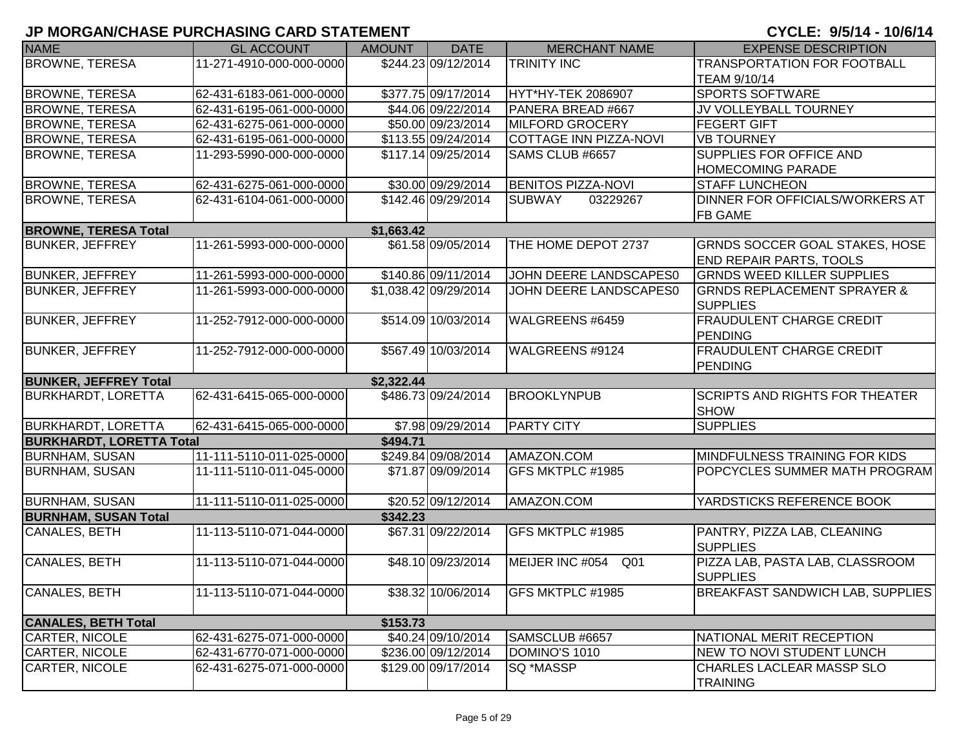| <b>NAME</b>                     | <b>GL ACCOUNT</b>        | <b>AMOUNT</b> | <b>DATE</b>           | <b>MERCHANT NAME</b>          | <b>EXPENSE DESCRIPTION</b>              |
|---------------------------------|--------------------------|---------------|-----------------------|-------------------------------|-----------------------------------------|
| <b>BROWNE, TERESA</b>           | 11-271-4910-000-000-0000 |               | \$244.23 09/12/2014   | <b>TRINITY INC</b>            | <b>TRANSPORTATION FOR FOOTBALL</b>      |
|                                 |                          |               |                       |                               | TEAM 9/10/14                            |
| <b>BROWNE, TERESA</b>           | 62-431-6183-061-000-0000 |               | \$377.75 09/17/2014   | HYT*HY-TEK 2086907            | <b>SPORTS SOFTWARE</b>                  |
| <b>BROWNE, TERESA</b>           | 62-431-6195-061-000-0000 |               | \$44.06 09/22/2014    | PANERA BREAD #667             | <b>JV VOLLEYBALL TOURNEY</b>            |
| <b>BROWNE, TERESA</b>           | 62-431-6275-061-000-0000 |               | \$50.00 09/23/2014    | <b>MILFORD GROCERY</b>        | <b>FEGERT GIFT</b>                      |
| <b>BROWNE, TERESA</b>           | 62-431-6195-061-000-0000 |               | \$113.55 09/24/2014   | <b>COTTAGE INN PIZZA-NOVI</b> | <b>VB TOURNEY</b>                       |
| <b>BROWNE, TERESA</b>           | 11-293-5990-000-000-0000 |               | \$117.14 09/25/2014   | SAMS CLUB #6657               | <b>SUPPLIES FOR OFFICE AND</b>          |
|                                 |                          |               |                       |                               | <b>HOMECOMING PARADE</b>                |
| <b>BROWNE, TERESA</b>           | 62-431-6275-061-000-0000 |               | \$30.00 09/29/2014    | <b>BENITOS PIZZA-NOVI</b>     | <b>STAFF LUNCHEON</b>                   |
| <b>BROWNE, TERESA</b>           | 62-431-6104-061-000-0000 |               | \$142.46 09/29/2014   | <b>SUBWAY</b><br>03229267     | <b>DINNER FOR OFFICIALS/WORKERS AT</b>  |
|                                 |                          |               |                       |                               | <b>FB GAME</b>                          |
| <b>BROWNE, TERESA Total</b>     |                          | \$1,663.42    |                       |                               |                                         |
| <b>BUNKER, JEFFREY</b>          | 11-261-5993-000-000-0000 |               | \$61.58 09/05/2014    | THE HOME DEPOT 2737           | <b>GRNDS SOCCER GOAL STAKES, HOSE</b>   |
|                                 |                          |               |                       |                               | <b>END REPAIR PARTS, TOOLS</b>          |
| <b>BUNKER, JEFFREY</b>          | 11-261-5993-000-000-0000 |               | \$140.86 09/11/2014   | JOHN DEERE LANDSCAPES0        | <b>GRNDS WEED KILLER SUPPLIES</b>       |
| <b>BUNKER, JEFFREY</b>          | 11-261-5993-000-000-0000 |               | \$1,038.42 09/29/2014 | JOHN DEERE LANDSCAPES0        | <b>GRNDS REPLACEMENT SPRAYER &amp;</b>  |
|                                 |                          |               |                       |                               | <b>SUPPLIES</b>                         |
| <b>BUNKER, JEFFREY</b>          | 11-252-7912-000-000-0000 |               | \$514.09 10/03/2014   | WALGREENS #6459               | <b>FRAUDULENT CHARGE CREDIT</b>         |
|                                 |                          |               |                       |                               | <b>PENDING</b>                          |
| <b>BUNKER, JEFFREY</b>          | 11-252-7912-000-000-0000 |               | \$567.49 10/03/2014   | WALGREENS #9124               | <b>FRAUDULENT CHARGE CREDIT</b>         |
|                                 |                          |               |                       |                               | <b>PENDING</b>                          |
| <b>BUNKER, JEFFREY Total</b>    |                          | \$2,322.44    |                       |                               |                                         |
| <b>BURKHARDT, LORETTA</b>       | 62-431-6415-065-000-0000 |               | \$486.73 09/24/2014   | <b>BROOKLYNPUB</b>            | <b>SCRIPTS AND RIGHTS FOR THEATER</b>   |
|                                 |                          |               |                       |                               | <b>SHOW</b>                             |
| <b>BURKHARDT, LORETTA</b>       | 62-431-6415-065-000-0000 |               | \$7.98 09/29/2014     | <b>PARTY CITY</b>             | <b>SUPPLIES</b>                         |
| <b>BURKHARDT, LORETTA Total</b> |                          | \$494.71      |                       |                               |                                         |
| <b>BURNHAM, SUSAN</b>           | 11-111-5110-011-025-0000 |               | \$249.84 09/08/2014   | AMAZON.COM                    | <b>MINDFULNESS TRAINING FOR KIDS</b>    |
| <b>BURNHAM, SUSAN</b>           | 11-111-5110-011-045-0000 |               | \$71.87 09/09/2014    | GFS MKTPLC #1985              | POPCYCLES SUMMER MATH PROGRAM           |
|                                 |                          |               |                       |                               |                                         |
| <b>BURNHAM, SUSAN</b>           | 11-111-5110-011-025-0000 |               | \$20.52 09/12/2014    | AMAZON.COM                    | YARDSTICKS REFERENCE BOOK               |
| <b>BURNHAM, SUSAN Total</b>     |                          | \$342.23      |                       |                               |                                         |
| <b>CANALES, BETH</b>            | 11-113-5110-071-044-0000 |               | \$67.31 09/22/2014    | GFS MKTPLC #1985              | PANTRY, PIZZA LAB, CLEANING             |
|                                 |                          |               |                       |                               | <b>SUPPLIES</b>                         |
| CANALES, BETH                   | 11-113-5110-071-044-0000 |               | \$48.10 09/23/2014    | MEIJER INC #054 Q01           | PIZZA LAB, PASTA LAB, CLASSROOM         |
|                                 |                          |               |                       |                               | <b>SUPPLIES</b>                         |
| <b>CANALES, BETH</b>            | 11-113-5110-071-044-0000 |               | \$38.32 10/06/2014    | GFS MKTPLC #1985              | <b>BREAKFAST SANDWICH LAB, SUPPLIES</b> |
|                                 |                          |               |                       |                               |                                         |
| <b>CANALES, BETH Total</b>      |                          | \$153.73      |                       |                               |                                         |
| <b>CARTER, NICOLE</b>           | 62-431-6275-071-000-0000 |               | \$40.24 09/10/2014    | SAMSCLUB #6657                | NATIONAL MERIT RECEPTION                |
| <b>CARTER, NICOLE</b>           | 62-431-6770-071-000-0000 |               | \$236.00 09/12/2014   | DOMINO'S 1010                 | NEW TO NOVI STUDENT LUNCH               |
| CARTER, NICOLE                  | 62-431-6275-071-000-0000 |               | \$129.00 09/17/2014   | SQ *MASSP                     | CHARLES LACLEAR MASSP SLO               |
|                                 |                          |               |                       |                               | <b>TRAINING</b>                         |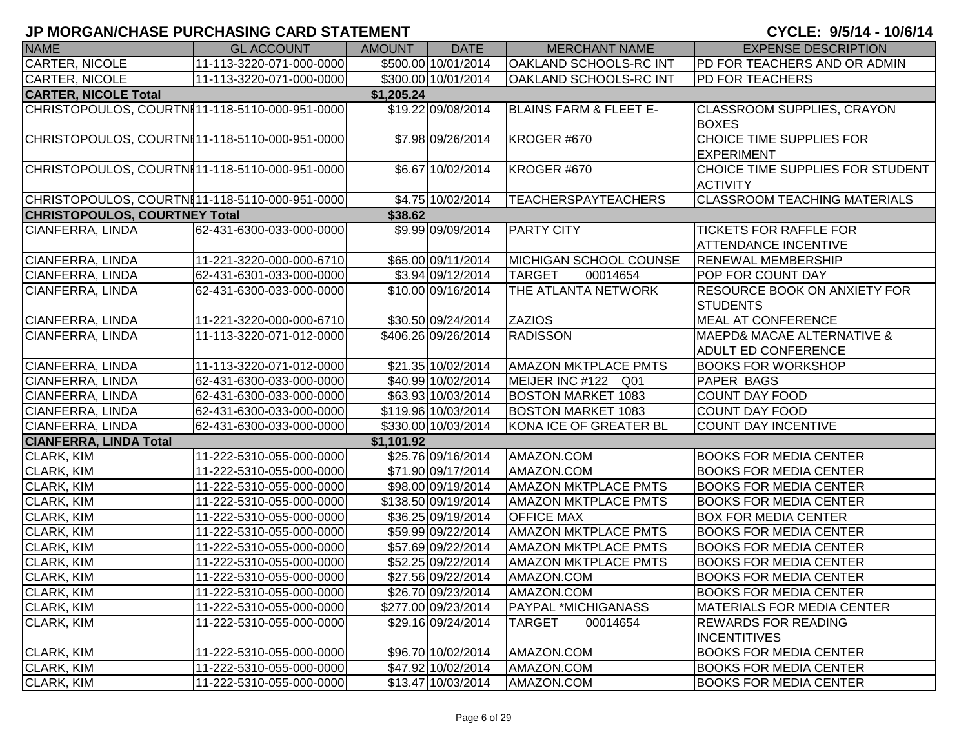| <b>NAME</b>                                    | <b>GL ACCOUNT</b>        | <b>AMOUNT</b> | <b>DATE</b>         | <b>MERCHANT NAME</b>              | <b>EXPENSE DESCRIPTION</b>                |
|------------------------------------------------|--------------------------|---------------|---------------------|-----------------------------------|-------------------------------------------|
| <b>CARTER, NICOLE</b>                          | 11-113-3220-071-000-0000 |               | \$500.00 10/01/2014 | <b>OAKLAND SCHOOLS-RC INT</b>     | PD FOR TEACHERS AND OR ADMIN              |
| <b>CARTER, NICOLE</b>                          | 11-113-3220-071-000-0000 |               | \$300.00 10/01/2014 | <b>OAKLAND SCHOOLS-RC INT</b>     | <b>PD FOR TEACHERS</b>                    |
| <b>CARTER, NICOLE Total</b>                    |                          | \$1,205.24    |                     |                                   |                                           |
| CHRISTOPOULOS, COURTN111-118-5110-000-951-0000 |                          |               | \$19.22 09/08/2014  | <b>BLAINS FARM &amp; FLEET E-</b> | <b>CLASSROOM SUPPLIES, CRAYON</b>         |
|                                                |                          |               |                     |                                   | <b>BOXES</b>                              |
| CHRISTOPOULOS, COURTNI11-118-5110-000-951-0000 |                          |               | \$7.98 09/26/2014   | KROGER #670                       | CHOICE TIME SUPPLIES FOR                  |
|                                                |                          |               |                     |                                   | <b>EXPERIMENT</b>                         |
| CHRISTOPOULOS, COURTNI11-118-5110-000-951-0000 |                          |               | \$6.67 10/02/2014   | KROGER #670                       | CHOICE TIME SUPPLIES FOR STUDENT          |
|                                                |                          |               |                     |                                   | <b>ACTIVITY</b>                           |
| CHRISTOPOULOS, COURTNI11-118-5110-000-951-0000 |                          |               | \$4.75 10/02/2014   | <b>TEACHERSPAYTEACHERS</b>        | <b>CLASSROOM TEACHING MATERIALS</b>       |
| <b>CHRISTOPOULOS, COURTNEY Total</b>           |                          | \$38.62       |                     |                                   |                                           |
| CIANFERRA, LINDA                               | 62-431-6300-033-000-0000 |               | \$9.99 09/09/2014   | <b>PARTY CITY</b>                 | <b>TICKETS FOR RAFFLE FOR</b>             |
|                                                |                          |               |                     |                                   | <b>ATTENDANCE INCENTIVE</b>               |
| <b>CIANFERRA, LINDA</b>                        | 11-221-3220-000-000-6710 |               | \$65.00 09/11/2014  | MICHIGAN SCHOOL COUNSE            | <b>RENEWAL MEMBERSHIP</b>                 |
| CIANFERRA, LINDA                               | 62-431-6301-033-000-0000 |               | \$3.94 09/12/2014   | <b>TARGET</b><br>00014654         | <b>POP FOR COUNT DAY</b>                  |
| <b>CIANFERRA, LINDA</b>                        | 62-431-6300-033-000-0000 |               | \$10.00 09/16/2014  | THE ATLANTA NETWORK               | <b>RESOURCE BOOK ON ANXIETY FOR</b>       |
|                                                |                          |               |                     |                                   | <b>STUDENTS</b>                           |
| CIANFERRA, LINDA                               | 11-221-3220-000-000-6710 |               | \$30.50 09/24/2014  | <b>ZAZIOS</b>                     | <b>MEAL AT CONFERENCE</b>                 |
| <b>CIANFERRA, LINDA</b>                        | 11-113-3220-071-012-0000 |               | \$406.26 09/26/2014 | <b>RADISSON</b>                   | <b>MAEPD&amp; MACAE ALTERNATIVE &amp;</b> |
|                                                |                          |               |                     |                                   | <b>ADULT ED CONFERENCE</b>                |
| CIANFERRA, LINDA                               | 11-113-3220-071-012-0000 |               | \$21.35 10/02/2014  | <b>AMAZON MKTPLACE PMTS</b>       | <b>BOOKS FOR WORKSHOP</b>                 |
| <b>CIANFERRA, LINDA</b>                        | 62-431-6300-033-000-0000 |               | \$40.99 10/02/2014  | MEIJER INC #122 Q01               | <b>PAPER BAGS</b>                         |
| <b>CIANFERRA, LINDA</b>                        | 62-431-6300-033-000-0000 |               | \$63.93 10/03/2014  | <b>BOSTON MARKET 1083</b>         | <b>COUNT DAY FOOD</b>                     |
| CIANFERRA, LINDA                               | 62-431-6300-033-000-0000 |               | \$119.96 10/03/2014 | <b>BOSTON MARKET 1083</b>         | <b>COUNT DAY FOOD</b>                     |
| <b>CIANFERRA, LINDA</b>                        | 62-431-6300-033-000-0000 |               | \$330.00 10/03/2014 | KONA ICE OF GREATER BL            | <b>COUNT DAY INCENTIVE</b>                |
| <b>CIANFERRA, LINDA Total</b>                  |                          | \$1,101.92    |                     |                                   |                                           |
| CLARK, KIM                                     | 11-222-5310-055-000-0000 |               | \$25.76 09/16/2014  | AMAZON.COM                        | <b>BOOKS FOR MEDIA CENTER</b>             |
| CLARK, KIM                                     | 11-222-5310-055-000-0000 |               | \$71.90 09/17/2014  | AMAZON.COM                        | <b>BOOKS FOR MEDIA CENTER</b>             |
| <b>CLARK, KIM</b>                              | 11-222-5310-055-000-0000 |               | \$98.00 09/19/2014  | <b>AMAZON MKTPLACE PMTS</b>       | <b>BOOKS FOR MEDIA CENTER</b>             |
| <b>CLARK, KIM</b>                              | 11-222-5310-055-000-0000 |               | \$138.50 09/19/2014 | <b>AMAZON MKTPLACE PMTS</b>       | <b>BOOKS FOR MEDIA CENTER</b>             |
| <b>CLARK, KIM</b>                              | 11-222-5310-055-000-0000 |               | \$36.25 09/19/2014  | <b>OFFICE MAX</b>                 | <b>BOX FOR MEDIA CENTER</b>               |
| <b>CLARK, KIM</b>                              | 11-222-5310-055-000-0000 |               | \$59.99 09/22/2014  | <b>AMAZON MKTPLACE PMTS</b>       | <b>BOOKS FOR MEDIA CENTER</b>             |
| CLARK, KIM                                     | 11-222-5310-055-000-0000 |               | \$57.69 09/22/2014  | <b>AMAZON MKTPLACE PMTS</b>       | <b>BOOKS FOR MEDIA CENTER</b>             |
| CLARK, KIM                                     | 11-222-5310-055-000-0000 |               | \$52.25 09/22/2014  | <b>AMAZON MKTPLACE PMTS</b>       | <b>BOOKS FOR MEDIA CENTER</b>             |
| CLARK, KIM                                     | 11-222-5310-055-000-0000 |               | \$27.56 09/22/2014  | AMAZON.COM                        | <b>BOOKS FOR MEDIA CENTER</b>             |
| <b>CLARK, KIM</b>                              | 11-222-5310-055-000-0000 |               | \$26.70 09/23/2014  | AMAZON.COM                        | <b>BOOKS FOR MEDIA CENTER</b>             |
| <b>CLARK, KIM</b>                              | 11-222-5310-055-000-0000 |               | \$277.00 09/23/2014 | PAYPAL *MICHIGANASS               | <b>MATERIALS FOR MEDIA CENTER</b>         |
| CLARK, KIM                                     | 11-222-5310-055-000-0000 |               | \$29.16 09/24/2014  | <b>TARGET</b><br>00014654         | <b>REWARDS FOR READING</b>                |
|                                                |                          |               |                     |                                   | <b>INCENTITIVES</b>                       |
| CLARK, KIM                                     | 11-222-5310-055-000-0000 |               | \$96.70 10/02/2014  | AMAZON.COM                        | <b>BOOKS FOR MEDIA CENTER</b>             |
| CLARK, KIM                                     | 11-222-5310-055-000-0000 |               | \$47.92 10/02/2014  | AMAZON.COM                        | <b>BOOKS FOR MEDIA CENTER</b>             |
| <b>CLARK, KIM</b>                              | 11-222-5310-055-000-0000 |               | \$13.47 10/03/2014  | AMAZON.COM                        | <b>BOOKS FOR MEDIA CENTER</b>             |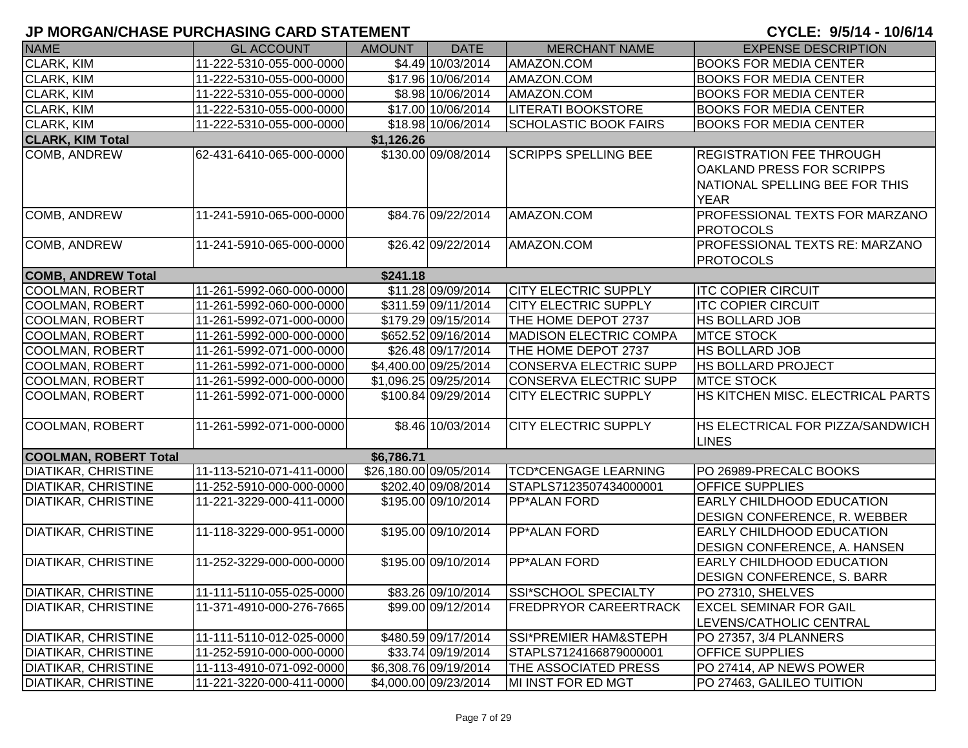| <b>NAME</b>                  | <b>GL ACCOUNT</b>        | <b>AMOUNT</b> | <b>DATE</b>            | <b>MERCHANT NAME</b>             | <b>EXPENSE DESCRIPTION</b>                                                                                    |
|------------------------------|--------------------------|---------------|------------------------|----------------------------------|---------------------------------------------------------------------------------------------------------------|
| <b>CLARK, KIM</b>            | 11-222-5310-055-000-0000 |               | \$4.49 10/03/2014      | AMAZON.COM                       | <b>BOOKS FOR MEDIA CENTER</b>                                                                                 |
| CLARK, KIM                   | 11-222-5310-055-000-0000 |               | \$17.96 10/06/2014     | AMAZON.COM                       | <b>BOOKS FOR MEDIA CENTER</b>                                                                                 |
| CLARK, KIM                   | 11-222-5310-055-000-0000 |               | \$8.98 10/06/2014      | AMAZON.COM                       | <b>BOOKS FOR MEDIA CENTER</b>                                                                                 |
| CLARK, KIM                   | 11-222-5310-055-000-0000 |               | \$17.00 10/06/2014     | <b>LITERATI BOOKSTORE</b>        | <b>BOOKS FOR MEDIA CENTER</b>                                                                                 |
| CLARK, KIM                   | 11-222-5310-055-000-0000 |               | \$18.98 10/06/2014     | <b>SCHOLASTIC BOOK FAIRS</b>     | <b>BOOKS FOR MEDIA CENTER</b>                                                                                 |
| <b>CLARK, KIM Total</b>      |                          | \$1,126.26    |                        |                                  |                                                                                                               |
| <b>COMB, ANDREW</b>          | 62-431-6410-065-000-0000 |               | \$130.00 09/08/2014    | <b>SCRIPPS SPELLING BEE</b>      | <b>REGISTRATION FEE THROUGH</b><br>OAKLAND PRESS FOR SCRIPPS<br>NATIONAL SPELLING BEE FOR THIS<br><b>YEAR</b> |
| <b>COMB, ANDREW</b>          | 11-241-5910-065-000-0000 |               | \$84.76 09/22/2014     | AMAZON.COM                       | PROFESSIONAL TEXTS FOR MARZANO<br><b>PROTOCOLS</b>                                                            |
| COMB, ANDREW                 | 11-241-5910-065-000-0000 |               | \$26.42 09/22/2014     | AMAZON.COM                       | PROFESSIONAL TEXTS RE: MARZANO<br><b>PROTOCOLS</b>                                                            |
| <b>COMB, ANDREW Total</b>    |                          | \$241.18      |                        |                                  |                                                                                                               |
| <b>COOLMAN, ROBERT</b>       | 11-261-5992-060-000-0000 |               | \$11.28 09/09/2014     | <b>CITY ELECTRIC SUPPLY</b>      | <b>ITC COPIER CIRCUIT</b>                                                                                     |
| <b>COOLMAN, ROBERT</b>       | 11-261-5992-060-000-0000 |               | \$311.59 09/11/2014    | <b>CITY ELECTRIC SUPPLY</b>      | <b>ITC COPIER CIRCUIT</b>                                                                                     |
| <b>COOLMAN, ROBERT</b>       | 11-261-5992-071-000-0000 |               | \$179.29 09/15/2014    | THE HOME DEPOT 2737              | <b>HS BOLLARD JOB</b>                                                                                         |
| <b>COOLMAN, ROBERT</b>       | 11-261-5992-000-000-0000 |               | \$652.52 09/16/2014    | <b>MADISON ELECTRIC COMPA</b>    | <b>MTCE STOCK</b>                                                                                             |
| <b>COOLMAN, ROBERT</b>       | 11-261-5992-071-000-0000 |               | \$26.48 09/17/2014     | THE HOME DEPOT 2737              | <b>HS BOLLARD JOB</b>                                                                                         |
| <b>COOLMAN, ROBERT</b>       | 11-261-5992-071-000-0000 |               | \$4,400.00 09/25/2014  | CONSERVA ELECTRIC SUPP           | <b>HS BOLLARD PROJECT</b>                                                                                     |
| <b>COOLMAN, ROBERT</b>       | 11-261-5992-000-000-0000 |               | \$1,096.25 09/25/2014  | CONSERVA ELECTRIC SUPP           | <b>MTCE STOCK</b>                                                                                             |
| <b>COOLMAN, ROBERT</b>       | 11-261-5992-071-000-0000 |               | \$100.84 09/29/2014    | <b>CITY ELECTRIC SUPPLY</b>      | HS KITCHEN MISC. ELECTRICAL PARTS                                                                             |
| <b>COOLMAN, ROBERT</b>       | 11-261-5992-071-000-0000 |               | \$8.46 10/03/2014      | <b>CITY ELECTRIC SUPPLY</b>      | HS ELECTRICAL FOR PIZZA/SANDWICH<br><b>LINES</b>                                                              |
| <b>COOLMAN, ROBERT Total</b> |                          | \$6,786.71    |                        |                                  |                                                                                                               |
| <b>DIATIKAR, CHRISTINE</b>   | 11-113-5210-071-411-0000 |               | \$26,180.00 09/05/2014 | <b>TCD*CENGAGE LEARNING</b>      | PO 26989-PRECALC BOOKS                                                                                        |
| <b>DIATIKAR, CHRISTINE</b>   | 11-252-5910-000-000-0000 |               | \$202.40 09/08/2014    | STAPLS7123507434000001           | <b>OFFICE SUPPLIES</b>                                                                                        |
| <b>DIATIKAR, CHRISTINE</b>   | 11-221-3229-000-411-0000 |               | \$195.00 09/10/2014    | <b>PP*ALAN FORD</b>              | EARLY CHILDHOOD EDUCATION<br><b>DESIGN CONFERENCE, R. WEBBER</b>                                              |
| <b>DIATIKAR, CHRISTINE</b>   | 11-118-3229-000-951-0000 |               | \$195.00 09/10/2014    | <b>PP*ALAN FORD</b>              | <b>EARLY CHILDHOOD EDUCATION</b><br><b>DESIGN CONFERENCE, A. HANSEN</b>                                       |
| <b>DIATIKAR, CHRISTINE</b>   | 11-252-3229-000-000-0000 |               | \$195.00 09/10/2014    | <b>PP*ALAN FORD</b>              | <b>EARLY CHILDHOOD EDUCATION</b><br><b>DESIGN CONFERENCE, S. BARR</b>                                         |
| <b>DIATIKAR, CHRISTINE</b>   | 11-111-5110-055-025-0000 |               | \$83.26 09/10/2014     | <b>SSI*SCHOOL SPECIALTY</b>      | PO 27310, SHELVES                                                                                             |
| <b>DIATIKAR, CHRISTINE</b>   | 11-371-4910-000-276-7665 |               | \$99.00 09/12/2014     | <b>FREDPRYOR CAREERTRACK</b>     | <b>EXCEL SEMINAR FOR GAIL</b><br>LEVENS/CATHOLIC CENTRAL                                                      |
| <b>DIATIKAR, CHRISTINE</b>   | 11-111-5110-012-025-0000 |               | \$480.59 09/17/2014    | <b>SSI*PREMIER HAM&amp;STEPH</b> | PO 27357, 3/4 PLANNERS                                                                                        |
| <b>DIATIKAR, CHRISTINE</b>   | 11-252-5910-000-000-0000 |               | \$33.74 09/19/2014     | STAPLS7124166879000001           | OFFICE SUPPLIES                                                                                               |
| <b>DIATIKAR, CHRISTINE</b>   | 11-113-4910-071-092-0000 |               | \$6,308.76 09/19/2014  | <b>THE ASSOCIATED PRESS</b>      | PO 27414, AP NEWS POWER                                                                                       |
| <b>DIATIKAR, CHRISTINE</b>   | 11-221-3220-000-411-0000 |               | \$4,000.00 09/23/2014  | MI INST FOR ED MGT               | PO 27463, GALILEO TUITION                                                                                     |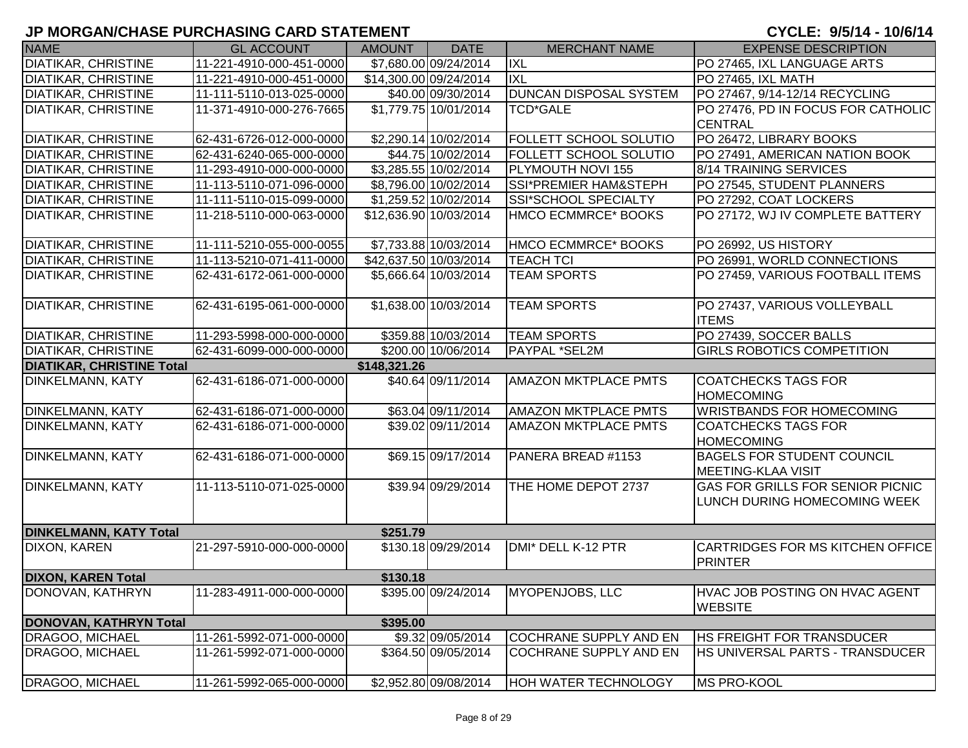| <b>NAME</b>                      | <b>GL ACCOUNT</b>        | <b>AMOUNT</b> | <b>DATE</b>            | <b>MERCHANT NAME</b>          | <b>EXPENSE DESCRIPTION</b>              |
|----------------------------------|--------------------------|---------------|------------------------|-------------------------------|-----------------------------------------|
| <b>DIATIKAR, CHRISTINE</b>       | 11-221-4910-000-451-0000 |               | \$7,680.00 09/24/2014  | <b>IXL</b>                    | PO 27465, IXL LANGUAGE ARTS             |
| <b>DIATIKAR, CHRISTINE</b>       | 11-221-4910-000-451-0000 |               | \$14,300.00 09/24/2014 | <b>IXL</b>                    | PO 27465, IXL MATH                      |
| <b>DIATIKAR, CHRISTINE</b>       | 11-111-5110-013-025-0000 |               | \$40.00 09/30/2014     | DUNCAN DISPOSAL SYSTEM        | PO 27467, 9/14-12/14 RECYCLING          |
| <b>DIATIKAR, CHRISTINE</b>       | 11-371-4910-000-276-7665 |               | \$1,779.75 10/01/2014  | <b>TCD*GALE</b>               | PO 27476, PD IN FOCUS FOR CATHOLIC      |
|                                  |                          |               |                        |                               | <b>CENTRAL</b>                          |
| <b>DIATIKAR, CHRISTINE</b>       | 62-431-6726-012-000-0000 |               | \$2,290.14 10/02/2014  | FOLLETT SCHOOL SOLUTIO        | PO 26472, LIBRARY BOOKS                 |
| <b>DIATIKAR, CHRISTINE</b>       | 62-431-6240-065-000-0000 |               | \$44.75 10/02/2014     | <b>FOLLETT SCHOOL SOLUTIO</b> | PO 27491, AMERICAN NATION BOOK          |
| <b>DIATIKAR, CHRISTINE</b>       | 11-293-4910-000-000-0000 |               | \$3,285.55 10/02/2014  | PLYMOUTH NOVI 155             | 8/14 TRAINING SERVICES                  |
| <b>DIATIKAR, CHRISTINE</b>       | 11-113-5110-071-096-0000 |               | \$8,796.00 10/02/2014  | SSI*PREMIER HAM&STEPH         | PO 27545, STUDENT PLANNERS              |
| <b>DIATIKAR, CHRISTINE</b>       | 11-111-5110-015-099-0000 |               | \$1,259.52 10/02/2014  | SSI*SCHOOL SPECIALTY          | PO 27292, COAT LOCKERS                  |
| <b>DIATIKAR, CHRISTINE</b>       | 11-218-5110-000-063-0000 |               | \$12,636.90 10/03/2014 | HMCO ECMMRCE* BOOKS           | PO 27172, WJ IV COMPLETE BATTERY        |
| <b>DIATIKAR, CHRISTINE</b>       | 11-111-5210-055-000-0055 |               | \$7,733.88 10/03/2014  | HMCO ECMMRCE* BOOKS           | PO 26992, US HISTORY                    |
| <b>DIATIKAR, CHRISTINE</b>       | 11-113-5210-071-411-0000 |               | \$42,637.50 10/03/2014 | <b>TEACH TCI</b>              | PO 26991, WORLD CONNECTIONS             |
| <b>DIATIKAR, CHRISTINE</b>       | 62-431-6172-061-000-0000 |               | \$5,666.64 10/03/2014  | <b>TEAM SPORTS</b>            | PO 27459, VARIOUS FOOTBALL ITEMS        |
|                                  |                          |               |                        |                               |                                         |
| <b>DIATIKAR, CHRISTINE</b>       | 62-431-6195-061-000-0000 |               | \$1,638.00 10/03/2014  | <b>TEAM SPORTS</b>            | PO 27437, VARIOUS VOLLEYBALL            |
|                                  |                          |               |                        |                               | <b>ITEMS</b>                            |
| <b>DIATIKAR, CHRISTINE</b>       | 11-293-5998-000-000-0000 |               | \$359.88 10/03/2014    | <b>TEAM SPORTS</b>            | PO 27439, SOCCER BALLS                  |
| <b>DIATIKAR, CHRISTINE</b>       | 62-431-6099-000-000-0000 |               | \$200.00 10/06/2014    | PAYPAL *SEL2M                 | <b>GIRLS ROBOTICS COMPETITION</b>       |
| <b>DIATIKAR, CHRISTINE Total</b> |                          | \$148,321.26  |                        |                               |                                         |
| <b>DINKELMANN, KATY</b>          | 62-431-6186-071-000-0000 |               | \$40.64 09/11/2014     | <b>AMAZON MKTPLACE PMTS</b>   | <b>COATCHECKS TAGS FOR</b>              |
|                                  |                          |               |                        |                               | <b>HOMECOMING</b>                       |
| <b>DINKELMANN, KATY</b>          | 62-431-6186-071-000-0000 |               | \$63.04 09/11/2014     | <b>AMAZON MKTPLACE PMTS</b>   | <b>WRISTBANDS FOR HOMECOMING</b>        |
| <b>DINKELMANN, KATY</b>          | 62-431-6186-071-000-0000 |               | \$39.02 09/11/2014     | <b>AMAZON MKTPLACE PMTS</b>   | <b>COATCHECKS TAGS FOR</b>              |
|                                  |                          |               |                        |                               | <b>HOMECOMING</b>                       |
| <b>DINKELMANN, KATY</b>          | 62-431-6186-071-000-0000 |               | \$69.15 09/17/2014     | PANERA BREAD #1153            | <b>BAGELS FOR STUDENT COUNCIL</b>       |
|                                  |                          |               |                        |                               | <b>MEETING-KLAA VISIT</b>               |
| <b>DINKELMANN, KATY</b>          | 11-113-5110-071-025-0000 |               | \$39.94 09/29/2014     | THE HOME DEPOT 2737           | <b>GAS FOR GRILLS FOR SENIOR PICNIC</b> |
|                                  |                          |               |                        |                               | LUNCH DURING HOMECOMING WEEK            |
|                                  |                          |               |                        |                               |                                         |
| <b>DINKELMANN, KATY Total</b>    |                          | \$251.79      |                        |                               |                                         |
| <b>DIXON, KAREN</b>              | 21-297-5910-000-000-0000 |               | \$130.18 09/29/2014    | DMI* DELL K-12 PTR            | <b>CARTRIDGES FOR MS KITCHEN OFFICE</b> |
| <b>DIXON, KAREN Total</b>        |                          | \$130.18      |                        |                               | PRINTER                                 |
| DONOVAN, KATHRYN                 | 11-283-4911-000-000-0000 |               | \$395.00 09/24/2014    | <b>MYOPENJOBS, LLC</b>        | HVAC JOB POSTING ON HVAC AGENT          |
|                                  |                          |               |                        |                               | <b>WEBSITE</b>                          |
| DONOVAN, KATHRYN Total           |                          | \$395.00      |                        |                               |                                         |
| DRAGOO, MICHAEL                  | 11-261-5992-071-000-0000 |               | \$9.32 09/05/2014      | <b>COCHRANE SUPPLY AND EN</b> | <b>HS FREIGHT FOR TRANSDUCER</b>        |
| <b>DRAGOO, MICHAEL</b>           | 11-261-5992-071-000-0000 |               | \$364.50 09/05/2014    | <b>COCHRANE SUPPLY AND EN</b> | HS UNIVERSAL PARTS - TRANSDUCER         |
| DRAGOO, MICHAEL                  | 11-261-5992-065-000-0000 |               | \$2,952.80 09/08/2014  | <b>HOH WATER TECHNOLOGY</b>   | MS PRO-KOOL                             |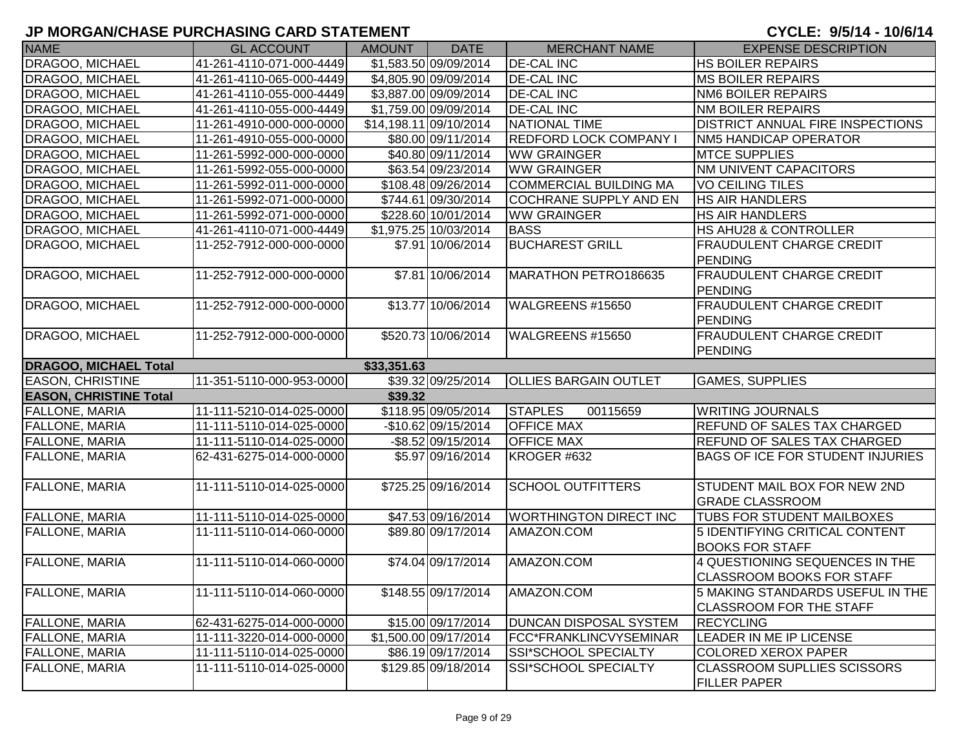| <b>NAME</b>                   | <b>GL ACCOUNT</b>        | <b>AMOUNT</b> | <b>DATE</b>            | <b>MERCHANT NAME</b>          | <b>EXPENSE DESCRIPTION</b>              |
|-------------------------------|--------------------------|---------------|------------------------|-------------------------------|-----------------------------------------|
| DRAGOO, MICHAEL               | 41-261-4110-071-000-4449 |               | \$1,583.50 09/09/2014  | <b>DE-CAL INC</b>             | <b>HS BOILER REPAIRS</b>                |
| DRAGOO, MICHAEL               | 41-261-4110-065-000-4449 |               | \$4,805.90 09/09/2014  | <b>DE-CAL INC</b>             | <b>MS BOILER REPAIRS</b>                |
| DRAGOO, MICHAEL               | 41-261-4110-055-000-4449 |               | \$3,887.00 09/09/2014  | <b>DE-CAL INC</b>             | <b>NM6 BOILER REPAIRS</b>               |
| <b>DRAGOO, MICHAEL</b>        | 41-261-4110-055-000-4449 |               | \$1,759.00 09/09/2014  | <b>DE-CAL INC</b>             | <b>NM BOILER REPAIRS</b>                |
| <b>DRAGOO, MICHAEL</b>        | 11-261-4910-000-000-0000 |               | \$14,198.11 09/10/2014 | NATIONAL TIME                 | <b>DISTRICT ANNUAL FIRE INSPECTIONS</b> |
| DRAGOO, MICHAEL               | 11-261-4910-055-000-0000 |               | \$80.00 09/11/2014     | <b>REDFORD LOCK COMPANY I</b> | <b>NM5 HANDICAP OPERATOR</b>            |
| DRAGOO, MICHAEL               | 11-261-5992-000-000-0000 |               | \$40.80 09/11/2014     | <b>WW GRAINGER</b>            | <b>MTCE SUPPLIES</b>                    |
| DRAGOO, MICHAEL               | 11-261-5992-055-000-0000 |               | \$63.54 09/23/2014     | <b>WW GRAINGER</b>            | <b>NM UNIVENT CAPACITORS</b>            |
| <b>DRAGOO, MICHAEL</b>        | 11-261-5992-011-000-0000 |               | \$108.48 09/26/2014    | <b>COMMERCIAL BUILDING MA</b> | <b>VO CEILING TILES</b>                 |
| DRAGOO, MICHAEL               | 11-261-5992-071-000-0000 |               | \$744.61 09/30/2014    | <b>COCHRANE SUPPLY AND EN</b> | <b>HS AIR HANDLERS</b>                  |
| DRAGOO, MICHAEL               | 11-261-5992-071-000-0000 |               | \$228.60 10/01/2014    | <b>WW GRAINGER</b>            | <b>HS AIR HANDLERS</b>                  |
| <b>DRAGOO, MICHAEL</b>        | 41-261-4110-071-000-4449 |               | \$1,975.25 10/03/2014  | <b>BASS</b>                   | <b>HS AHU28 &amp; CONTROLLER</b>        |
| <b>DRAGOO, MICHAEL</b>        | 11-252-7912-000-000-0000 |               | \$7.91 10/06/2014      | <b>BUCHAREST GRILL</b>        | <b>FRAUDULENT CHARGE CREDIT</b>         |
|                               |                          |               |                        |                               | PENDING                                 |
| DRAGOO, MICHAEL               | 11-252-7912-000-000-0000 |               | \$7.81 10/06/2014      | MARATHON PETRO186635          | <b>FRAUDULENT CHARGE CREDIT</b>         |
|                               |                          |               |                        |                               | PENDING                                 |
| DRAGOO, MICHAEL               | 11-252-7912-000-000-0000 |               | \$13.77 10/06/2014     | WALGREENS #15650              | <b>FRAUDULENT CHARGE CREDIT</b>         |
|                               |                          |               |                        |                               | PENDING                                 |
| DRAGOO, MICHAEL               | 11-252-7912-000-000-0000 |               | \$520.73 10/06/2014    | WALGREENS #15650              | <b>FRAUDULENT CHARGE CREDIT</b>         |
|                               |                          |               |                        |                               | PENDING                                 |
| <b>DRAGOO, MICHAEL Total</b>  |                          | \$33,351.63   |                        |                               |                                         |
| <b>EASON, CHRISTINE</b>       | 11-351-5110-000-953-0000 |               | \$39.32 09/25/2014     | <b>OLLIES BARGAIN OUTLET</b>  | <b>GAMES, SUPPLIES</b>                  |
| <b>EASON, CHRISTINE Total</b> |                          | \$39.32       |                        |                               |                                         |
| <b>FALLONE, MARIA</b>         | 11-111-5210-014-025-0000 |               | \$118.95 09/05/2014    | <b>STAPLES</b><br>00115659    | <b>WRITING JOURNALS</b>                 |
| <b>FALLONE, MARIA</b>         | 11-111-5110-014-025-0000 |               | -\$10.62 09/15/2014    | <b>OFFICE MAX</b>             | <b>REFUND OF SALES TAX CHARGED</b>      |
| <b>FALLONE, MARIA</b>         | 11-111-5110-014-025-0000 |               | $-$ \$8.52 09/15/2014  | <b>OFFICE MAX</b>             | <b>REFUND OF SALES TAX CHARGED</b>      |
| <b>FALLONE, MARIA</b>         | 62-431-6275-014-000-0000 |               | \$5.97 09/16/2014      | KROGER #632                   | <b>BAGS OF ICE FOR STUDENT INJURIES</b> |
| <b>FALLONE, MARIA</b>         | 11-111-5110-014-025-0000 |               | \$725.25 09/16/2014    | <b>SCHOOL OUTFITTERS</b>      | STUDENT MAIL BOX FOR NEW 2ND            |
|                               |                          |               |                        |                               | <b>GRADE CLASSROOM</b>                  |
| <b>FALLONE, MARIA</b>         | 11-111-5110-014-025-0000 |               | \$47.53 09/16/2014     | <b>WORTHINGTON DIRECT INC</b> | <b>TUBS FOR STUDENT MAILBOXES</b>       |
| <b>FALLONE, MARIA</b>         | 11-111-5110-014-060-0000 |               | \$89.80 09/17/2014     | AMAZON.COM                    | 5 IDENTIFYING CRITICAL CONTENT          |
|                               |                          |               |                        |                               | <b>BOOKS FOR STAFF</b>                  |
| <b>FALLONE, MARIA</b>         | 11-111-5110-014-060-0000 |               | \$74.04 09/17/2014     | AMAZON.COM                    | 4 QUESTIONING SEQUENCES IN THE          |
|                               |                          |               |                        |                               | CLASSROOM BOOKS FOR STAFF               |
| FALLONE, MARIA                | 11-111-5110-014-060-0000 |               | \$148.55 09/17/2014    | AMAZON.COM                    | 5 MAKING STANDARDS USEFUL IN THE        |
|                               |                          |               |                        |                               | <b>CLASSROOM FOR THE STAFF</b>          |
| <b>FALLONE, MARIA</b>         | 62-431-6275-014-000-0000 |               | \$15.00 09/17/2014     | <b>DUNCAN DISPOSAL SYSTEM</b> | <b>RECYCLING</b>                        |
| <b>FALLONE, MARIA</b>         | 11-111-3220-014-000-0000 |               | \$1,500.00 09/17/2014  | FCC*FRANKLINCVYSEMINAR        | LEADER IN ME IP LICENSE                 |
| <b>FALLONE, MARIA</b>         | 11-111-5110-014-025-0000 |               | \$86.19 09/17/2014     | SSI*SCHOOL SPECIALTY          | <b>COLORED XEROX PAPER</b>              |
| <b>FALLONE, MARIA</b>         | 11-111-5110-014-025-0000 |               | \$129.85 09/18/2014    | <b>SSI*SCHOOL SPECIALTY</b>   | <b>CLASSROOM SUPLLIES SCISSORS</b>      |
|                               |                          |               |                        |                               | <b>FILLER PAPER</b>                     |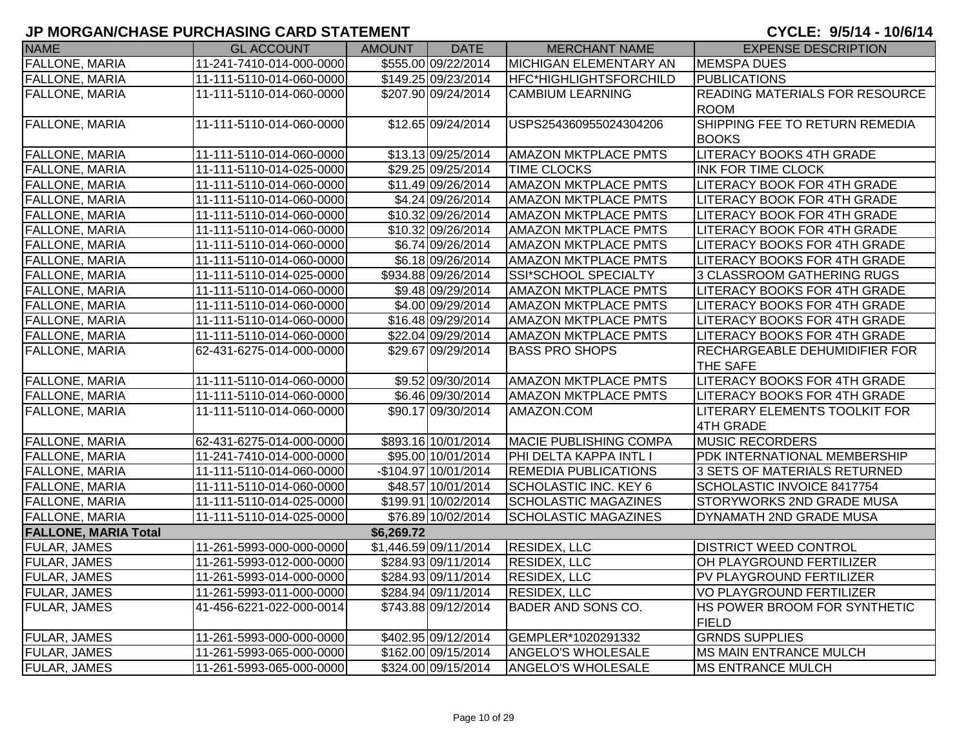| <b>NAME</b>                 | <b>GL ACCOUNT</b>        | <b>AMOUNT</b> | <b>DATE</b>           | <b>MERCHANT NAME</b>          | <b>EXPENSE DESCRIPTION</b>            |
|-----------------------------|--------------------------|---------------|-----------------------|-------------------------------|---------------------------------------|
| <b>FALLONE, MARIA</b>       | 11-241-7410-014-000-0000 |               | \$555.00 09/22/2014   | <b>MICHIGAN ELEMENTARY AN</b> | <b>MEMSPA DUES</b>                    |
| <b>FALLONE, MARIA</b>       | 11-111-5110-014-060-0000 |               | \$149.25 09/23/2014   | <b>HFC*HIGHLIGHTSFORCHILD</b> | <b>PUBLICATIONS</b>                   |
| <b>FALLONE, MARIA</b>       | 11-111-5110-014-060-0000 |               | \$207.90 09/24/2014   | <b>CAMBIUM LEARNING</b>       | <b>READING MATERIALS FOR RESOURCE</b> |
|                             |                          |               |                       |                               | <b>ROOM</b>                           |
| <b>FALLONE, MARIA</b>       | 11-111-5110-014-060-0000 |               | \$12.65 09/24/2014    | USPS254360955024304206        | SHIPPING FEE TO RETURN REMEDIA        |
|                             |                          |               |                       |                               | <b>BOOKS</b>                          |
| <b>FALLONE, MARIA</b>       | 11-111-5110-014-060-0000 |               | \$13.13 09/25/2014    | <b>AMAZON MKTPLACE PMTS</b>   | <b>LITERACY BOOKS 4TH GRADE</b>       |
| FALLONE, MARIA              | 11-111-5110-014-025-0000 |               | \$29.25 09/25/2014    | <b>TIME CLOCKS</b>            | <b>INK FOR TIME CLOCK</b>             |
| FALLONE, MARIA              | 11-111-5110-014-060-0000 |               | \$11.49 09/26/2014    | <b>AMAZON MKTPLACE PMTS</b>   | LITERACY BOOK FOR 4TH GRADE           |
| FALLONE, MARIA              | 11-111-5110-014-060-0000 |               | \$4.24 09/26/2014     | <b>AMAZON MKTPLACE PMTS</b>   | LITERACY BOOK FOR 4TH GRADE           |
| <b>FALLONE, MARIA</b>       | 11-111-5110-014-060-0000 |               | \$10.32 09/26/2014    | <b>AMAZON MKTPLACE PMTS</b>   | LITERACY BOOK FOR 4TH GRADE           |
| <b>FALLONE, MARIA</b>       | 11-111-5110-014-060-0000 |               | \$10.32 09/26/2014    | <b>AMAZON MKTPLACE PMTS</b>   | LITERACY BOOK FOR 4TH GRADE           |
| FALLONE, MARIA              | 11-111-5110-014-060-0000 |               | \$6.74 09/26/2014     | <b>AMAZON MKTPLACE PMTS</b>   | LITERACY BOOKS FOR 4TH GRADE          |
| <b>FALLONE, MARIA</b>       | 11-111-5110-014-060-0000 |               | \$6.18 09/26/2014     | <b>AMAZON MKTPLACE PMTS</b>   | LITERACY BOOKS FOR 4TH GRADE          |
| FALLONE, MARIA              | 11-111-5110-014-025-0000 |               | \$934.88 09/26/2014   | SSI*SCHOOL SPECIALTY          | 3 CLASSROOM GATHERING RUGS            |
| <b>FALLONE, MARIA</b>       | 11-111-5110-014-060-0000 |               | \$9.48 09/29/2014     | <b>AMAZON MKTPLACE PMTS</b>   | LITERACY BOOKS FOR 4TH GRADE          |
| FALLONE, MARIA              | 11-111-5110-014-060-0000 |               | \$4.00 09/29/2014     | <b>AMAZON MKTPLACE PMTS</b>   | LITERACY BOOKS FOR 4TH GRADE          |
| FALLONE, MARIA              | 11-111-5110-014-060-0000 |               | \$16.48 09/29/2014    | <b>AMAZON MKTPLACE PMTS</b>   | LITERACY BOOKS FOR 4TH GRADE          |
| FALLONE, MARIA              | 11-111-5110-014-060-0000 |               | \$22.04 09/29/2014    | <b>AMAZON MKTPLACE PMTS</b>   | LITERACY BOOKS FOR 4TH GRADE          |
| <b>FALLONE, MARIA</b>       | 62-431-6275-014-000-0000 |               | \$29.67 09/29/2014    | <b>BASS PRO SHOPS</b>         | RECHARGEABLE DEHUMIDIFIER FOR         |
|                             |                          |               |                       |                               | THE SAFE                              |
| <b>FALLONE, MARIA</b>       | 11-111-5110-014-060-0000 |               | \$9.52 09/30/2014     | <b>AMAZON MKTPLACE PMTS</b>   | LITERACY BOOKS FOR 4TH GRADE          |
| FALLONE, MARIA              | 11-111-5110-014-060-0000 |               | \$6.46 09/30/2014     | <b>AMAZON MKTPLACE PMTS</b>   | LITERACY BOOKS FOR 4TH GRADE          |
| <b>FALLONE, MARIA</b>       | 11-111-5110-014-060-0000 |               | \$90.17 09/30/2014    | AMAZON.COM                    | LITERARY ELEMENTS TOOLKIT FOR         |
|                             |                          |               |                       |                               | <b>4TH GRADE</b>                      |
| <b>FALLONE, MARIA</b>       | 62-431-6275-014-000-0000 |               | \$893.16 10/01/2014   | <b>MACIE PUBLISHING COMPA</b> | <b>MUSIC RECORDERS</b>                |
| <b>FALLONE, MARIA</b>       | 11-241-7410-014-000-0000 |               | \$95.00 10/01/2014    | PHI DELTA KAPPA INTL I        | PDK INTERNATIONAL MEMBERSHIP          |
| <b>FALLONE, MARIA</b>       | 11-111-5110-014-060-0000 |               | -\$104.97 10/01/2014  | <b>REMEDIA PUBLICATIONS</b>   | 3 SETS OF MATERIALS RETURNED          |
| <b>FALLONE, MARIA</b>       | 11-111-5110-014-060-0000 |               | \$48.57 10/01/2014    | <b>SCHOLASTIC INC. KEY 6</b>  | <b>SCHOLASTIC INVOICE 8417754</b>     |
| <b>FALLONE, MARIA</b>       | 11-111-5110-014-025-0000 |               | \$199.91 10/02/2014   | <b>SCHOLASTIC MAGAZINES</b>   | STORYWORKS 2ND GRADE MUSA             |
| FALLONE, MARIA              | 11-111-5110-014-025-0000 |               | \$76.89 10/02/2014    | <b>SCHOLASTIC MAGAZINES</b>   | DYNAMATH 2ND GRADE MUSA               |
| <b>FALLONE, MARIA Total</b> |                          | \$6,269.72    |                       |                               |                                       |
| <b>FULAR, JAMES</b>         | 11-261-5993-000-000-0000 |               | \$1,446.59 09/11/2014 | <b>RESIDEX, LLC</b>           | <b>DISTRICT WEED CONTROL</b>          |
| <b>FULAR, JAMES</b>         | 11-261-5993-012-000-0000 |               | \$284.93 09/11/2014   | <b>RESIDEX, LLC</b>           | OH PLAYGROUND FERTILIZER              |
| <b>FULAR, JAMES</b>         | 11-261-5993-014-000-0000 |               | \$284.93 09/11/2014   | <b>RESIDEX, LLC</b>           | PV PLAYGROUND FERTILIZER              |
| FULAR, JAMES                | 11-261-5993-011-000-0000 |               | \$284.94 09/11/2014   | <b>RESIDEX, LLC</b>           | <b>VO PLAYGROUND FERTILIZER</b>       |
| <b>FULAR, JAMES</b>         | 41-456-6221-022-000-0014 |               | \$743.88 09/12/2014   | BADER AND SONS CO.            | HS POWER BROOM FOR SYNTHETIC          |
|                             |                          |               |                       |                               | <b>FIELD</b>                          |
| <b>FULAR, JAMES</b>         | 11-261-5993-000-000-0000 |               | \$402.95 09/12/2014   | GEMPLER*1020291332            | <b>GRNDS SUPPLIES</b>                 |
| <b>FULAR, JAMES</b>         | 11-261-5993-065-000-0000 |               | \$162.00 09/15/2014   | <b>ANGELO'S WHOLESALE</b>     | <b>MS MAIN ENTRANCE MULCH</b>         |
| <b>FULAR, JAMES</b>         | 11-261-5993-065-000-0000 |               | \$324.00 09/15/2014   | <b>ANGELO'S WHOLESALE</b>     | <b>MS ENTRANCE MULCH</b>              |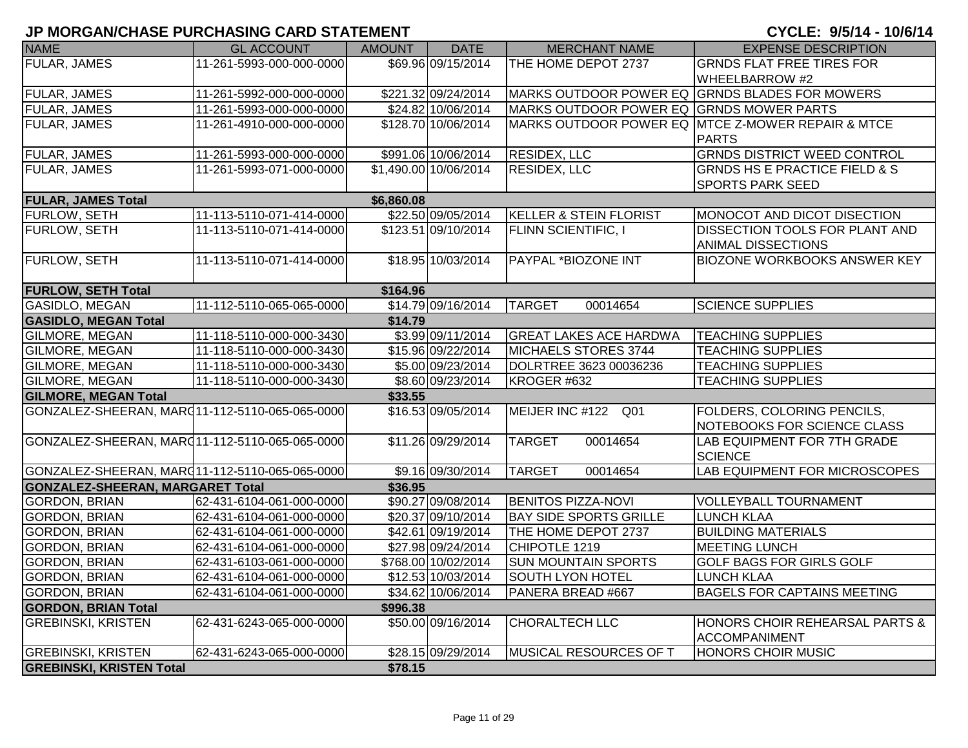| <b>NAME</b>                                    | <b>GL ACCOUNT</b>        | <b>AMOUNT</b> | <b>DATE</b>           | <b>MERCHANT NAME</b>                     | <b>EXPENSE DESCRIPTION</b>                        |
|------------------------------------------------|--------------------------|---------------|-----------------------|------------------------------------------|---------------------------------------------------|
| <b>FULAR, JAMES</b>                            | 11-261-5993-000-000-0000 |               | \$69.96 09/15/2014    | THE HOME DEPOT 2737                      | <b>GRNDS FLAT FREE TIRES FOR</b>                  |
|                                                |                          |               |                       |                                          | WHEELBARROW #2                                    |
| <b>FULAR, JAMES</b>                            | 11-261-5992-000-000-0000 |               | \$221.32 09/24/2014   |                                          | MARKS OUTDOOR POWER EQ GRNDS BLADES FOR MOWERS    |
| <b>FULAR, JAMES</b>                            | 11-261-5993-000-000-0000 |               | \$24.82 10/06/2014    | MARKS OUTDOOR POWER EQ GRNDS MOWER PARTS |                                                   |
| <b>FULAR, JAMES</b>                            | 11-261-4910-000-000-0000 |               | \$128.70 10/06/2014   |                                          | MARKS OUTDOOR POWER EQ MTCE Z-MOWER REPAIR & MTCE |
|                                                |                          |               |                       |                                          | <b>PARTS</b>                                      |
| <b>FULAR, JAMES</b>                            | 11-261-5993-000-000-0000 |               | \$991.06 10/06/2014   | <b>RESIDEX, LLC</b>                      | <b>GRNDS DISTRICT WEED CONTROL</b>                |
| <b>FULAR, JAMES</b>                            | 11-261-5993-071-000-0000 |               | \$1,490.00 10/06/2014 | <b>RESIDEX, LLC</b>                      | <b>GRNDS HS E PRACTICE FIELD &amp; S</b>          |
|                                                |                          |               |                       |                                          | <b>SPORTS PARK SEED</b>                           |
| <b>FULAR, JAMES Total</b>                      |                          | \$6,860.08    |                       |                                          |                                                   |
| <b>FURLOW, SETH</b>                            | 11-113-5110-071-414-0000 |               | \$22.50 09/05/2014    | KELLER & STEIN FLORIST                   | MONOCOT AND DICOT DISECTION                       |
| FURLOW, SETH                                   | 11-113-5110-071-414-0000 |               | \$123.51 09/10/2014   | <b>FLINN SCIENTIFIC, I</b>               | DISSECTION TOOLS FOR PLANT AND                    |
|                                                |                          |               |                       |                                          | <b>ANIMAL DISSECTIONS</b>                         |
| <b>FURLOW, SETH</b>                            | 11-113-5110-071-414-0000 |               | \$18.95 10/03/2014    | PAYPAL *BIOZONE INT                      | <b>BIOZONE WORKBOOKS ANSWER KEY</b>               |
|                                                |                          |               |                       |                                          |                                                   |
| <b>FURLOW, SETH Total</b>                      |                          | \$164.96      |                       |                                          |                                                   |
| <b>GASIDLO, MEGAN</b>                          | 11-112-5110-065-065-0000 |               | \$14.79 09/16/2014    | <b>TARGET</b><br>00014654                | <b>SCIENCE SUPPLIES</b>                           |
| <b>GASIDLO, MEGAN Total</b>                    |                          | \$14.79       |                       |                                          |                                                   |
| <b>GILMORE, MEGAN</b>                          | 11-118-5110-000-000-3430 |               | \$3.99 09/11/2014     | <b>GREAT LAKES ACE HARDWA</b>            | <b>TEACHING SUPPLIES</b>                          |
| <b>GILMORE, MEGAN</b>                          | 11-118-5110-000-000-3430 |               | \$15.96 09/22/2014    | MICHAELS STORES 3744                     | <b>TEACHING SUPPLIES</b>                          |
| <b>GILMORE, MEGAN</b>                          | 11-118-5110-000-000-3430 |               | \$5.00 09/23/2014     | DOLRTREE 3623 00036236                   | <b>TEACHING SUPPLIES</b>                          |
| GILMORE, MEGAN                                 | 11-118-5110-000-000-3430 |               | \$8.60 09/23/2014     | KROGER #632                              | <b>TEACHING SUPPLIES</b>                          |
| <b>GILMORE, MEGAN Total</b>                    |                          | \$33.55       |                       |                                          |                                                   |
| GONZALEZ-SHEERAN, MAR(11-112-5110-065-065-0000 |                          |               | \$16.53 09/05/2014    | MEIJER INC #122 Q01                      | FOLDERS, COLORING PENCILS,                        |
|                                                |                          |               |                       |                                          | NOTEBOOKS FOR SCIENCE CLASS                       |
| GONZALEZ-SHEERAN, MARQ11-112-5110-065-065-0000 |                          |               | \$11.26 09/29/2014    | <b>TARGET</b><br>00014654                | LAB EQUIPMENT FOR 7TH GRADE                       |
|                                                |                          |               |                       |                                          | <b>SCIENCE</b>                                    |
| GONZALEZ-SHEERAN, MAR(11-112-5110-065-065-0000 |                          |               | \$9.16 09/30/2014     | 00014654<br><b>TARGET</b>                | LAB EQUIPMENT FOR MICROSCOPES                     |
| <b>GONZALEZ-SHEERAN, MARGARET Total</b>        |                          | \$36.95       |                       |                                          |                                                   |
| <b>GORDON, BRIAN</b>                           | 62-431-6104-061-000-0000 |               | \$90.27 09/08/2014    | <b>BENITOS PIZZA-NOVI</b>                | <b>VOLLEYBALL TOURNAMENT</b>                      |
| <b>GORDON, BRIAN</b>                           | 62-431-6104-061-000-0000 |               | \$20.37 09/10/2014    | <b>BAY SIDE SPORTS GRILLE</b>            | <b>LUNCH KLAA</b>                                 |
| <b>GORDON, BRIAN</b>                           | 62-431-6104-061-000-0000 |               | \$42.61 09/19/2014    | THE HOME DEPOT 2737                      | <b>BUILDING MATERIALS</b>                         |
| <b>GORDON, BRIAN</b>                           | 62-431-6104-061-000-0000 |               | \$27.98 09/24/2014    | CHIPOTLE 1219                            | <b>MEETING LUNCH</b>                              |
| <b>GORDON, BRIAN</b>                           | 62-431-6103-061-000-0000 |               | \$768.00 10/02/2014   | <b>SUN MOUNTAIN SPORTS</b>               | <b>GOLF BAGS FOR GIRLS GOLF</b>                   |
| <b>GORDON, BRIAN</b>                           | 62-431-6104-061-000-0000 |               | \$12.53 10/03/2014    | <b>SOUTH LYON HOTEL</b>                  | <b>LUNCH KLAA</b>                                 |
| <b>GORDON, BRIAN</b>                           | 62-431-6104-061-000-0000 |               | \$34.62 10/06/2014    | PANERA BREAD #667                        | <b>BAGELS FOR CAPTAINS MEETING</b>                |
| <b>GORDON, BRIAN Total</b>                     |                          | \$996.38      |                       |                                          |                                                   |
| <b>GREBINSKI, KRISTEN</b>                      | 62-431-6243-065-000-0000 |               | \$50.00 09/16/2014    | <b>CHORALTECH LLC</b>                    | HONORS CHOIR REHEARSAL PARTS &                    |
|                                                |                          |               |                       |                                          | <b>ACCOMPANIMENT</b>                              |
| <b>GREBINSKI, KRISTEN</b>                      | 62-431-6243-065-000-0000 |               | \$28.15 09/29/2014    | MUSICAL RESOURCES OF T                   | <b>HONORS CHOIR MUSIC</b>                         |
| <b>GREBINSKI, KRISTEN Total</b>                |                          | \$78.15       |                       |                                          |                                                   |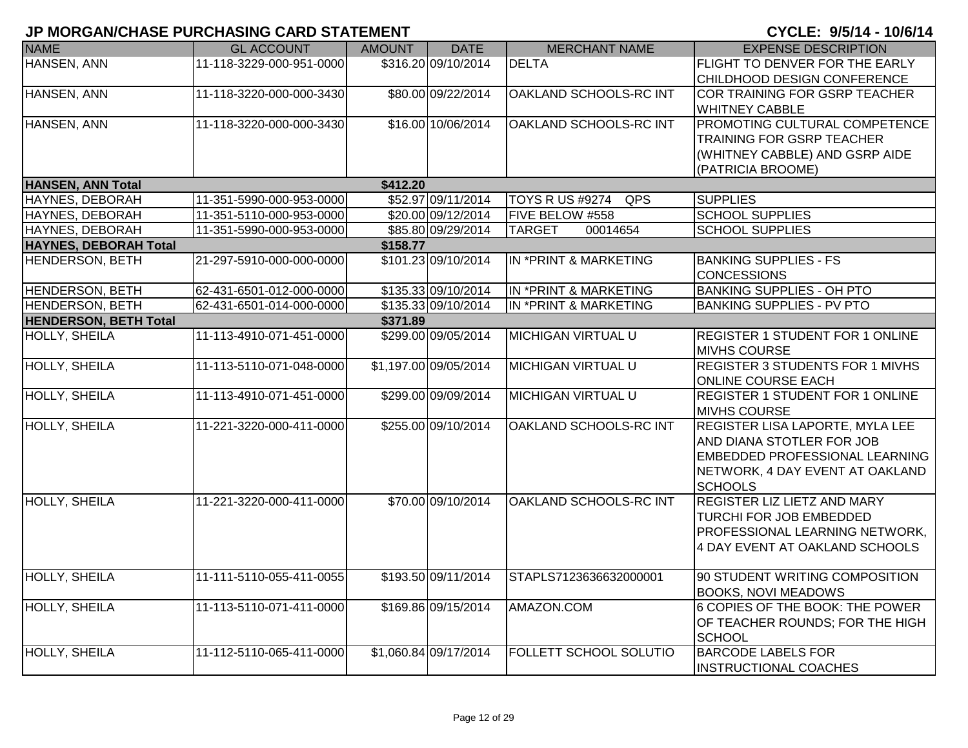| <b>NAME</b>                  | <b>GL ACCOUNT</b>        | <b>AMOUNT</b> | <b>DATE</b>           | <b>MERCHANT NAME</b>          | <b>EXPENSE DESCRIPTION</b>             |
|------------------------------|--------------------------|---------------|-----------------------|-------------------------------|----------------------------------------|
| HANSEN, ANN                  | 11-118-3229-000-951-0000 |               | \$316.20 09/10/2014   | <b>DELTA</b>                  | FLIGHT TO DENVER FOR THE EARLY         |
|                              |                          |               |                       |                               | CHILDHOOD DESIGN CONFERENCE            |
| <b>HANSEN, ANN</b>           | 11-118-3220-000-000-3430 |               | \$80.00 09/22/2014    | OAKLAND SCHOOLS-RC INT        | COR TRAINING FOR GSRP TEACHER          |
|                              |                          |               |                       |                               | <b>WHITNEY CABBLE</b>                  |
| HANSEN, ANN                  | 11-118-3220-000-000-3430 |               | \$16.00 10/06/2014    | OAKLAND SCHOOLS-RC INT        | PROMOTING CULTURAL COMPETENCE          |
|                              |                          |               |                       |                               | <b>TRAINING FOR GSRP TEACHER</b>       |
|                              |                          |               |                       |                               | (WHITNEY CABBLE) AND GSRP AIDE         |
|                              |                          |               |                       |                               | (PATRICIA BROOME)                      |
| <b>HANSEN, ANN Total</b>     |                          | \$412.20      |                       |                               |                                        |
| <b>HAYNES, DEBORAH</b>       | 11-351-5990-000-953-0000 |               | \$52.97 09/11/2014    | <b>TOYS R US #9274</b><br>QPS | <b>SUPPLIES</b>                        |
| <b>HAYNES, DEBORAH</b>       | 11-351-5110-000-953-0000 |               | \$20.00 09/12/2014    | FIVE BELOW #558               | <b>SCHOOL SUPPLIES</b>                 |
| HAYNES, DEBORAH              | 11-351-5990-000-953-0000 |               | \$85.80 09/29/2014    | <b>TARGET</b><br>00014654     | <b>SCHOOL SUPPLIES</b>                 |
| <b>HAYNES, DEBORAH Total</b> |                          | \$158.77      |                       |                               |                                        |
| <b>HENDERSON, BETH</b>       | 21-297-5910-000-000-0000 |               | \$101.23 09/10/2014   | IN *PRINT & MARKETING         | <b>BANKING SUPPLIES - FS</b>           |
|                              |                          |               |                       |                               | <b>CONCESSIONS</b>                     |
| <b>HENDERSON, BETH</b>       | 62-431-6501-012-000-0000 |               | \$135.33 09/10/2014   | IN *PRINT & MARKETING         | <b>BANKING SUPPLIES - OH PTO</b>       |
| <b>HENDERSON, BETH</b>       | 62-431-6501-014-000-0000 |               | \$135.33 09/10/2014   | IN *PRINT & MARKETING         | <b>BANKING SUPPLIES - PV PTO</b>       |
| <b>HENDERSON, BETH Total</b> |                          | \$371.89      |                       |                               |                                        |
| HOLLY, SHEILA                | 11-113-4910-071-451-0000 |               | \$299.00 09/05/2014   | <b>MICHIGAN VIRTUAL U</b>     | <b>REGISTER 1 STUDENT FOR 1 ONLINE</b> |
|                              |                          |               |                       |                               | <b>MIVHS COURSE</b>                    |
| <b>HOLLY, SHEILA</b>         | 11-113-5110-071-048-0000 |               | \$1,197.00 09/05/2014 | <b>MICHIGAN VIRTUAL U</b>     | <b>REGISTER 3 STUDENTS FOR 1 MIVHS</b> |
|                              |                          |               |                       |                               | <b>ONLINE COURSE EACH</b>              |
| <b>HOLLY, SHEILA</b>         | 11-113-4910-071-451-0000 |               | \$299.00 09/09/2014   | <b>MICHIGAN VIRTUAL U</b>     | <b>REGISTER 1 STUDENT FOR 1 ONLINE</b> |
|                              |                          |               |                       |                               | <b>MIVHS COURSE</b>                    |
| <b>HOLLY, SHEILA</b>         | 11-221-3220-000-411-0000 |               | \$255.00 09/10/2014   | OAKLAND SCHOOLS-RC INT        | REGISTER LISA LAPORTE, MYLA LEE        |
|                              |                          |               |                       |                               | AND DIANA STOTLER FOR JOB              |
|                              |                          |               |                       |                               | <b>EMBEDDED PROFESSIONAL LEARNING</b>  |
|                              |                          |               |                       |                               | NETWORK, 4 DAY EVENT AT OAKLAND        |
|                              |                          |               |                       |                               | <b>SCHOOLS</b>                         |
| <b>HOLLY, SHEILA</b>         | 11-221-3220-000-411-0000 |               | \$70.00 09/10/2014    | OAKLAND SCHOOLS-RC INT        | REGISTER LIZ LIETZ AND MARY            |
|                              |                          |               |                       |                               | TURCHI FOR JOB EMBEDDED                |
|                              |                          |               |                       |                               | PROFESSIONAL LEARNING NETWORK,         |
|                              |                          |               |                       |                               | 4 DAY EVENT AT OAKLAND SCHOOLS         |
|                              |                          |               |                       |                               |                                        |
| <b>HOLLY, SHEILA</b>         | 11-111-5110-055-411-0055 |               | \$193.50 09/11/2014   | STAPLS7123636632000001        | 90 STUDENT WRITING COMPOSITION         |
|                              |                          |               |                       |                               | <b>BOOKS, NOVI MEADOWS</b>             |
| <b>HOLLY, SHEILA</b>         | 11-113-5110-071-411-0000 |               | \$169.86 09/15/2014   | AMAZON.COM                    | 6 COPIES OF THE BOOK: THE POWER        |
|                              |                          |               |                       |                               | OF TEACHER ROUNDS; FOR THE HIGH        |
|                              |                          |               |                       |                               | SCHOOL                                 |
| HOLLY, SHEILA                | 11-112-5110-065-411-0000 |               | \$1,060.84 09/17/2014 | <b>FOLLETT SCHOOL SOLUTIO</b> | <b>BARCODE LABELS FOR</b>              |
|                              |                          |               |                       |                               | <b>INSTRUCTIONAL COACHES</b>           |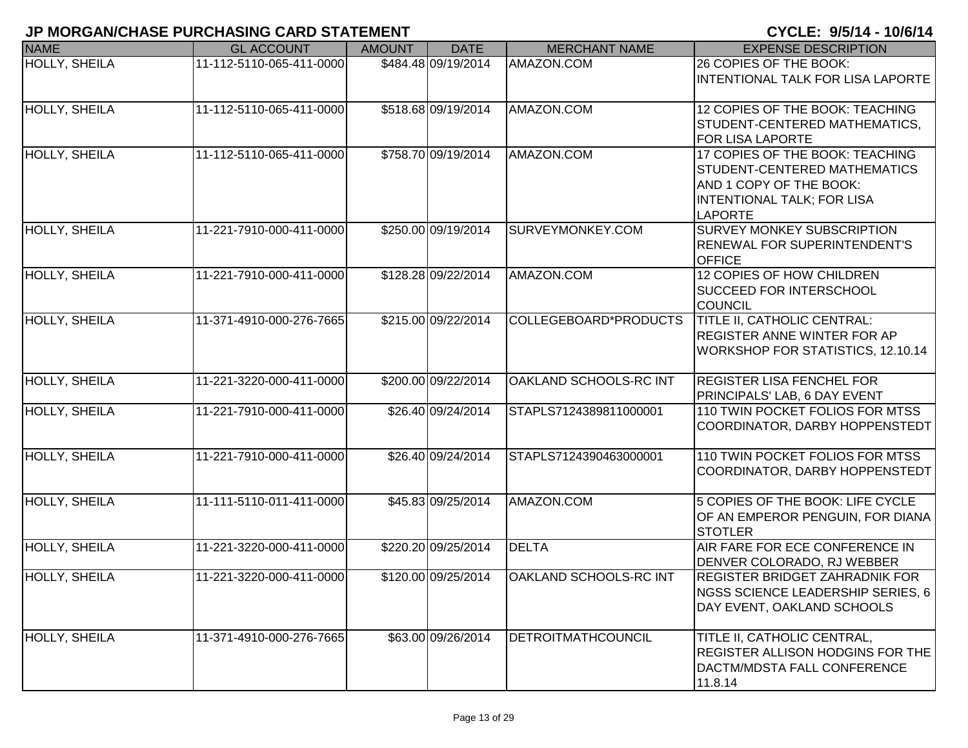| <b>NAME</b>          | <b>GL ACCOUNT</b>        | <b>DATE</b><br><b>AMOUNT</b> | <b>MERCHANT NAME</b>      | <b>EXPENSE DESCRIPTION</b>                                                                                                                        |
|----------------------|--------------------------|------------------------------|---------------------------|---------------------------------------------------------------------------------------------------------------------------------------------------|
| <b>HOLLY, SHEILA</b> | 11-112-5110-065-411-0000 | \$484.48 09/19/2014          | AMAZON.COM                | 26 COPIES OF THE BOOK:<br><b>INTENTIONAL TALK FOR LISA LAPORTE</b>                                                                                |
| <b>HOLLY, SHEILA</b> | 11-112-5110-065-411-0000 | \$518.68 09/19/2014          | AMAZON.COM                | 12 COPIES OF THE BOOK: TEACHING<br>STUDENT-CENTERED MATHEMATICS,<br><b>FOR LISA LAPORTE</b>                                                       |
| HOLLY, SHEILA        | 11-112-5110-065-411-0000 | \$758.70 09/19/2014          | AMAZON.COM                | 17 COPIES OF THE BOOK: TEACHING<br>STUDENT-CENTERED MATHEMATICS<br>AND 1 COPY OF THE BOOK:<br><b>INTENTIONAL TALK; FOR LISA</b><br><b>LAPORTE</b> |
| HOLLY, SHEILA        | 11-221-7910-000-411-0000 | \$250.00 09/19/2014          | SURVEYMONKEY.COM          | <b>SURVEY MONKEY SUBSCRIPTION</b><br><b>RENEWAL FOR SUPERINTENDENT'S</b><br><b>OFFICE</b>                                                         |
| <b>HOLLY, SHEILA</b> | 11-221-7910-000-411-0000 | \$128.28 09/22/2014          | AMAZON.COM                | 12 COPIES OF HOW CHILDREN<br><b>SUCCEED FOR INTERSCHOOL</b><br><b>COUNCIL</b>                                                                     |
| <b>HOLLY, SHEILA</b> | 11-371-4910-000-276-7665 | \$215.00 09/22/2014          | COLLEGEBOARD*PRODUCTS     | <b>TITLE II, CATHOLIC CENTRAL:</b><br><b>REGISTER ANNE WINTER FOR AP</b><br><b>WORKSHOP FOR STATISTICS, 12.10.14</b>                              |
| <b>HOLLY, SHEILA</b> | 11-221-3220-000-411-0000 | \$200.00 09/22/2014          | OAKLAND SCHOOLS-RC INT    | <b>REGISTER LISA FENCHEL FOR</b><br><b>PRINCIPALS' LAB, 6 DAY EVENT</b>                                                                           |
| HOLLY, SHEILA        | 11-221-7910-000-411-0000 | \$26.40 09/24/2014           | STAPLS7124389811000001    | 110 TWIN POCKET FOLIOS FOR MTSS<br>COORDINATOR, DARBY HOPPENSTEDT                                                                                 |
| HOLLY, SHEILA        | 11-221-7910-000-411-0000 | \$26.40 09/24/2014           | STAPLS7124390463000001    | 110 TWIN POCKET FOLIOS FOR MTSS<br>COORDINATOR, DARBY HOPPENSTEDT                                                                                 |
| <b>HOLLY, SHEILA</b> | 11-111-5110-011-411-0000 | \$45.83 09/25/2014           | AMAZON.COM                | 5 COPIES OF THE BOOK: LIFE CYCLE<br>OF AN EMPEROR PENGUIN, FOR DIANA<br><b>STOTLER</b>                                                            |
| <b>HOLLY, SHEILA</b> | 11-221-3220-000-411-0000 | \$220.20 09/25/2014          | <b>DELTA</b>              | AIR FARE FOR ECE CONFERENCE IN<br>DENVER COLORADO, RJ WEBBER                                                                                      |
| <b>HOLLY, SHEILA</b> | 11-221-3220-000-411-0000 | \$120.00 09/25/2014          | OAKLAND SCHOOLS-RC INT    | <b>REGISTER BRIDGET ZAHRADNIK FOR</b><br>NGSS SCIENCE LEADERSHIP SERIES, 6<br>DAY EVENT, OAKLAND SCHOOLS                                          |
| HOLLY, SHEILA        | 11-371-4910-000-276-7665 | \$63.00 09/26/2014           | <b>DETROITMATHCOUNCIL</b> | TITLE II, CATHOLIC CENTRAL,<br><b>REGISTER ALLISON HODGINS FOR THE</b><br>DACTM/MDSTA FALL CONFERENCE<br>11.8.14                                  |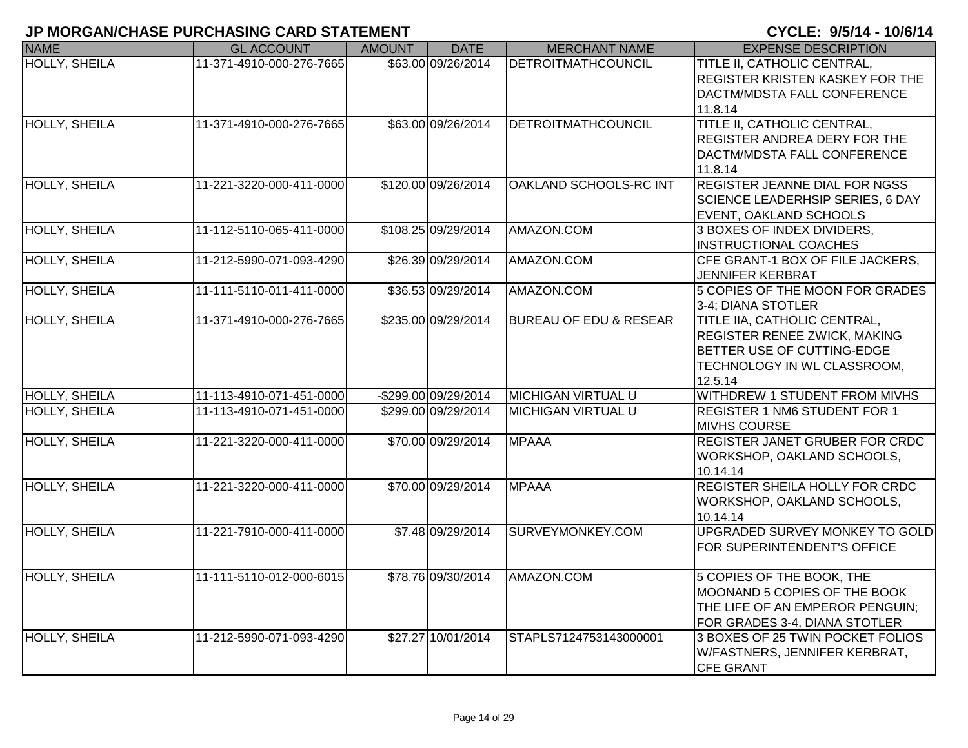| <b>NAME</b>          | <b>GL ACCOUNT</b>        | <b>AMOUNT</b> | <b>DATE</b>          | <b>MERCHANT NAME</b>              | <b>EXPENSE DESCRIPTION</b>                                                                                                                  |
|----------------------|--------------------------|---------------|----------------------|-----------------------------------|---------------------------------------------------------------------------------------------------------------------------------------------|
| <b>HOLLY, SHEILA</b> | 11-371-4910-000-276-7665 |               | \$63.00 09/26/2014   | <b>DETROITMATHCOUNCIL</b>         | TITLE II, CATHOLIC CENTRAL,<br><b>REGISTER KRISTEN KASKEY FOR THE</b><br>DACTM/MDSTA FALL CONFERENCE<br>11.8.14                             |
| <b>HOLLY, SHEILA</b> | 11-371-4910-000-276-7665 |               | \$63.00 09/26/2014   | <b>DETROITMATHCOUNCIL</b>         | TITLE II, CATHOLIC CENTRAL,<br><b>REGISTER ANDREA DERY FOR THE</b><br>DACTM/MDSTA FALL CONFERENCE<br>11.8.14                                |
| <b>HOLLY, SHEILA</b> | 11-221-3220-000-411-0000 |               | \$120.00 09/26/2014  | OAKLAND SCHOOLS-RC INT            | REGISTER JEANNE DIAL FOR NGSS<br>SCIENCE LEADERHSIP SERIES, 6 DAY<br><b>EVENT, OAKLAND SCHOOLS</b>                                          |
| <b>HOLLY, SHEILA</b> | 11-112-5110-065-411-0000 |               | \$108.25 09/29/2014  | AMAZON.COM                        | 3 BOXES OF INDEX DIVIDERS.<br><b>INSTRUCTIONAL COACHES</b>                                                                                  |
| <b>HOLLY, SHEILA</b> | 11-212-5990-071-093-4290 |               | \$26.39 09/29/2014   | AMAZON.COM                        | CFE GRANT-1 BOX OF FILE JACKERS,<br><b>JENNIFER KERBRAT</b>                                                                                 |
| <b>HOLLY, SHEILA</b> | 11-111-5110-011-411-0000 |               | \$36.53 09/29/2014   | AMAZON.COM                        | 5 COPIES OF THE MOON FOR GRADES<br>3-4; DIANA STOTLER                                                                                       |
| <b>HOLLY, SHEILA</b> | 11-371-4910-000-276-7665 |               | \$235.00 09/29/2014  | <b>BUREAU OF EDU &amp; RESEAR</b> | TITLE IIA, CATHOLIC CENTRAL,<br><b>REGISTER RENEE ZWICK, MAKING</b><br>BETTER USE OF CUTTING-EDGE<br>TECHNOLOGY IN WL CLASSROOM,<br>12.5.14 |
| HOLLY, SHEILA        | 11-113-4910-071-451-0000 |               | -\$299.00 09/29/2014 | <b>MICHIGAN VIRTUAL U</b>         | WITHDREW 1 STUDENT FROM MIVHS                                                                                                               |
| HOLLY, SHEILA        | 11-113-4910-071-451-0000 |               | \$299.00 09/29/2014  | MICHIGAN VIRTUAL U                | REGISTER 1 NM6 STUDENT FOR 1<br><b>MIVHS COURSE</b>                                                                                         |
| <b>HOLLY, SHEILA</b> | 11-221-3220-000-411-0000 |               | \$70.00 09/29/2014   | <b>MPAAA</b>                      | REGISTER JANET GRUBER FOR CRDC<br>WORKSHOP, OAKLAND SCHOOLS,<br>10.14.14                                                                    |
| <b>HOLLY, SHEILA</b> | 11-221-3220-000-411-0000 |               | \$70.00 09/29/2014   | <b>MPAAA</b>                      | REGISTER SHEILA HOLLY FOR CRDC<br>WORKSHOP, OAKLAND SCHOOLS,<br>10.14.14                                                                    |
| HOLLY, SHEILA        | 11-221-7910-000-411-0000 |               | \$7.48 09/29/2014    | SURVEYMONKEY.COM                  | UPGRADED SURVEY MONKEY TO GOLD<br>FOR SUPERINTENDENT'S OFFICE                                                                               |
| <b>HOLLY, SHEILA</b> | 11-111-5110-012-000-6015 |               | \$78.76 09/30/2014   | AMAZON.COM                        | 5 COPIES OF THE BOOK, THE<br>MOONAND 5 COPIES OF THE BOOK<br>THE LIFE OF AN EMPEROR PENGUIN;<br>FOR GRADES 3-4, DIANA STOTLER               |
| <b>HOLLY, SHEILA</b> | 11-212-5990-071-093-4290 |               | \$27.27 10/01/2014   | STAPLS7124753143000001            | 3 BOXES OF 25 TWIN POCKET FOLIOS<br>W/FASTNERS, JENNIFER KERBRAT,<br><b>ICFE GRANT</b>                                                      |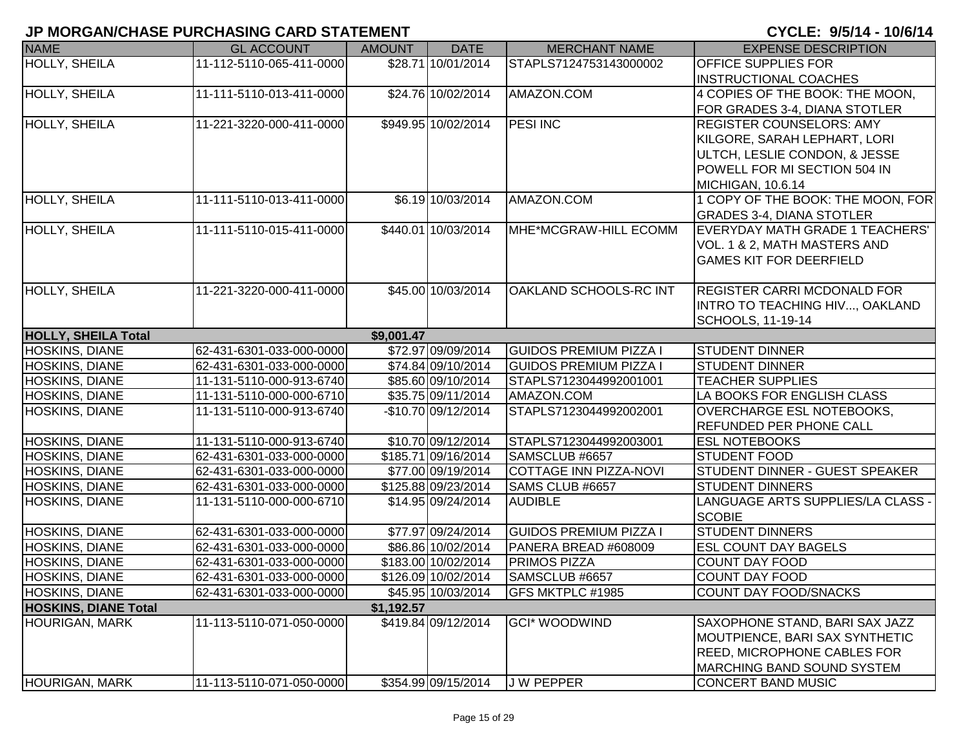| <b>NAME</b>                 | <b>GL ACCOUNT</b>        | <b>AMOUNT</b> | <b>DATE</b>         | <b>MERCHANT NAME</b>          | <b>EXPENSE DESCRIPTION</b>         |
|-----------------------------|--------------------------|---------------|---------------------|-------------------------------|------------------------------------|
| <b>HOLLY, SHEILA</b>        | 11-112-5110-065-411-0000 |               | \$28.71 10/01/2014  | STAPLS7124753143000002        | <b>OFFICE SUPPLIES FOR</b>         |
|                             |                          |               |                     |                               | <b>INSTRUCTIONAL COACHES</b>       |
| HOLLY, SHEILA               | 11-111-5110-013-411-0000 |               | \$24.76 10/02/2014  | AMAZON.COM                    | 4 COPIES OF THE BOOK: THE MOON,    |
|                             |                          |               |                     |                               | FOR GRADES 3-4, DIANA STOTLER      |
| <b>HOLLY, SHEILA</b>        | 11-221-3220-000-411-0000 |               | \$949.95 10/02/2014 | <b>PESI INC</b>               | <b>REGISTER COUNSELORS: AMY</b>    |
|                             |                          |               |                     |                               | KILGORE, SARAH LEPHART, LORI       |
|                             |                          |               |                     |                               | ULTCH, LESLIE CONDON, & JESSE      |
|                             |                          |               |                     |                               | POWELL FOR MI SECTION 504 IN       |
|                             |                          |               |                     |                               | MICHIGAN, 10.6.14                  |
| HOLLY, SHEILA               | 11-111-5110-013-411-0000 |               | \$6.19 10/03/2014   | AMAZON.COM                    | 1 COPY OF THE BOOK: THE MOON, FOR  |
|                             |                          |               |                     |                               | <b>GRADES 3-4, DIANA STOTLER</b>   |
| HOLLY, SHEILA               | 11-111-5110-015-411-0000 |               | \$440.01 10/03/2014 | MHE*MCGRAW-HILL ECOMM         | EVERYDAY MATH GRADE 1 TEACHERS'    |
|                             |                          |               |                     |                               | VOL. 1 & 2, MATH MASTERS AND       |
|                             |                          |               |                     |                               | <b>GAMES KIT FOR DEERFIELD</b>     |
|                             |                          |               |                     |                               |                                    |
| HOLLY, SHEILA               | 11-221-3220-000-411-0000 |               | \$45.00 10/03/2014  | OAKLAND SCHOOLS-RC INT        | <b>REGISTER CARRI MCDONALD FOR</b> |
|                             |                          |               |                     |                               | INTRO TO TEACHING HIV, OAKLAND     |
|                             |                          |               |                     |                               | SCHOOLS, 11-19-14                  |
| <b>HOLLY, SHEILA Total</b>  |                          | \$9,001.47    |                     |                               |                                    |
| <b>HOSKINS, DIANE</b>       | 62-431-6301-033-000-0000 |               | \$72.97 09/09/2014  | <b>GUIDOS PREMIUM PIZZA I</b> | <b>STUDENT DINNER</b>              |
| <b>HOSKINS, DIANE</b>       | 62-431-6301-033-000-0000 |               | \$74.84 09/10/2014  | <b>GUIDOS PREMIUM PIZZA I</b> | <b>STUDENT DINNER</b>              |
| HOSKINS, DIANE              | 11-131-5110-000-913-6740 |               | \$85.60 09/10/2014  | STAPLS7123044992001001        | <b>TEACHER SUPPLIES</b>            |
| HOSKINS, DIANE              | 11-131-5110-000-000-6710 |               | \$35.75 09/11/2014  | AMAZON.COM                    | LA BOOKS FOR ENGLISH CLASS         |
| HOSKINS, DIANE              | 11-131-5110-000-913-6740 |               | -\$10.70 09/12/2014 | STAPLS7123044992002001        | <b>OVERCHARGE ESL NOTEBOOKS,</b>   |
|                             |                          |               |                     |                               | <b>REFUNDED PER PHONE CALL</b>     |
| HOSKINS, DIANE              | 11-131-5110-000-913-6740 |               | \$10.70 09/12/2014  | STAPLS7123044992003001        | <b>ESL NOTEBOOKS</b>               |
| <b>HOSKINS, DIANE</b>       | 62-431-6301-033-000-0000 |               | \$185.71 09/16/2014 | SAMSCLUB #6657                | <b>STUDENT FOOD</b>                |
| <b>HOSKINS, DIANE</b>       | 62-431-6301-033-000-0000 |               | \$77.00 09/19/2014  | COTTAGE INN PIZZA-NOVI        | STUDENT DINNER - GUEST SPEAKER     |
| HOSKINS, DIANE              | 62-431-6301-033-000-0000 |               | \$125.88 09/23/2014 | SAMS CLUB #6657               | <b>STUDENT DINNERS</b>             |
| HOSKINS, DIANE              | 11-131-5110-000-000-6710 |               | \$14.95 09/24/2014  | <b>AUDIBLE</b>                | LANGUAGE ARTS SUPPLIES/LA CLASS -  |
|                             |                          |               |                     |                               | <b>SCOBIE</b>                      |
| <b>HOSKINS, DIANE</b>       | 62-431-6301-033-000-0000 |               | \$77.97 09/24/2014  | <b>GUIDOS PREMIUM PIZZA I</b> | <b>STUDENT DINNERS</b>             |
| HOSKINS, DIANE              | 62-431-6301-033-000-0000 |               | \$86.86 10/02/2014  | PANERA BREAD #608009          | <b>ESL COUNT DAY BAGELS</b>        |
| HOSKINS, DIANE              | 62-431-6301-033-000-0000 |               | \$183.00 10/02/2014 | <b>PRIMOS PIZZA</b>           | <b>COUNT DAY FOOD</b>              |
| <b>HOSKINS, DIANE</b>       | 62-431-6301-033-000-0000 |               | \$126.09 10/02/2014 | SAMSCLUB #6657                | <b>COUNT DAY FOOD</b>              |
| HOSKINS, DIANE              | 62-431-6301-033-000-0000 |               | \$45.95 10/03/2014  | GFS MKTPLC #1985              | COUNT DAY FOOD/SNACKS              |
| <b>HOSKINS, DIANE Total</b> |                          | \$1,192.57    |                     |                               |                                    |
| <b>HOURIGAN, MARK</b>       | 11-113-5110-071-050-0000 |               | \$419.84 09/12/2014 | <b>GCI* WOODWIND</b>          | SAXOPHONE STAND, BARI SAX JAZZ     |
|                             |                          |               |                     |                               | MOUTPIENCE, BARI SAX SYNTHETIC     |
|                             |                          |               |                     |                               | <b>REED, MICROPHONE CABLES FOR</b> |
|                             |                          |               |                     |                               | MARCHING BAND SOUND SYSTEM         |
| <b>HOURIGAN, MARK</b>       | 11-113-5110-071-050-0000 |               | \$354.99 09/15/2014 | <b>JW PEPPER</b>              | CONCERT BAND MUSIC                 |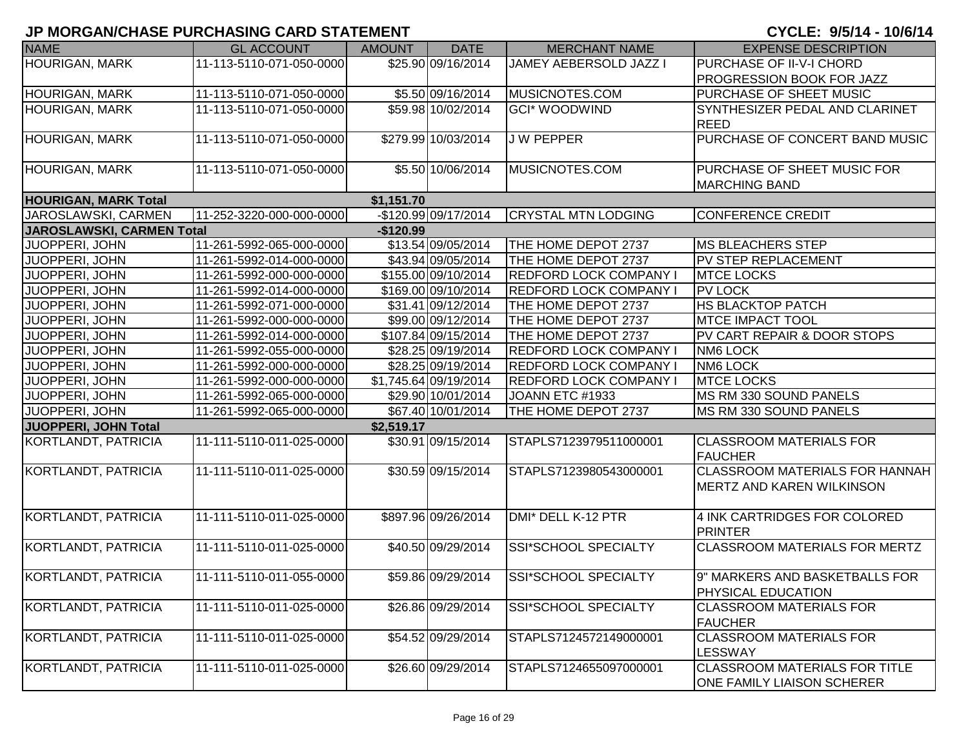| <b>NAME</b>                      | <b>GL ACCOUNT</b>        | <b>AMOUNT</b> | <b>DATE</b>           | <b>MERCHANT NAME</b>          | <b>EXPENSE DESCRIPTION</b>           |
|----------------------------------|--------------------------|---------------|-----------------------|-------------------------------|--------------------------------------|
| <b>HOURIGAN, MARK</b>            | 11-113-5110-071-050-0000 |               | \$25.90 09/16/2014    | JAMEY AEBERSOLD JAZZ I        | PURCHASE OF II-V-I CHORD             |
|                                  |                          |               |                       |                               | PROGRESSION BOOK FOR JAZZ            |
| <b>HOURIGAN, MARK</b>            | 11-113-5110-071-050-0000 |               | \$5.50 09/16/2014     | MUSICNOTES.COM                | PURCHASE OF SHEET MUSIC              |
| <b>HOURIGAN, MARK</b>            | 11-113-5110-071-050-0000 |               | \$59.98 10/02/2014    | <b>GCI* WOODWIND</b>          | SYNTHESIZER PEDAL AND CLARINET       |
|                                  |                          |               |                       |                               | <b>REED</b>                          |
| <b>HOURIGAN, MARK</b>            | 11-113-5110-071-050-0000 |               | \$279.99 10/03/2014   | <b>JW PEPPER</b>              | PURCHASE OF CONCERT BAND MUSIC       |
|                                  |                          |               |                       |                               |                                      |
| <b>HOURIGAN, MARK</b>            | 11-113-5110-071-050-0000 |               | \$5.50 10/06/2014     | MUSICNOTES.COM                | PURCHASE OF SHEET MUSIC FOR          |
|                                  |                          |               |                       |                               | <b>MARCHING BAND</b>                 |
| <b>HOURIGAN, MARK Total</b>      |                          | \$1,151.70    |                       |                               |                                      |
| JAROSLAWSKI, CARMEN              | 11-252-3220-000-000-0000 |               | -\$120.99 09/17/2014  | <b>CRYSTAL MTN LODGING</b>    | <b>CONFERENCE CREDIT</b>             |
| <b>JAROSLAWSKI, CARMEN Total</b> |                          | $-$120.99$    |                       |                               |                                      |
| JUOPPERI, JOHN                   | 11-261-5992-065-000-0000 |               | \$13.54 09/05/2014    | THE HOME DEPOT 2737           | <b>MS BLEACHERS STEP</b>             |
| JUOPPERI, JOHN                   | 11-261-5992-014-000-0000 |               | \$43.94 09/05/2014    | THE HOME DEPOT 2737           | PV STEP REPLACEMENT                  |
| <b>JUOPPERI, JOHN</b>            | 11-261-5992-000-000-0000 |               | \$155.00 09/10/2014   | <b>REDFORD LOCK COMPANY I</b> | <b>MTCE LOCKS</b>                    |
| JUOPPERI, JOHN                   | 11-261-5992-014-000-0000 |               | \$169.00 09/10/2014   | <b>REDFORD LOCK COMPANY I</b> | <b>PV LOCK</b>                       |
| JUOPPERI, JOHN                   | 11-261-5992-071-000-0000 |               | \$31.41 09/12/2014    | THE HOME DEPOT 2737           | <b>HS BLACKTOP PATCH</b>             |
| JUOPPERI, JOHN                   | 11-261-5992-000-000-0000 |               | \$99.00 09/12/2014    | THE HOME DEPOT 2737           | <b>MTCE IMPACT TOOL</b>              |
| JUOPPERI, JOHN                   | 11-261-5992-014-000-0000 |               | \$107.84 09/15/2014   | THE HOME DEPOT 2737           | PV CART REPAIR & DOOR STOPS          |
| JUOPPERI, JOHN                   | 11-261-5992-055-000-0000 |               | \$28.25 09/19/2014    | <b>REDFORD LOCK COMPANY I</b> | <b>NM6 LOCK</b>                      |
| <b>JUOPPERI, JOHN</b>            | 11-261-5992-000-000-0000 |               | \$28.25 09/19/2014    | <b>REDFORD LOCK COMPANY I</b> | NM6 LOCK                             |
| JUOPPERI, JOHN                   | 11-261-5992-000-000-0000 |               | \$1,745.64 09/19/2014 | <b>REDFORD LOCK COMPANY I</b> | <b>MTCE LOCKS</b>                    |
| JUOPPERI, JOHN                   | 11-261-5992-065-000-0000 |               | \$29.90 10/01/2014    | JOANN ETC #1933               | MS RM 330 SOUND PANELS               |
| <b>JUOPPERI, JOHN</b>            | 11-261-5992-065-000-0000 |               | \$67.40 10/01/2014    | THE HOME DEPOT 2737           | MS RM 330 SOUND PANELS               |
| JUOPPERI, JOHN Total             |                          | \$2,519.17    |                       |                               |                                      |
| KORTLANDT, PATRICIA              | 11-111-5110-011-025-0000 |               | \$30.91 09/15/2014    | STAPLS7123979511000001        | <b>CLASSROOM MATERIALS FOR</b>       |
|                                  |                          |               |                       |                               | <b>FAUCHER</b>                       |
| KORTLANDT, PATRICIA              | 11-111-5110-011-025-0000 |               | \$30.59 09/15/2014    | STAPLS7123980543000001        | CLASSROOM MATERIALS FOR HANNAH       |
|                                  |                          |               |                       |                               | <b>MERTZ AND KAREN WILKINSON</b>     |
|                                  |                          |               |                       |                               |                                      |
| KORTLANDT, PATRICIA              | 11-111-5110-011-025-0000 |               | \$897.96 09/26/2014   | DMI* DELL K-12 PTR            | 4 INK CARTRIDGES FOR COLORED         |
|                                  |                          |               |                       |                               | <b>PRINTER</b>                       |
| KORTLANDT, PATRICIA              | 11-111-5110-011-025-0000 |               | \$40.50 09/29/2014    | SSI*SCHOOL SPECIALTY          | <b>CLASSROOM MATERIALS FOR MERTZ</b> |
|                                  |                          |               |                       |                               |                                      |
| KORTLANDT, PATRICIA              | 11-111-5110-011-055-0000 |               | \$59.86 09/29/2014    | SSI*SCHOOL SPECIALTY          | 9" MARKERS AND BASKETBALLS FOR       |
|                                  |                          |               |                       |                               | PHYSICAL EDUCATION                   |
| KORTLANDT, PATRICIA              | 11-111-5110-011-025-0000 |               | \$26.86 09/29/2014    | SSI*SCHOOL SPECIALTY          | <b>CLASSROOM MATERIALS FOR</b>       |
|                                  |                          |               |                       |                               | <b>FAUCHER</b>                       |
| KORTLANDT, PATRICIA              | 11-111-5110-011-025-0000 |               | \$54.52 09/29/2014    | STAPLS7124572149000001        | <b>CLASSROOM MATERIALS FOR</b>       |
|                                  |                          |               |                       |                               | LESSWAY                              |
| KORTLANDT, PATRICIA              | 11-111-5110-011-025-0000 |               | \$26.60 09/29/2014    | STAPLS7124655097000001        | CLASSROOM MATERIALS FOR TITLE        |
|                                  |                          |               |                       |                               | ONE FAMILY LIAISON SCHERER           |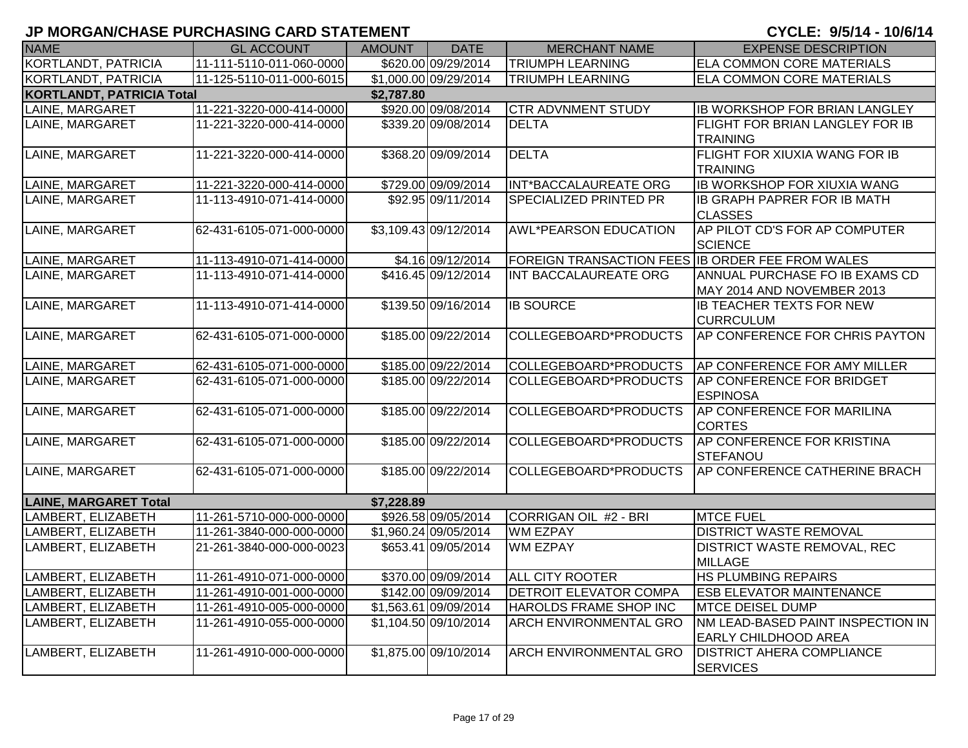| <b>NAME</b>                      | <b>GL ACCOUNT</b>        | <b>AMOUNT</b> | <b>DATE</b>           | <b>MERCHANT NAME</b>                             | <b>EXPENSE DESCRIPTION</b>                                              |
|----------------------------------|--------------------------|---------------|-----------------------|--------------------------------------------------|-------------------------------------------------------------------------|
| KORTLANDT, PATRICIA              | 11-111-5110-011-060-0000 |               | \$620.00 09/29/2014   | <b>TRIUMPH LEARNING</b>                          | <b>ELA COMMON CORE MATERIALS</b>                                        |
| <b>KORTLANDT, PATRICIA</b>       | 11-125-5110-011-000-6015 |               | \$1,000.00 09/29/2014 | <b>TRIUMPH LEARNING</b>                          | <b>ELA COMMON CORE MATERIALS</b>                                        |
| <b>KORTLANDT, PATRICIA Total</b> |                          | \$2,787.80    |                       |                                                  |                                                                         |
| LAINE, MARGARET                  | 11-221-3220-000-414-0000 |               | \$920.00 09/08/2014   | <b>CTR ADVNMENT STUDY</b>                        | <b>IB WORKSHOP FOR BRIAN LANGLEY</b>                                    |
| LAINE, MARGARET                  | 11-221-3220-000-414-0000 |               | \$339.20 09/08/2014   | <b>DELTA</b>                                     | <b>FLIGHT FOR BRIAN LANGLEY FOR IB</b><br><b>TRAINING</b>               |
| LAINE, MARGARET                  | 11-221-3220-000-414-0000 |               | \$368.20 09/09/2014   | <b>DELTA</b>                                     | <b>FLIGHT FOR XIUXIA WANG FOR IB</b><br><b>TRAINING</b>                 |
| LAINE, MARGARET                  | 11-221-3220-000-414-0000 |               | \$729.00 09/09/2014   | INT*BACCALAUREATE ORG                            | <b>IB WORKSHOP FOR XIUXIA WANG</b>                                      |
| LAINE, MARGARET                  | 11-113-4910-071-414-0000 |               | \$92.95 09/11/2014    | SPECIALIZED PRINTED PR                           | <b>IB GRAPH PAPRER FOR IB MATH</b><br><b>CLASSES</b>                    |
| LAINE, MARGARET                  | 62-431-6105-071-000-0000 |               | \$3,109.43 09/12/2014 | <b>AWL*PEARSON EDUCATION</b>                     | AP PILOT CD'S FOR AP COMPUTER<br><b>SCIENCE</b>                         |
| LAINE, MARGARET                  | 11-113-4910-071-414-0000 |               | \$4.16 09/12/2014     | FOREIGN TRANSACTION FEES IB ORDER FEE FROM WALES |                                                                         |
| LAINE, MARGARET                  | 11-113-4910-071-414-0000 |               | \$416.45 09/12/2014   | INT BACCALAUREATE ORG                            | ANNUAL PURCHASE FO IB EXAMS CD<br>MAY 2014 AND NOVEMBER 2013            |
| LAINE, MARGARET                  | 11-113-4910-071-414-0000 |               | \$139.50 09/16/2014   | <b>IB SOURCE</b>                                 | <b>IB TEACHER TEXTS FOR NEW</b><br><b>CURRCULUM</b>                     |
| LAINE, MARGARET                  | 62-431-6105-071-000-0000 |               | \$185.00 09/22/2014   | COLLEGEBOARD*PRODUCTS                            | AP CONFERENCE FOR CHRIS PAYTON                                          |
| LAINE, MARGARET                  | 62-431-6105-071-000-0000 |               | \$185.00 09/22/2014   | COLLEGEBOARD*PRODUCTS                            | AP CONFERENCE FOR AMY MILLER                                            |
| <b>LAINE, MARGARET</b>           | 62-431-6105-071-000-0000 |               | \$185.00 09/22/2014   | COLLEGEBOARD*PRODUCTS                            | AP CONFERENCE FOR BRIDGET<br><b>ESPINOSA</b>                            |
| LAINE, MARGARET                  | 62-431-6105-071-000-0000 |               | \$185.00 09/22/2014   | COLLEGEBOARD*PRODUCTS                            | AP CONFERENCE FOR MARILINA<br><b>CORTES</b>                             |
| LAINE, MARGARET                  | 62-431-6105-071-000-0000 |               | \$185.00 09/22/2014   | COLLEGEBOARD*PRODUCTS                            | AP CONFERENCE FOR KRISTINA<br>STEFANOU                                  |
| LAINE, MARGARET                  | 62-431-6105-071-000-0000 |               | \$185.00 09/22/2014   | COLLEGEBOARD*PRODUCTS                            | AP CONFERENCE CATHERINE BRACH                                           |
| <b>LAINE, MARGARET Total</b>     |                          | \$7,228.89    |                       |                                                  |                                                                         |
| LAMBERT, ELIZABETH               | 11-261-5710-000-000-0000 |               | \$926.58 09/05/2014   | CORRIGAN OIL #2 - BRI                            | <b>MTCE FUEL</b>                                                        |
| LAMBERT, ELIZABETH               | 11-261-3840-000-000-0000 |               | \$1,960.24 09/05/2014 | <b>WM EZPAY</b>                                  | <b>DISTRICT WASTE REMOVAL</b>                                           |
| LAMBERT, ELIZABETH               | 21-261-3840-000-000-0023 |               | \$653.41 09/05/2014   | <b>WM EZPAY</b>                                  | <b>DISTRICT WASTE REMOVAL, REC</b><br><b>MILLAGE</b>                    |
| LAMBERT, ELIZABETH               | 11-261-4910-071-000-0000 |               | \$370.00 09/09/2014   | <b>ALL CITY ROOTER</b>                           | <b>HS PLUMBING REPAIRS</b>                                              |
| LAMBERT, ELIZABETH               | 11-261-4910-001-000-0000 |               | \$142.00 09/09/2014   | <b>DETROIT ELEVATOR COMPA</b>                    | <b>ESB ELEVATOR MAINTENANCE</b>                                         |
| LAMBERT, ELIZABETH               | 11-261-4910-005-000-0000 |               | \$1,563.61 09/09/2014 | HAROLDS FRAME SHOP INC                           | <b>MTCE DEISEL DUMP</b>                                                 |
| LAMBERT, ELIZABETH               | 11-261-4910-055-000-0000 |               | \$1,104.50 09/10/2014 | <b>ARCH ENVIRONMENTAL GRO</b>                    | <b>NM LEAD-BASED PAINT INSPECTION IN</b><br><b>EARLY CHILDHOOD AREA</b> |
| LAMBERT, ELIZABETH               | 11-261-4910-000-000-0000 |               | \$1,875.00 09/10/2014 | <b>ARCH ENVIRONMENTAL GRO</b>                    | <b>DISTRICT AHERA COMPLIANCE</b><br><b>ISERVICES</b>                    |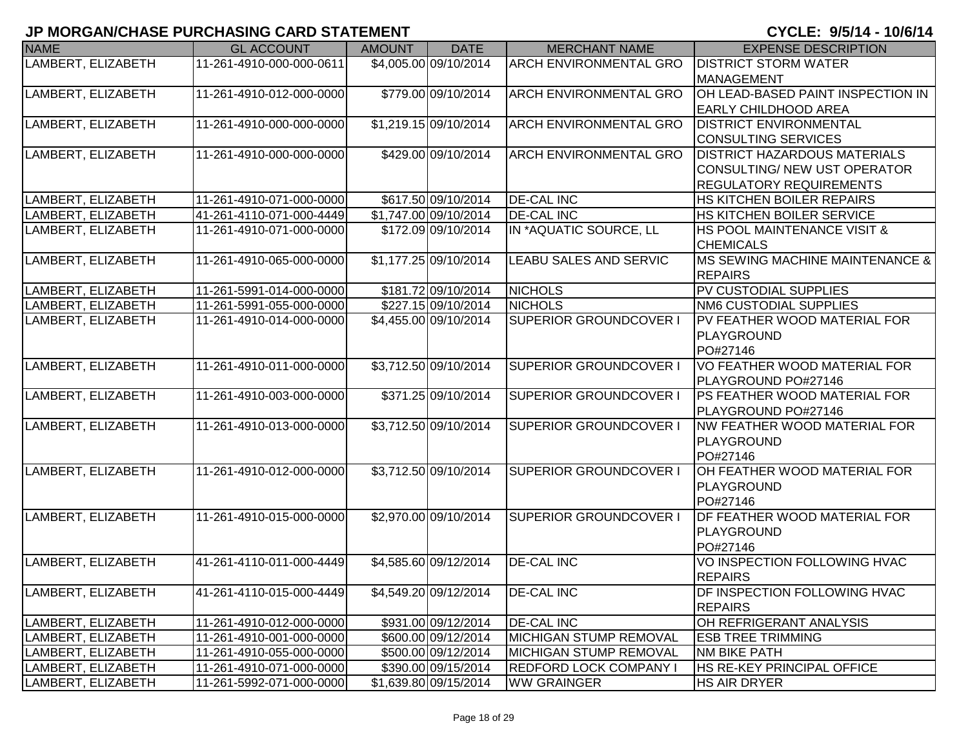| <b>NAME</b>        | <b>GL ACCOUNT</b>        | <b>AMOUNT</b> | <b>DATE</b>           | <b>MERCHANT NAME</b>          | <b>EXPENSE DESCRIPTION</b>                 |
|--------------------|--------------------------|---------------|-----------------------|-------------------------------|--------------------------------------------|
| LAMBERT, ELIZABETH | 11-261-4910-000-000-0611 |               | \$4,005.00 09/10/2014 | <b>ARCH ENVIRONMENTAL GRO</b> | <b>DISTRICT STORM WATER</b>                |
|                    |                          |               |                       |                               | <b>MANAGEMENT</b>                          |
| LAMBERT, ELIZABETH | 11-261-4910-012-000-0000 |               | \$779.00 09/10/2014   | <b>ARCH ENVIRONMENTAL GRO</b> | OH LEAD-BASED PAINT INSPECTION IN          |
|                    |                          |               |                       |                               | <b>EARLY CHILDHOOD AREA</b>                |
| LAMBERT, ELIZABETH | 11-261-4910-000-000-0000 |               | \$1,219.15 09/10/2014 | <b>ARCH ENVIRONMENTAL GRO</b> | <b>DISTRICT ENVIRONMENTAL</b>              |
|                    |                          |               |                       |                               | <b>CONSULTING SERVICES</b>                 |
| LAMBERT, ELIZABETH | 11-261-4910-000-000-0000 |               | \$429.00 09/10/2014   | <b>ARCH ENVIRONMENTAL GRO</b> | <b>IDISTRICT HAZARDOUS MATERIALS</b>       |
|                    |                          |               |                       |                               | CONSULTING/ NEW UST OPERATOR               |
|                    |                          |               |                       |                               | <b>REGULATORY REQUIREMENTS</b>             |
| LAMBERT, ELIZABETH | 11-261-4910-071-000-0000 |               | \$617.50 09/10/2014   | <b>DE-CAL INC</b>             | HS KITCHEN BOILER REPAIRS                  |
| LAMBERT, ELIZABETH | 41-261-4110-071-000-4449 |               | \$1,747.00 09/10/2014 | <b>DE-CAL INC</b>             | HS KITCHEN BOILER SERVICE                  |
| LAMBERT, ELIZABETH | 11-261-4910-071-000-0000 |               | \$172.09 09/10/2014   | IN *AQUATIC SOURCE, LL        | <b>HS POOL MAINTENANCE VISIT &amp;</b>     |
|                    |                          |               |                       |                               | <b>CHEMICALS</b>                           |
| LAMBERT, ELIZABETH | 11-261-4910-065-000-0000 |               | \$1,177.25 09/10/2014 | <b>LEABU SALES AND SERVIC</b> | <b>MS SEWING MACHINE MAINTENANCE &amp;</b> |
|                    |                          |               |                       |                               | <b>REPAIRS</b>                             |
| LAMBERT, ELIZABETH | 11-261-5991-014-000-0000 |               | \$181.72 09/10/2014   | <b>NICHOLS</b>                | <b>PV CUSTODIAL SUPPLIES</b>               |
| LAMBERT, ELIZABETH | 11-261-5991-055-000-0000 |               | \$227.15 09/10/2014   | <b>NICHOLS</b>                | NM6 CUSTODIAL SUPPLIES                     |
| LAMBERT, ELIZABETH | 11-261-4910-014-000-0000 |               | \$4,455.00 09/10/2014 | <b>SUPERIOR GROUNDCOVER I</b> | PV FEATHER WOOD MATERIAL FOR               |
|                    |                          |               |                       |                               | PLAYGROUND                                 |
|                    |                          |               |                       |                               | PO#27146                                   |
| LAMBERT, ELIZABETH | 11-261-4910-011-000-0000 |               | \$3,712.50 09/10/2014 | <b>SUPERIOR GROUNDCOVER I</b> | VO FEATHER WOOD MATERIAL FOR               |
|                    |                          |               |                       |                               | PLAYGROUND PO#27146                        |
| LAMBERT, ELIZABETH | 11-261-4910-003-000-0000 |               | \$371.25 09/10/2014   | <b>SUPERIOR GROUNDCOVER I</b> | <b>PS FEATHER WOOD MATERIAL FOR</b>        |
|                    |                          |               |                       |                               | PLAYGROUND PO#27146                        |
| LAMBERT, ELIZABETH | 11-261-4910-013-000-0000 |               | \$3,712.50 09/10/2014 | <b>SUPERIOR GROUNDCOVER I</b> | <b>NW FEATHER WOOD MATERIAL FOR</b>        |
|                    |                          |               |                       |                               | PLAYGROUND                                 |
|                    |                          |               |                       |                               | PO#27146                                   |
| LAMBERT, ELIZABETH | 11-261-4910-012-000-0000 |               | \$3,712.50 09/10/2014 | <b>SUPERIOR GROUNDCOVER I</b> | OH FEATHER WOOD MATERIAL FOR               |
|                    |                          |               |                       |                               | PLAYGROUND                                 |
|                    |                          |               |                       |                               | PO#27146                                   |
| LAMBERT, ELIZABETH | 11-261-4910-015-000-0000 |               | \$2,970.00 09/10/2014 | <b>SUPERIOR GROUNDCOVER I</b> | <b>DF FEATHER WOOD MATERIAL FOR</b>        |
|                    |                          |               |                       |                               | PLAYGROUND                                 |
|                    |                          |               |                       |                               | PO#27146                                   |
| LAMBERT, ELIZABETH | 41-261-4110-011-000-4449 |               | \$4,585.60 09/12/2014 | <b>DE-CAL INC</b>             | VO INSPECTION FOLLOWING HVAC               |
|                    |                          |               |                       |                               | <b>REPAIRS</b>                             |
| LAMBERT, ELIZABETH | 41-261-4110-015-000-4449 |               | \$4,549.20 09/12/2014 | <b>DE-CAL INC</b>             | <b>DF INSPECTION FOLLOWING HVAC</b>        |
|                    |                          |               |                       |                               | <b>REPAIRS</b>                             |
| LAMBERT, ELIZABETH | 11-261-4910-012-000-0000 |               | \$931.00 09/12/2014   | <b>DE-CAL INC</b>             | OH REFRIGERANT ANALYSIS                    |
| LAMBERT, ELIZABETH | 11-261-4910-001-000-0000 |               | \$600.00 09/12/2014   | <b>MICHIGAN STUMP REMOVAL</b> | <b>ESB TREE TRIMMING</b>                   |
| LAMBERT, ELIZABETH | 11-261-4910-055-000-0000 |               | \$500.00 09/12/2014   | MICHIGAN STUMP REMOVAL        | <b>NM BIKE PATH</b>                        |
| LAMBERT, ELIZABETH | 11-261-4910-071-000-0000 |               | \$390.00 09/15/2014   | <b>REDFORD LOCK COMPANY I</b> | <b>HS RE-KEY PRINCIPAL OFFICE</b>          |
| LAMBERT, ELIZABETH | 11-261-5992-071-000-0000 |               | \$1,639.80 09/15/2014 | <b>WW GRAINGER</b>            | <b>HS AIR DRYER</b>                        |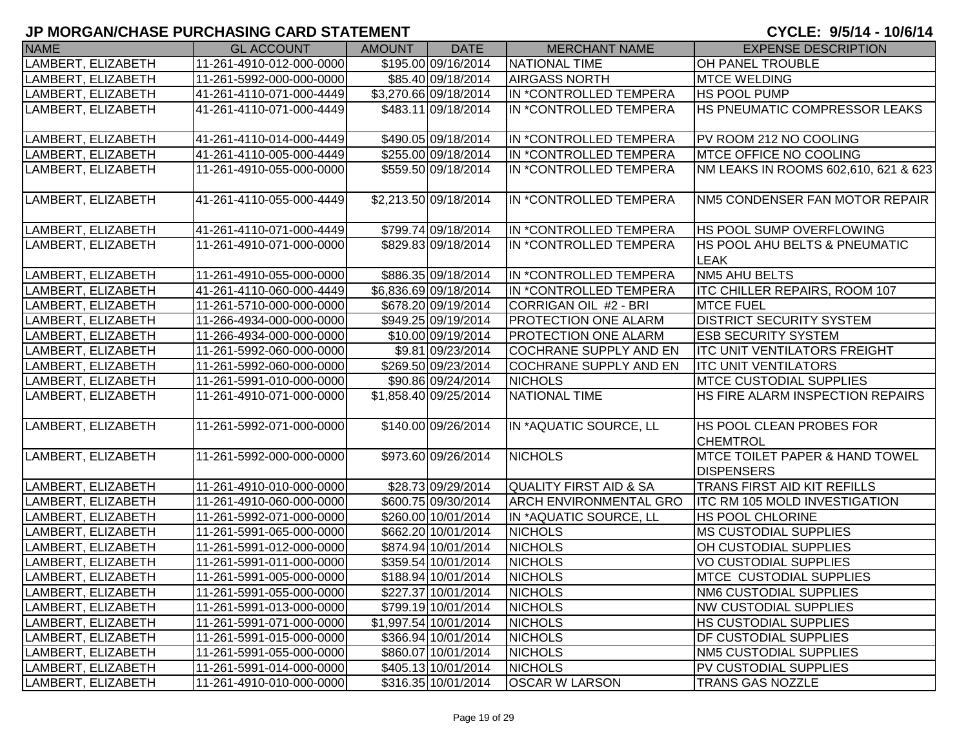| <b>NAME</b>                                            | <b>GL ACCOUNT</b>        | AMOUNT | <b>DATE</b>                                  | <b>MERCHANT NAME</b>              | <b>EXPENSE DESCRIPTION</b>                |
|--------------------------------------------------------|--------------------------|--------|----------------------------------------------|-----------------------------------|-------------------------------------------|
| LAMBERT, ELIZABETH                                     | 11-261-4910-012-000-0000 |        | \$195.00 09/16/2014                          | NATIONAL TIME                     | OH PANEL TROUBLE                          |
| LAMBERT, ELIZABETH                                     | 11-261-5992-000-000-0000 |        | \$85.40 09/18/2014                           | <b>AIRGASS NORTH</b>              | <b>MTCE WELDING</b>                       |
| LAMBERT, ELIZABETH                                     | 41-261-4110-071-000-4449 |        | \$3,270.66 09/18/2014                        | IN *CONTROLLED TEMPERA            | <b>HS POOL PUMP</b>                       |
| LAMBERT, ELIZABETH                                     | 41-261-4110-071-000-4449 |        | \$483.11 09/18/2014                          | IN *CONTROLLED TEMPERA            | HS PNEUMATIC COMPRESSOR LEAKS             |
|                                                        |                          |        |                                              |                                   |                                           |
| LAMBERT, ELIZABETH                                     | 41-261-4110-014-000-4449 |        | \$490.05 09/18/2014                          | IN *CONTROLLED TEMPERA            | PV ROOM 212 NO COOLING                    |
| LAMBERT, ELIZABETH                                     | 41-261-4110-005-000-4449 |        | \$255.00 09/18/2014                          | IN *CONTROLLED TEMPERA            | MTCE OFFICE NO COOLING                    |
| LAMBERT, ELIZABETH                                     | 11-261-4910-055-000-0000 |        | \$559.50 09/18/2014                          | IN *CONTROLLED TEMPERA            | NM LEAKS IN ROOMS 602,610, 621 & 623      |
|                                                        |                          |        |                                              |                                   |                                           |
| LAMBERT, ELIZABETH                                     | 41-261-4110-055-000-4449 |        | \$2,213.50 09/18/2014                        | IN *CONTROLLED TEMPERA            | NM5 CONDENSER FAN MOTOR REPAIR            |
|                                                        |                          |        |                                              |                                   |                                           |
| LAMBERT, ELIZABETH                                     | 41-261-4110-071-000-4449 |        | \$799.74 09/18/2014                          | IN *CONTROLLED TEMPERA            | HS POOL SUMP OVERFLOWING                  |
| LAMBERT, ELIZABETH                                     | 11-261-4910-071-000-0000 |        | \$829.83 09/18/2014                          | IN *CONTROLLED TEMPERA            | HS POOL AHU BELTS & PNEUMATIC             |
|                                                        |                          |        |                                              |                                   | <b>LEAK</b><br>NM5 AHU BELTS              |
| LAMBERT, ELIZABETH                                     | 11-261-4910-055-000-0000 |        | \$886.35 09/18/2014<br>\$6,836.69 09/18/2014 | IN *CONTROLLED TEMPERA            | <b>ITC CHILLER REPAIRS, ROOM 107</b>      |
| <b>_AMBERT, ELIZABETH</b><br><b>_AMBERT, ELIZABETH</b> | 41-261-4110-060-000-4449 |        |                                              | IN *CONTROLLED TEMPERA            | <b>MTCE FUEL</b>                          |
|                                                        | 11-261-5710-000-000-0000 |        | \$678.20 09/19/2014                          | CORRIGAN OIL #2 - BRI             |                                           |
| LAMBERT, ELIZABETH<br>LAMBERT, ELIZABETH               | 11-266-4934-000-000-0000 |        | \$949.25 09/19/2014                          | <b>PROTECTION ONE ALARM</b>       | <b>DISTRICT SECURITY SYSTEM</b>           |
| LAMBERT, ELIZABETH                                     | 11-266-4934-000-000-0000 |        | \$10.00 09/19/2014                           | <b>PROTECTION ONE ALARM</b>       | <b>ESB SECURITY SYSTEM</b>                |
|                                                        | 11-261-5992-060-000-0000 |        | \$9.81 09/23/2014                            | <b>COCHRANE SUPPLY AND EN</b>     | <b>ITC UNIT VENTILATORS FREIGHT</b>       |
| LAMBERT, ELIZABETH                                     | 11-261-5992-060-000-0000 |        | \$269.50 09/23/2014                          | <b>COCHRANE SUPPLY AND EN</b>     | <b>ITC UNIT VENTILATORS</b>               |
| LAMBERT, ELIZABETH                                     | 11-261-5991-010-000-0000 |        | \$90.86 09/24/2014                           | <b>NICHOLS</b>                    | <b>IMTCE CUSTODIAL SUPPLIES</b>           |
| LAMBERT, ELIZABETH                                     | 11-261-4910-071-000-0000 |        | \$1,858.40 09/25/2014                        | NATIONAL TIME                     | HS FIRE ALARM INSPECTION REPAIRS          |
| LAMBERT, ELIZABETH                                     | 11-261-5992-071-000-0000 |        | \$140.00 09/26/2014                          | IN *AQUATIC SOURCE, LL            | HS POOL CLEAN PROBES FOR                  |
|                                                        |                          |        |                                              |                                   | <b>CHEMTROL</b>                           |
| LAMBERT, ELIZABETH                                     | 11-261-5992-000-000-0000 |        | \$973.60 09/26/2014                          | <b>NICHOLS</b>                    | <b>MTCE TOILET PAPER &amp; HAND TOWEL</b> |
|                                                        |                          |        |                                              |                                   | <b>DISPENSERS</b>                         |
| LAMBERT, ELIZABETH                                     | 11-261-4910-010-000-0000 |        | \$28.73 09/29/2014                           | <b>QUALITY FIRST AID &amp; SA</b> | TRANS FIRST AID KIT REFILLS               |
| LAMBERT, ELIZABETH                                     | 11-261-4910-060-000-0000 |        | \$600.75 09/30/2014                          | <b>ARCH ENVIRONMENTAL GRO</b>     | <b>ITC RM 105 MOLD INVESTIGATION</b>      |
| LAMBERT, ELIZABETH                                     | 11-261-5992-071-000-0000 |        | \$260.00 10/01/2014                          | IN *AQUATIC SOURCE, LL            | <b>HS POOL CHLORINE</b>                   |
| LAMBERT, ELIZABETH                                     | 11-261-5991-065-000-0000 |        | \$662.20 10/01/2014                          | <b>NICHOLS</b>                    | <b>MS CUSTODIAL SUPPLIES</b>              |
| LAMBERT, ELIZABETH                                     | 11-261-5991-012-000-0000 |        | \$874.94 10/01/2014                          | <b>NICHOLS</b>                    | OH CUSTODIAL SUPPLIES                     |
| LAMBERT, ELIZABETH                                     | 11-261-5991-011-000-0000 |        | \$359.54 10/01/2014                          | <b>NICHOLS</b>                    | <b>VO CUSTODIAL SUPPLIES</b>              |
| LAMBERT, ELIZABETH                                     | 11-261-5991-005-000-0000 |        | \$188.94 10/01/2014                          | <b>NICHOLS</b>                    | <b>MTCE CUSTODIAL SUPPLIES</b>            |
| LAMBERT, ELIZABETH                                     | 11-261-5991-055-000-0000 |        | \$227.37 10/01/2014                          | <b>NICHOLS</b>                    | <b>NM6 CUSTODIAL SUPPLIES</b>             |
| LAMBERT, ELIZABETH                                     | 11-261-5991-013-000-0000 |        | \$799.19 10/01/2014                          | <b>NICHOLS</b>                    | <b>NW CUSTODIAL SUPPLIES</b>              |
| LAMBERT, ELIZABETH                                     | 11-261-5991-071-000-0000 |        | \$1,997.54 10/01/2014                        | <b>NICHOLS</b>                    | <b>HS CUSTODIAL SUPPLIES</b>              |
| LAMBERT, ELIZABETH                                     | 11-261-5991-015-000-0000 |        | \$366.94 10/01/2014                          | <b>NICHOLS</b>                    | <b>DF CUSTODIAL SUPPLIES</b>              |
| LAMBERT, ELIZABETH                                     | 11-261-5991-055-000-0000 |        | \$860.07 10/01/2014                          | <b>NICHOLS</b>                    | <b>NM5 CUSTODIAL SUPPLIES</b>             |
| LAMBERT, ELIZABETH                                     | 11-261-5991-014-000-0000 |        | \$405.13 10/01/2014                          | <b>NICHOLS</b>                    | PV CUSTODIAL SUPPLIES                     |
| LAMBERT, ELIZABETH                                     | 11-261-4910-010-000-0000 |        | \$316.35 10/01/2014                          | <b>OSCAR W LARSON</b>             | <b>TRANS GAS NOZZLE</b>                   |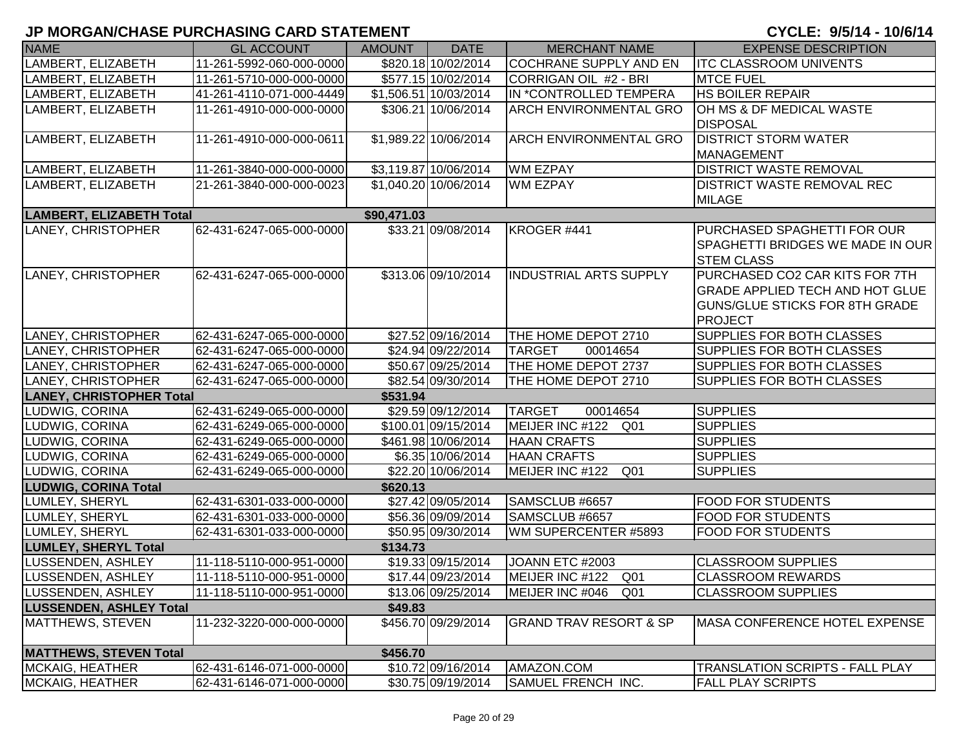| <b>NAME</b>                     | <b>GL ACCOUNT</b>        | <b>AMOUNT</b> | <b>DATE</b>           | <b>MERCHANT NAME</b>              | <b>EXPENSE DESCRIPTION</b>             |
|---------------------------------|--------------------------|---------------|-----------------------|-----------------------------------|----------------------------------------|
| LAMBERT, ELIZABETH              | 11-261-5992-060-000-0000 |               | \$820.18 10/02/2014   | <b>COCHRANE SUPPLY AND EN</b>     | <b>ITC CLASSROOM UNIVENTS</b>          |
| LAMBERT, ELIZABETH              | 11-261-5710-000-000-0000 |               | \$577.15 10/02/2014   | CORRIGAN OIL #2 - BRI             | <b>MTCE FUEL</b>                       |
| LAMBERT, ELIZABETH              | 41-261-4110-071-000-4449 |               | \$1,506.51 10/03/2014 | IN *CONTROLLED TEMPERA            | <b>HS BOILER REPAIR</b>                |
| LAMBERT, ELIZABETH              | 11-261-4910-000-000-0000 |               | \$306.21 10/06/2014   | <b>ARCH ENVIRONMENTAL GRO</b>     | OH MS & DF MEDICAL WASTE               |
|                                 |                          |               |                       |                                   | <b>DISPOSAL</b>                        |
| LAMBERT, ELIZABETH              | 11-261-4910-000-000-0611 |               | \$1,989.22 10/06/2014 | <b>ARCH ENVIRONMENTAL GRO</b>     | <b>DISTRICT STORM WATER</b>            |
|                                 |                          |               |                       |                                   | <b>MANAGEMENT</b>                      |
| LAMBERT, ELIZABETH              | 11-261-3840-000-000-0000 |               | \$3,119.87 10/06/2014 | <b>WM EZPAY</b>                   | <b>DISTRICT WASTE REMOVAL</b>          |
| LAMBERT, ELIZABETH              | 21-261-3840-000-000-0023 |               | \$1,040.20 10/06/2014 | <b>WM EZPAY</b>                   | <b>DISTRICT WASTE REMOVAL REC</b>      |
|                                 |                          |               |                       |                                   | <b>MILAGE</b>                          |
| <b>LAMBERT, ELIZABETH Total</b> |                          | \$90,471.03   |                       |                                   |                                        |
| LANEY, CHRISTOPHER              | 62-431-6247-065-000-0000 |               | \$33.21 09/08/2014    | KROGER #441                       | PURCHASED SPAGHETTI FOR OUR            |
|                                 |                          |               |                       |                                   | SPAGHETTI BRIDGES WE MADE IN OUR       |
|                                 |                          |               |                       |                                   | <b>STEM CLASS</b>                      |
| LANEY, CHRISTOPHER              | 62-431-6247-065-000-0000 |               | \$313.06 09/10/2014   | <b>INDUSTRIAL ARTS SUPPLY</b>     | PURCHASED CO2 CAR KITS FOR 7TH         |
|                                 |                          |               |                       |                                   | <b>GRADE APPLIED TECH AND HOT GLUE</b> |
|                                 |                          |               |                       |                                   | <b>GUNS/GLUE STICKS FOR 8TH GRADE</b>  |
|                                 |                          |               |                       |                                   | <b>PROJECT</b>                         |
| LANEY, CHRISTOPHER              | 62-431-6247-065-000-0000 |               | \$27.52 09/16/2014    | THE HOME DEPOT 2710               | <b>SUPPLIES FOR BOTH CLASSES</b>       |
| LANEY, CHRISTOPHER              | 62-431-6247-065-000-0000 |               | \$24.94 09/22/2014    | <b>TARGET</b><br>00014654         | <b>SUPPLIES FOR BOTH CLASSES</b>       |
| LANEY, CHRISTOPHER              | 62-431-6247-065-000-0000 |               | \$50.67 09/25/2014    | THE HOME DEPOT 2737               | <b>SUPPLIES FOR BOTH CLASSES</b>       |
| LANEY, CHRISTOPHER              | 62-431-6247-065-000-0000 |               | \$82.54 09/30/2014    | THE HOME DEPOT 2710               | <b>SUPPLIES FOR BOTH CLASSES</b>       |
| <b>LANEY, CHRISTOPHER Total</b> |                          | \$531.94      |                       |                                   |                                        |
| LUDWIG, CORINA                  | 62-431-6249-065-000-0000 |               | \$29.59 09/12/2014    | <b>TARGET</b><br>00014654         | <b>SUPPLIES</b>                        |
| LUDWIG, CORINA                  | 62-431-6249-065-000-0000 |               | \$100.01 09/15/2014   | MEIJER INC #122 Q01               | <b>SUPPLIES</b>                        |
| LUDWIG, CORINA                  | 62-431-6249-065-000-0000 |               | \$461.98 10/06/2014   | <b>HAAN CRAFTS</b>                | <b>SUPPLIES</b>                        |
| LUDWIG, CORINA                  | 62-431-6249-065-000-0000 |               | \$6.35 10/06/2014     | <b>HAAN CRAFTS</b>                | <b>SUPPLIES</b>                        |
| LUDWIG, CORINA                  | 62-431-6249-065-000-0000 |               | \$22.20 10/06/2014    | MEIJER INC #122<br>Q01            | <b>SUPPLIES</b>                        |
| <b>LUDWIG, CORINA Total</b>     |                          | \$620.13      |                       |                                   |                                        |
| LUMLEY, SHERYL                  | 62-431-6301-033-000-0000 |               | \$27.42 09/05/2014    | SAMSCLUB #6657                    | <b>FOOD FOR STUDENTS</b>               |
| LUMLEY, SHERYL                  | 62-431-6301-033-000-0000 |               | \$56.36 09/09/2014    | SAMSCLUB #6657                    | <b>FOOD FOR STUDENTS</b>               |
| LUMLEY, SHERYL                  | 62-431-6301-033-000-0000 |               | \$50.95 09/30/2014    | WM SUPERCENTER #5893              | <b>FOOD FOR STUDENTS</b>               |
| <b>LUMLEY, SHERYL Total</b>     |                          | \$134.73      |                       |                                   |                                        |
| LUSSENDEN, ASHLEY               | 11-118-5110-000-951-0000 |               | \$19.33 09/15/2014    | JOANN ETC #2003                   | <b>CLASSROOM SUPPLIES</b>              |
| LUSSENDEN, ASHLEY               | 11-118-5110-000-951-0000 |               | \$17.44 09/23/2014    | MEIJER INC #122 Q01               | <b>CLASSROOM REWARDS</b>               |
| <b>LUSSENDEN, ASHLEY</b>        | 11-118-5110-000-951-0000 |               | \$13.06 09/25/2014    | MEIJER INC #046<br>Q01            | <b>CLASSROOM SUPPLIES</b>              |
| <b>LUSSENDEN, ASHLEY Total</b>  |                          | \$49.83       |                       |                                   |                                        |
| MATTHEWS, STEVEN                | 11-232-3220-000-000-0000 |               | \$456.70 09/29/2014   | <b>GRAND TRAV RESORT &amp; SP</b> | <b>MASA CONFERENCE HOTEL EXPENSE</b>   |
|                                 |                          |               |                       |                                   |                                        |
| <b>MATTHEWS, STEVEN Total</b>   |                          | \$456.70      |                       |                                   |                                        |
| MCKAIG, HEATHER                 | 62-431-6146-071-000-0000 |               | \$10.72 09/16/2014    | AMAZON.COM                        | TRANSLATION SCRIPTS - FALL PLAY        |
| MCKAIG, HEATHER                 | 62-431-6146-071-000-0000 |               | \$30.75 09/19/2014    | <b>SAMUEL FRENCH INC.</b>         | <b>FALL PLAY SCRIPTS</b>               |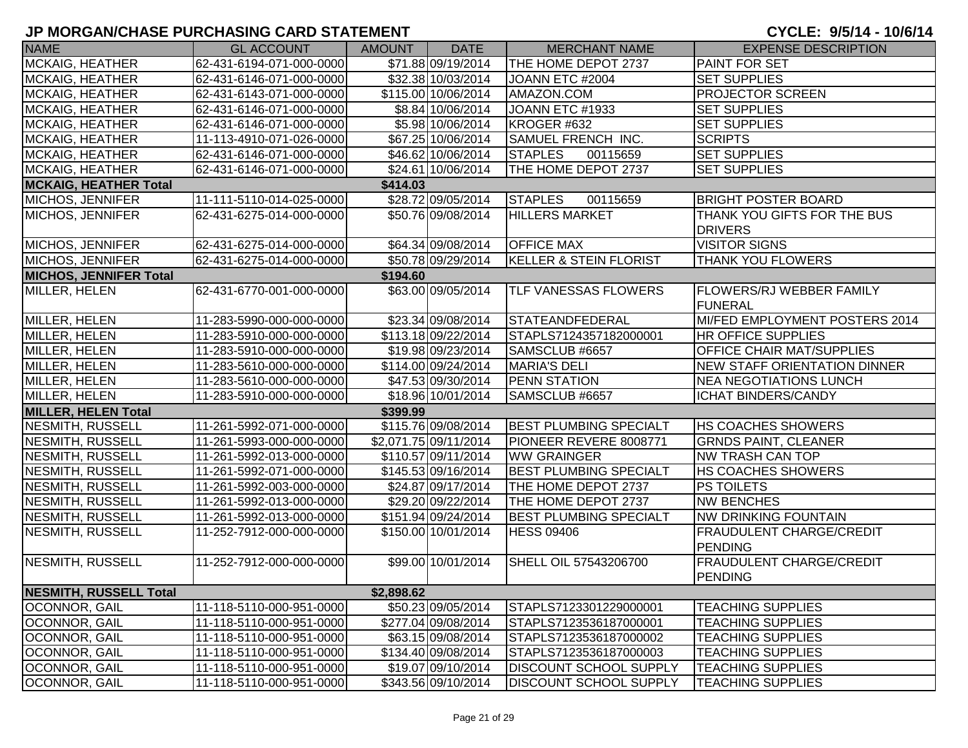| <b>NAME</b>                   | <b>GL ACCOUNT</b>        | AMOUNT     | <b>DATE</b>           | <b>MERCHANT NAME</b>          | <b>EXPENSE DESCRIPTION</b>                        |
|-------------------------------|--------------------------|------------|-----------------------|-------------------------------|---------------------------------------------------|
| <b>MCKAIG, HEATHER</b>        | 62-431-6194-071-000-0000 |            | \$71.88 09/19/2014    | THE HOME DEPOT 2737           | PAINT FOR SET                                     |
| <b>MCKAIG, HEATHER</b>        | 62-431-6146-071-000-0000 |            | \$32.38 10/03/2014    | JOANN ETC #2004               | <b>SET SUPPLIES</b>                               |
| <b>MCKAIG, HEATHER</b>        | 62-431-6143-071-000-0000 |            | \$115.00 10/06/2014   | AMAZON.COM                    | <b>PROJECTOR SCREEN</b>                           |
| MCKAIG, HEATHER               | 62-431-6146-071-000-0000 |            | \$8.84 10/06/2014     | JOANN ETC #1933               | <b>SET SUPPLIES</b>                               |
| <b>MCKAIG, HEATHER</b>        | 62-431-6146-071-000-0000 |            | \$5.98 10/06/2014     | KROGER #632                   | <b>SET SUPPLIES</b>                               |
| <b>MCKAIG, HEATHER</b>        | 11-113-4910-071-026-0000 |            | \$67.25 10/06/2014    | <b>SAMUEL FRENCH INC.</b>     | <b>SCRIPTS</b>                                    |
| <b>MCKAIG, HEATHER</b>        | 62-431-6146-071-000-0000 |            | \$46.62 10/06/2014    | <b>STAPLES</b><br>00115659    | <b>SET SUPPLIES</b>                               |
| <b>MCKAIG, HEATHER</b>        | 62-431-6146-071-000-0000 |            | \$24.61 10/06/2014    | THE HOME DEPOT 2737           | <b>SET SUPPLIES</b>                               |
| <b>MCKAIG, HEATHER Total</b>  |                          | \$414.03   |                       |                               |                                                   |
| MICHOS, JENNIFER              | 11-111-5110-014-025-0000 |            | \$28.72 09/05/2014    | <b>STAPLES</b><br>00115659    | <b>BRIGHT POSTER BOARD</b>                        |
| MICHOS, JENNIFER              | 62-431-6275-014-000-0000 |            | \$50.76 09/08/2014    | <b>HILLERS MARKET</b>         | THANK YOU GIFTS FOR THE BUS<br><b>DRIVERS</b>     |
| MICHOS, JENNIFER              | 62-431-6275-014-000-0000 |            | \$64.34 09/08/2014    | <b>OFFICE MAX</b>             | <b>VISITOR SIGNS</b>                              |
| <b>MICHOS, JENNIFER</b>       | 62-431-6275-014-000-0000 |            | \$50.78 09/29/2014    | KELLER & STEIN FLORIST        | THANK YOU FLOWERS                                 |
| <b>MICHOS, JENNIFER Total</b> |                          | \$194.60   |                       |                               |                                                   |
| MILLER, HELEN                 | 62-431-6770-001-000-0000 |            | \$63.00 09/05/2014    | <b>TLF VANESSAS FLOWERS</b>   | <b>FLOWERS/RJ WEBBER FAMILY</b><br><b>FUNERAL</b> |
| MILLER, HELEN                 | 11-283-5990-000-000-0000 |            | \$23.34 09/08/2014    | <b>STATEANDFEDERAL</b>        | MI/FED EMPLOYMENT POSTERS 2014                    |
| MILLER, HELEN                 | 11-283-5910-000-000-0000 |            | \$113.18 09/22/2014   | STAPLS7124357182000001        | <b>HR OFFICE SUPPLIES</b>                         |
| <b>MILLER, HELEN</b>          | 11-283-5910-000-000-0000 |            | \$19.98 09/23/2014    | SAMSCLUB #6657                | OFFICE CHAIR MAT/SUPPLIES                         |
| MILLER, HELEN                 | 11-283-5610-000-000-0000 |            | \$114.00 09/24/2014   | <b>MARIA'S DELI</b>           | <b>NEW STAFF ORIENTATION DINNER</b>               |
| MILLER, HELEN                 | 11-283-5610-000-000-0000 |            | \$47.53 09/30/2014    | <b>PENN STATION</b>           | <b>NEA NEGOTIATIONS LUNCH</b>                     |
| MILLER, HELEN                 | 11-283-5910-000-000-0000 |            | \$18.96 10/01/2014    | SAMSCLUB #6657                | <b>ICHAT BINDERS/CANDY</b>                        |
| <b>MILLER, HELEN Total</b>    |                          | \$399.99   |                       |                               |                                                   |
| NESMITH, RUSSELL              | 11-261-5992-071-000-0000 |            | \$115.76 09/08/2014   | <b>BEST PLUMBING SPECIALT</b> | <b>HS COACHES SHOWERS</b>                         |
| NESMITH, RUSSELL              | 11-261-5993-000-000-0000 |            | \$2,071.75 09/11/2014 | PIONEER REVERE 8008771        | <b>GRNDS PAINT, CLEANER</b>                       |
| NESMITH, RUSSELL              | 11-261-5992-013-000-0000 |            | \$110.57 09/11/2014   | <b>WW GRAINGER</b>            | <b>NW TRASH CAN TOP</b>                           |
| NESMITH, RUSSELL              | 11-261-5992-071-000-0000 |            | \$145.53 09/16/2014   | <b>BEST PLUMBING SPECIALT</b> | <b>HS COACHES SHOWERS</b>                         |
| <b>NESMITH, RUSSELL</b>       | 11-261-5992-003-000-0000 |            | \$24.87 09/17/2014    | THE HOME DEPOT 2737           | <b>PS TOILETS</b>                                 |
| <b>NESMITH, RUSSELL</b>       | 11-261-5992-013-000-0000 |            | \$29.20 09/22/2014    | THE HOME DEPOT 2737           | <b>NW BENCHES</b>                                 |
| <b>NESMITH, RUSSELL</b>       | 11-261-5992-013-000-0000 |            | \$151.94 09/24/2014   | <b>BEST PLUMBING SPECIALT</b> | <b>NW DRINKING FOUNTAIN</b>                       |
| <b>NESMITH, RUSSELL</b>       | 11-252-7912-000-000-0000 |            | \$150.00 10/01/2014   | <b>HESS 09406</b>             | <b>FRAUDULENT CHARGE/CREDIT</b><br>PENDING        |
| NESMITH, RUSSELL              | 11-252-7912-000-000-0000 |            | \$99.00 10/01/2014    | SHELL OIL 57543206700         | <b>FRAUDULENT CHARGE/CREDIT</b><br>PENDING        |
| <b>NESMITH, RUSSELL Total</b> |                          | \$2,898.62 |                       |                               |                                                   |
| OCONNOR, GAIL                 | 11-118-5110-000-951-0000 |            | \$50.23 09/05/2014    | STAPLS7123301229000001        | <b>TEACHING SUPPLIES</b>                          |
| OCONNOR, GAIL                 | 11-118-5110-000-951-0000 |            | \$277.04 09/08/2014   | STAPLS7123536187000001        | <b>TEACHING SUPPLIES</b>                          |
| <b>OCONNOR, GAIL</b>          | 11-118-5110-000-951-0000 |            | \$63.15 09/08/2014    | STAPLS7123536187000002        | <b>TEACHING SUPPLIES</b>                          |
| <b>OCONNOR, GAIL</b>          | 11-118-5110-000-951-0000 |            | \$134.40 09/08/2014   | STAPLS7123536187000003        | <b>TEACHING SUPPLIES</b>                          |
| OCONNOR, GAIL                 | 11-118-5110-000-951-0000 |            | \$19.07 09/10/2014    | <b>DISCOUNT SCHOOL SUPPLY</b> | <b>TEACHING SUPPLIES</b>                          |
| OCONNOR, GAIL                 | 11-118-5110-000-951-0000 |            | \$343.56 09/10/2014   | <b>DISCOUNT SCHOOL SUPPLY</b> | <b>TEACHING SUPPLIES</b>                          |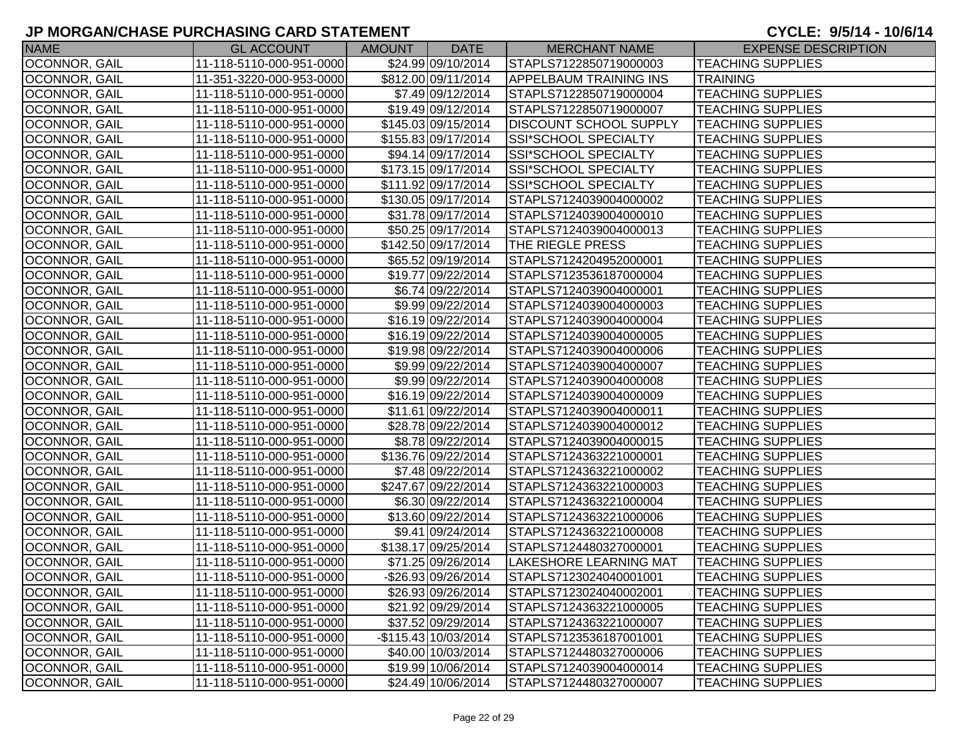| <b>NAME</b>          | <b>GL ACCOUNT</b>        | <b>AMOUNT</b> | <b>DATE</b>          | <b>MERCHANT NAME</b>          | <b>EXPENSE DESCRIPTION</b> |
|----------------------|--------------------------|---------------|----------------------|-------------------------------|----------------------------|
| OCONNOR, GAIL        | 11-118-5110-000-951-0000 |               | \$24.99 09/10/2014   | STAPLS7122850719000003        | <b>TEACHING SUPPLIES</b>   |
| OCONNOR, GAIL        | 11-351-3220-000-953-0000 |               | \$812.00 09/11/2014  | <b>APPELBAUM TRAINING INS</b> | <b>TRAINING</b>            |
| OCONNOR, GAIL        | 11-118-5110-000-951-0000 |               | \$7.49 09/12/2014    | STAPLS7122850719000004        | <b>TEACHING SUPPLIES</b>   |
| <b>OCONNOR, GAIL</b> | 11-118-5110-000-951-0000 |               | \$19.49 09/12/2014   | STAPLS7122850719000007        | <b>TEACHING SUPPLIES</b>   |
| <b>OCONNOR, GAIL</b> | 11-118-5110-000-951-0000 |               | \$145.03 09/15/2014  | <b>DISCOUNT SCHOOL SUPPLY</b> | <b>TEACHING SUPPLIES</b>   |
| OCONNOR, GAIL        | 11-118-5110-000-951-0000 |               | \$155.83 09/17/2014  | SSI*SCHOOL SPECIALTY          | <b>TEACHING SUPPLIES</b>   |
| OCONNOR, GAIL        | 11-118-5110-000-951-0000 |               | \$94.14 09/17/2014   | SSI*SCHOOL SPECIALTY          | <b>TEACHING SUPPLIES</b>   |
| <b>OCONNOR, GAIL</b> | 11-118-5110-000-951-0000 |               | \$173.15 09/17/2014  | <b>SSI*SCHOOL SPECIALTY</b>   | <b>TEACHING SUPPLIES</b>   |
| OCONNOR, GAIL        | 11-118-5110-000-951-0000 |               | \$111.92 09/17/2014  | <b>SSI*SCHOOL SPECIALTY</b>   | <b>TEACHING SUPPLIES</b>   |
| OCONNOR, GAIL        | 11-118-5110-000-951-0000 |               | \$130.05 09/17/2014  | STAPLS7124039004000002        | <b>TEACHING SUPPLIES</b>   |
| OCONNOR, GAIL        | 11-118-5110-000-951-0000 |               | \$31.78 09/17/2014   | STAPLS7124039004000010        | <b>TEACHING SUPPLIES</b>   |
| <b>OCONNOR, GAIL</b> | 11-118-5110-000-951-0000 |               | \$50.25 09/17/2014   | STAPLS7124039004000013        | <b>TEACHING SUPPLIES</b>   |
| <b>OCONNOR, GAIL</b> | 11-118-5110-000-951-0000 |               | \$142.50 09/17/2014  | <b>THE RIEGLE PRESS</b>       | <b>TEACHING SUPPLIES</b>   |
| OCONNOR, GAIL        | 11-118-5110-000-951-0000 |               | \$65.52 09/19/2014   | STAPLS7124204952000001        | <b>TEACHING SUPPLIES</b>   |
| <b>OCONNOR, GAIL</b> | 11-118-5110-000-951-0000 |               | \$19.77 09/22/2014   | STAPLS7123536187000004        | <b>TEACHING SUPPLIES</b>   |
| <b>OCONNOR, GAIL</b> | 11-118-5110-000-951-0000 |               | \$6.74 09/22/2014    | STAPLS7124039004000001        | <b>TEACHING SUPPLIES</b>   |
| <b>OCONNOR, GAIL</b> | 11-118-5110-000-951-0000 |               | \$9.99 09/22/2014    | STAPLS7124039004000003        | <b>TEACHING SUPPLIES</b>   |
| OCONNOR, GAIL        | 11-118-5110-000-951-0000 |               | \$16.19 09/22/2014   | STAPLS7124039004000004        | <b>TEACHING SUPPLIES</b>   |
| OCONNOR, GAIL        | 11-118-5110-000-951-0000 |               | \$16.19 09/22/2014   | STAPLS7124039004000005        | <b>TEACHING SUPPLIES</b>   |
| OCONNOR, GAIL        | 11-118-5110-000-951-0000 |               | \$19.98 09/22/2014   | STAPLS7124039004000006        | <b>TEACHING SUPPLIES</b>   |
| OCONNOR, GAIL        | 11-118-5110-000-951-0000 |               | \$9.99 09/22/2014    | STAPLS7124039004000007        | <b>TEACHING SUPPLIES</b>   |
| OCONNOR, GAIL        | 11-118-5110-000-951-0000 |               | \$9.99 09/22/2014    | STAPLS7124039004000008        | <b>TEACHING SUPPLIES</b>   |
| OCONNOR, GAIL        | 11-118-5110-000-951-0000 |               | \$16.19 09/22/2014   | STAPLS7124039004000009        | <b>TEACHING SUPPLIES</b>   |
| OCONNOR, GAIL        | 11-118-5110-000-951-0000 |               | \$11.61 09/22/2014   | STAPLS7124039004000011        | <b>TEACHING SUPPLIES</b>   |
| OCONNOR, GAIL        | 11-118-5110-000-951-0000 |               | \$28.78 09/22/2014   | STAPLS7124039004000012        | <b>TEACHING SUPPLIES</b>   |
| OCONNOR, GAIL        | 11-118-5110-000-951-0000 |               | \$8.78 09/22/2014    | STAPLS7124039004000015        | <b>TEACHING SUPPLIES</b>   |
| OCONNOR, GAIL        | 11-118-5110-000-951-0000 |               | \$136.76 09/22/2014  | STAPLS7124363221000001        | <b>TEACHING SUPPLIES</b>   |
| OCONNOR, GAIL        | 11-118-5110-000-951-0000 |               | \$7.48 09/22/2014    | STAPLS7124363221000002        | <b>TEACHING SUPPLIES</b>   |
| OCONNOR, GAIL        | 11-118-5110-000-951-0000 |               | \$247.67 09/22/2014  | STAPLS7124363221000003        | <b>TEACHING SUPPLIES</b>   |
| <b>OCONNOR, GAIL</b> | 11-118-5110-000-951-0000 |               | \$6.30 09/22/2014    | STAPLS7124363221000004        | <b>TEACHING SUPPLIES</b>   |
| <b>OCONNOR, GAIL</b> | 11-118-5110-000-951-0000 |               | \$13.60 09/22/2014   | STAPLS7124363221000006        | <b>TEACHING SUPPLIES</b>   |
| OCONNOR, GAIL        | 11-118-5110-000-951-0000 |               | \$9.41 09/24/2014    | STAPLS7124363221000008        | <b>TEACHING SUPPLIES</b>   |
| OCONNOR, GAIL        | 11-118-5110-000-951-0000 |               | \$138.17 09/25/2014  | STAPLS7124480327000001        | <b>TEACHING SUPPLIES</b>   |
| <b>OCONNOR, GAIL</b> | 11-118-5110-000-951-0000 |               | \$71.25 09/26/2014   | <b>LAKESHORE LEARNING MAT</b> | <b>TEACHING SUPPLIES</b>   |
| OCONNOR, GAIL        | 11-118-5110-000-951-0000 |               | -\$26.93 09/26/2014  | STAPLS7123024040001001        | <b>TEACHING SUPPLIES</b>   |
| OCONNOR, GAIL        | 11-118-5110-000-951-0000 |               | \$26.93 09/26/2014   | STAPLS7123024040002001        | <b>TEACHING SUPPLIES</b>   |
| <b>OCONNOR, GAIL</b> | 11-118-5110-000-951-0000 |               | \$21.92 09/29/2014   | STAPLS7124363221000005        | <b>TEACHING SUPPLIES</b>   |
| <b>OCONNOR, GAIL</b> | 11-118-5110-000-951-0000 |               | \$37.52 09/29/2014   | STAPLS7124363221000007        | <b>TEACHING SUPPLIES</b>   |
| <b>OCONNOR, GAIL</b> | 11-118-5110-000-951-0000 |               | -\$115.43 10/03/2014 | STAPLS7123536187001001        | <b>TEACHING SUPPLIES</b>   |
| OCONNOR, GAIL        | 11-118-5110-000-951-0000 |               | \$40.00 10/03/2014   | STAPLS7124480327000006        | <b>TEACHING SUPPLIES</b>   |
| <b>OCONNOR, GAIL</b> | 11-118-5110-000-951-0000 |               | \$19.99 10/06/2014   | STAPLS7124039004000014        | <b>TEACHING SUPPLIES</b>   |
| <b>OCONNOR, GAIL</b> | 11-118-5110-000-951-0000 |               | \$24.49 10/06/2014   | STAPLS7124480327000007        | <b>TEACHING SUPPLIES</b>   |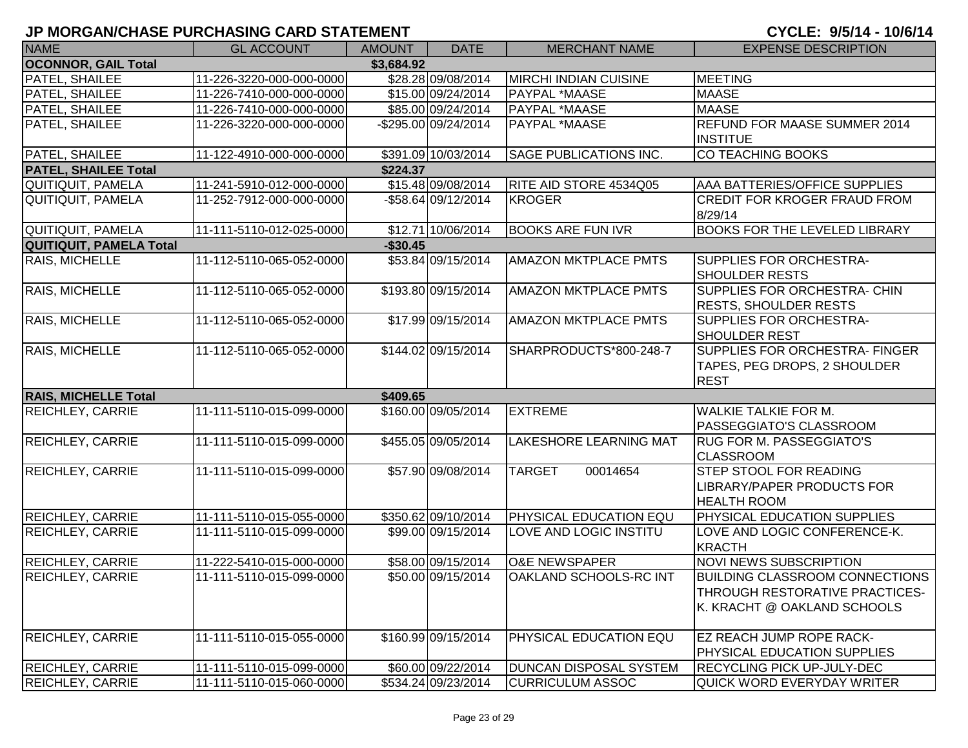| <b>NAME</b>                              | <b>GL ACCOUNT</b>        | <b>AMOUNT</b> | <b>DATE</b>          | <b>MERCHANT NAME</b>          | <b>EXPENSE DESCRIPTION</b>                                                                                            |  |  |  |
|------------------------------------------|--------------------------|---------------|----------------------|-------------------------------|-----------------------------------------------------------------------------------------------------------------------|--|--|--|
| <b>OCONNOR, GAIL Total</b><br>\$3,684.92 |                          |               |                      |                               |                                                                                                                       |  |  |  |
| PATEL, SHAILEE                           | 11-226-3220-000-000-0000 |               | \$28.28 09/08/2014   | <b>MIRCHI INDIAN CUISINE</b>  | <b>MEETING</b>                                                                                                        |  |  |  |
| PATEL, SHAILEE                           | 11-226-7410-000-000-0000 |               | \$15.00 09/24/2014   | <b>PAYPAL *MAASE</b>          | <b>MAASE</b>                                                                                                          |  |  |  |
| PATEL, SHAILEE                           | 11-226-7410-000-000-0000 |               | \$85.00 09/24/2014   | <b>PAYPAL *MAASE</b>          | <b>MAASE</b>                                                                                                          |  |  |  |
| PATEL, SHAILEE                           | 11-226-3220-000-000-0000 |               | -\$295.00 09/24/2014 | PAYPAL *MAASE                 | <b>REFUND FOR MAASE SUMMER 2014</b>                                                                                   |  |  |  |
|                                          |                          |               |                      |                               | <b>INSTITUE</b>                                                                                                       |  |  |  |
| PATEL, SHAILEE                           | 11-122-4910-000-000-0000 |               | \$391.09 10/03/2014  | SAGE PUBLICATIONS INC.        | CO TEACHING BOOKS                                                                                                     |  |  |  |
| <b>PATEL, SHAILEE Total</b>              |                          | \$224.37      |                      |                               |                                                                                                                       |  |  |  |
| QUITIQUIT, PAMELA                        | 11-241-5910-012-000-0000 |               | \$15.48 09/08/2014   | RITE AID STORE 4534Q05        | AAA BATTERIES/OFFICE SUPPLIES                                                                                         |  |  |  |
| QUITIQUIT, PAMELA                        | 11-252-7912-000-000-0000 |               | -\$58.64 09/12/2014  | <b>KROGER</b>                 | ICREDIT FOR KROGER FRAUD FROM<br>8/29/14                                                                              |  |  |  |
| <b>QUITIQUIT, PAMELA</b>                 | 11-111-5110-012-025-0000 |               | \$12.71 10/06/2014   | <b>BOOKS ARE FUN IVR</b>      | <b>BOOKS FOR THE LEVELED LIBRARY</b>                                                                                  |  |  |  |
| <b>QUITIQUIT, PAMELA Total</b>           |                          | $-$30.45$     |                      |                               |                                                                                                                       |  |  |  |
| RAIS, MICHELLE                           | 11-112-5110-065-052-0000 |               | \$53.84 09/15/2014   | <b>AMAZON MKTPLACE PMTS</b>   | <b>SUPPLIES FOR ORCHESTRA-</b><br><b>SHOULDER RESTS</b>                                                               |  |  |  |
| RAIS, MICHELLE                           | 11-112-5110-065-052-0000 |               | \$193.80 09/15/2014  | <b>AMAZON MKTPLACE PMTS</b>   | SUPPLIES FOR ORCHESTRA- CHIN<br><b>RESTS, SHOULDER RESTS</b>                                                          |  |  |  |
| RAIS, MICHELLE                           | 11-112-5110-065-052-0000 |               | \$17.99 09/15/2014   | <b>AMAZON MKTPLACE PMTS</b>   | SUPPLIES FOR ORCHESTRA-<br><b>SHOULDER REST</b>                                                                       |  |  |  |
| RAIS, MICHELLE                           | 11-112-5110-065-052-0000 |               | \$144.02 09/15/2014  | SHARPRODUCTS*800-248-7        | <b>SUPPLIES FOR ORCHESTRA- FINGER</b><br>TAPES, PEG DROPS, 2 SHOULDER<br><b>REST</b>                                  |  |  |  |
| <b>RAIS, MICHELLE Total</b>              |                          | \$409.65      |                      |                               |                                                                                                                       |  |  |  |
| <b>REICHLEY, CARRIE</b>                  | 11-111-5110-015-099-0000 |               | \$160.00 09/05/2014  | <b>EXTREME</b>                | <b>WALKIE TALKIE FOR M.</b><br>PASSEGGIATO'S CLASSROOM                                                                |  |  |  |
| <b>REICHLEY, CARRIE</b>                  | 11-111-5110-015-099-0000 |               | \$455.05 09/05/2014  | <b>LAKESHORE LEARNING MAT</b> | <b>RUG FOR M. PASSEGGIATO'S</b><br><b>CLASSROOM</b>                                                                   |  |  |  |
| <b>REICHLEY, CARRIE</b>                  | 11-111-5110-015-099-0000 |               | \$57.90 09/08/2014   | 00014654<br><b>TARGET</b>     | <b>STEP STOOL FOR READING</b><br>LIBRARY/PAPER PRODUCTS FOR<br><b>HEALTH ROOM</b>                                     |  |  |  |
| <b>REICHLEY, CARRIE</b>                  | 11-111-5110-015-055-0000 |               | \$350.62 09/10/2014  | <b>PHYSICAL EDUCATION EQU</b> | PHYSICAL EDUCATION SUPPLIES                                                                                           |  |  |  |
| REICHLEY, CARRIE                         | 11-111-5110-015-099-0000 |               | \$99.00 09/15/2014   | LOVE AND LOGIC INSTITU        | LOVE AND LOGIC CONFERENCE-K.<br><b>KRACTH</b>                                                                         |  |  |  |
| REICHLEY, CARRIE                         | 11-222-5410-015-000-0000 |               | \$58.00 09/15/2014   | <b>O&amp;E NEWSPAPER</b>      | <b>NOVI NEWS SUBSCRIPTION</b>                                                                                         |  |  |  |
| <b>REICHLEY, CARRIE</b>                  | 11-111-5110-015-099-0000 |               | \$50.00 09/15/2014   | OAKLAND SCHOOLS-RC INT        | <b>BUILDING CLASSROOM CONNECTIONS</b><br><b>THROUGH RESTORATIVE PRACTICES-</b><br><b>IK. KRACHT @ OAKLAND SCHOOLS</b> |  |  |  |
| <b>REICHLEY, CARRIE</b>                  | 11-111-5110-015-055-0000 |               | \$160.99 09/15/2014  | PHYSICAL EDUCATION EQU        | <b>EZ REACH JUMP ROPE RACK-</b><br><b>PHYSICAL EDUCATION SUPPLIES</b>                                                 |  |  |  |
| <b>REICHLEY, CARRIE</b>                  | 11-111-5110-015-099-0000 |               | \$60.00 09/22/2014   | <b>DUNCAN DISPOSAL SYSTEM</b> | <b>RECYCLING PICK UP-JULY-DEC</b>                                                                                     |  |  |  |
| <b>REICHLEY, CARRIE</b>                  | 11-111-5110-015-060-0000 |               | \$534.24 09/23/2014  | <b>CURRICULUM ASSOC</b>       | QUICK WORD EVERYDAY WRITER                                                                                            |  |  |  |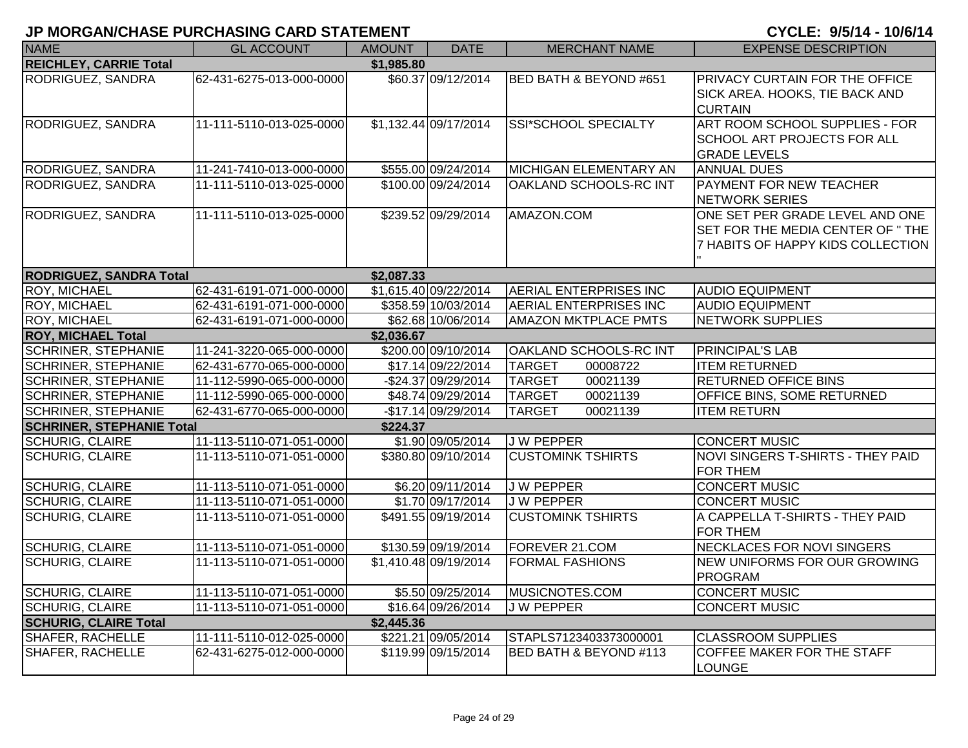| <b>NAME</b>                                | <b>GL ACCOUNT</b>        | <b>AMOUNT</b> | <b>DATE</b>           | <b>MERCHANT NAME</b>              | <b>EXPENSE DESCRIPTION</b>                                                                               |  |
|--------------------------------------------|--------------------------|---------------|-----------------------|-----------------------------------|----------------------------------------------------------------------------------------------------------|--|
| <b>REICHLEY, CARRIE Total</b>              |                          | \$1,985.80    |                       |                                   |                                                                                                          |  |
| RODRIGUEZ, SANDRA                          | 62-431-6275-013-000-0000 |               | \$60.37 09/12/2014    | BED BATH & BEYOND #651            | <b>PRIVACY CURTAIN FOR THE OFFICE</b><br>SICK AREA. HOOKS, TIE BACK AND<br><b>CURTAIN</b>                |  |
| RODRIGUEZ, SANDRA                          | 11-111-5110-013-025-0000 |               | \$1,132.44 09/17/2014 | SSI*SCHOOL SPECIALTY              | ART ROOM SCHOOL SUPPLIES - FOR<br><b>SCHOOL ART PROJECTS FOR ALL</b><br><b>GRADE LEVELS</b>              |  |
| RODRIGUEZ, SANDRA                          | 11-241-7410-013-000-0000 |               | \$555.00 09/24/2014   | <b>MICHIGAN ELEMENTARY AN</b>     | <b>ANNUAL DUES</b>                                                                                       |  |
| RODRIGUEZ, SANDRA                          | 11-111-5110-013-025-0000 |               | \$100.00 09/24/2014   | OAKLAND SCHOOLS-RC INT            | <b>PAYMENT FOR NEW TEACHER</b><br>NETWORK SERIES                                                         |  |
| RODRIGUEZ, SANDRA                          | 11-111-5110-013-025-0000 |               | \$239.52 09/29/2014   | AMAZON.COM                        | ONE SET PER GRADE LEVEL AND ONE<br>SET FOR THE MEDIA CENTER OF "THE<br>7 HABITS OF HAPPY KIDS COLLECTION |  |
| <b>RODRIGUEZ, SANDRA Total</b>             |                          | \$2,087.33    |                       |                                   |                                                                                                          |  |
| <b>ROY, MICHAEL</b>                        | 62-431-6191-071-000-0000 |               | \$1,615.40 09/22/2014 | <b>AERIAL ENTERPRISES INC</b>     | <b>AUDIO EQUIPMENT</b>                                                                                   |  |
| <b>ROY, MICHAEL</b>                        | 62-431-6191-071-000-0000 |               | \$358.59 10/03/2014   | <b>AERIAL ENTERPRISES INC</b>     | <b>AUDIO EQUIPMENT</b>                                                                                   |  |
| ROY, MICHAEL                               | 62-431-6191-071-000-0000 |               | \$62.68 10/06/2014    | <b>AMAZON MKTPLACE PMTS</b>       | <b>NETWORK SUPPLIES</b>                                                                                  |  |
| <b>ROY, MICHAEL Total</b>                  |                          | \$2,036.67    |                       |                                   |                                                                                                          |  |
| <b>SCHRINER, STEPHANIE</b>                 | 11-241-3220-065-000-0000 |               | \$200.00 09/10/2014   | OAKLAND SCHOOLS-RC INT            | <b>PRINCIPAL'S LAB</b>                                                                                   |  |
| <b>SCHRINER, STEPHANIE</b>                 | 62-431-6770-065-000-0000 |               | \$17.14 09/22/2014    | <b>TARGET</b><br>00008722         | <b>ITEM RETURNED</b>                                                                                     |  |
| <b>SCHRINER, STEPHANIE</b>                 | 11-112-5990-065-000-0000 |               | -\$24.37 09/29/2014   | <b>TARGET</b><br>00021139         | <b>RETURNED OFFICE BINS</b>                                                                              |  |
| <b>SCHRINER, STEPHANIE</b>                 | 11-112-5990-065-000-0000 |               | \$48.74 09/29/2014    | <b>TARGET</b><br>00021139         | OFFICE BINS, SOME RETURNED                                                                               |  |
| <b>SCHRINER, STEPHANIE</b>                 | 62-431-6770-065-000-0000 |               | -\$17.14 09/29/2014   | <b>TARGET</b><br>00021139         | <b>ITEM RETURN</b>                                                                                       |  |
| <b>SCHRINER, STEPHANIE Total</b>           |                          | \$224.37      |                       |                                   |                                                                                                          |  |
| <b>SCHURIG, CLAIRE</b>                     | 11-113-5110-071-051-0000 |               | \$1.90 09/05/2014     | <b>JW PEPPER</b>                  | <b>CONCERT MUSIC</b>                                                                                     |  |
| <b>SCHURIG, CLAIRE</b>                     | 11-113-5110-071-051-0000 |               | \$380.80 09/10/2014   | <b>CUSTOMINK TSHIRTS</b>          | NOVI SINGERS T-SHIRTS - THEY PAID<br><b>FOR THEM</b>                                                     |  |
| <b>SCHURIG, CLAIRE</b>                     | 11-113-5110-071-051-0000 |               | \$6.20 09/11/2014     | <b>JW PEPPER</b>                  | <b>CONCERT MUSIC</b>                                                                                     |  |
| <b>SCHURIG, CLAIRE</b>                     | 11-113-5110-071-051-0000 |               | \$1.70 09/17/2014     | <b>JW PEPPER</b>                  | <b>CONCERT MUSIC</b>                                                                                     |  |
| <b>SCHURIG, CLAIRE</b>                     | 11-113-5110-071-051-0000 |               | \$491.55 09/19/2014   | <b>CUSTOMINK TSHIRTS</b>          | A CAPPELLA T-SHIRTS - THEY PAID<br><b>FOR THEM</b>                                                       |  |
| <b>SCHURIG, CLAIRE</b>                     | 11-113-5110-071-051-0000 |               | \$130.59 09/19/2014   | FOREVER 21.COM                    | NECKLACES FOR NOVI SINGERS                                                                               |  |
| <b>SCHURIG, CLAIRE</b>                     | 11-113-5110-071-051-0000 |               | \$1,410.48 09/19/2014 | <b>FORMAL FASHIONS</b>            | <b>NEW UNIFORMS FOR OUR GROWING</b><br>PROGRAM                                                           |  |
| <b>SCHURIG, CLAIRE</b>                     | 11-113-5110-071-051-0000 |               | \$5.50 09/25/2014     | MUSICNOTES.COM                    | <b>CONCERT MUSIC</b>                                                                                     |  |
| <b>SCHURIG, CLAIRE</b>                     | 11-113-5110-071-051-0000 |               | \$16.64 09/26/2014    | <b>JW PEPPER</b>                  | <b>CONCERT MUSIC</b>                                                                                     |  |
| \$2,445.36<br><b>SCHURIG, CLAIRE Total</b> |                          |               |                       |                                   |                                                                                                          |  |
| <b>SHAFER, RACHELLE</b>                    | 11-111-5110-012-025-0000 |               | \$221.21 09/05/2014   | STAPLS7123403373000001            | <b>CLASSROOM SUPPLIES</b>                                                                                |  |
| <b>SHAFER, RACHELLE</b>                    | 62-431-6275-012-000-0000 |               | \$119.99 09/15/2014   | <b>BED BATH &amp; BEYOND #113</b> | COFFEE MAKER FOR THE STAFF<br>LOUNGE                                                                     |  |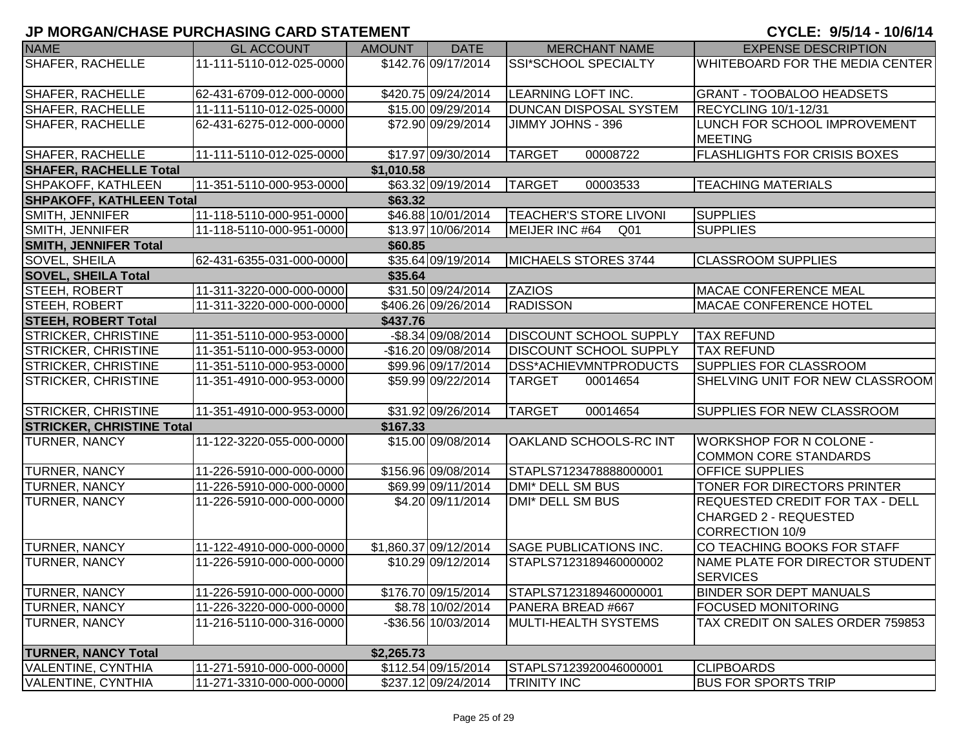| <b>NAME</b>                            | <b>GL ACCOUNT</b>        | <b>AMOUNT</b> | <b>DATE</b>           | <b>MERCHANT NAME</b>              | <b>EXPENSE DESCRIPTION</b>                                     |  |  |
|----------------------------------------|--------------------------|---------------|-----------------------|-----------------------------------|----------------------------------------------------------------|--|--|
| <b>SHAFER, RACHELLE</b>                | 11-111-5110-012-025-0000 |               | \$142.76 09/17/2014   | SSI*SCHOOL SPECIALTY              | WHITEBOARD FOR THE MEDIA CENTER                                |  |  |
|                                        |                          |               |                       |                                   |                                                                |  |  |
| <b>SHAFER, RACHELLE</b>                | 62-431-6709-012-000-0000 |               | \$420.75 09/24/2014   | <b>LEARNING LOFT INC.</b>         | <b>GRANT - TOOBALOO HEADSETS</b>                               |  |  |
| <b>SHAFER, RACHELLE</b>                | 11-111-5110-012-025-0000 |               | \$15.00 09/29/2014    | <b>DUNCAN DISPOSAL SYSTEM</b>     | <b>RECYCLING 10/1-12/31</b>                                    |  |  |
| <b>SHAFER, RACHELLE</b>                | 62-431-6275-012-000-0000 |               | \$72.90 09/29/2014    | JIMMY JOHNS - 396                 | <b>LUNCH FOR SCHOOL IMPROVEMENT</b>                            |  |  |
|                                        |                          |               |                       |                                   | <b>MEETING</b>                                                 |  |  |
| SHAFER, RACHELLE                       | 11-111-5110-012-025-0000 |               | \$17.97 09/30/2014    | <b>TARGET</b><br>00008722         | <b>FLASHLIGHTS FOR CRISIS BOXES</b>                            |  |  |
| <b>SHAFER, RACHELLE Total</b>          |                          | \$1,010.58    |                       |                                   |                                                                |  |  |
| SHPAKOFF, KATHLEEN                     | 11-351-5110-000-953-0000 |               | \$63.32 09/19/2014    | <b>TARGET</b><br>00003533         | <b>TEACHING MATERIALS</b>                                      |  |  |
| <b>SHPAKOFF, KATHLEEN Total</b>        |                          | \$63.32       |                       |                                   |                                                                |  |  |
| <b>SMITH, JENNIFER</b>                 | 11-118-5110-000-951-0000 |               | \$46.88 10/01/2014    | <b>TEACHER'S STORE LIVONI</b>     | <b>SUPPLIES</b>                                                |  |  |
| <b>SMITH, JENNIFER</b>                 | 11-118-5110-000-951-0000 |               | \$13.97 10/06/2014    | MEIJER INC #64<br>Q <sub>01</sub> | <b>SUPPLIES</b>                                                |  |  |
| <b>SMITH, JENNIFER Total</b>           |                          | \$60.85       |                       |                                   |                                                                |  |  |
| SOVEL, SHEILA                          | 62-431-6355-031-000-0000 |               | \$35.64 09/19/2014    | MICHAELS STORES 3744              | <b>CLASSROOM SUPPLIES</b>                                      |  |  |
| <b>SOVEL, SHEILA Total</b>             |                          | \$35.64       |                       |                                   |                                                                |  |  |
| STEEH, ROBERT                          | 11-311-3220-000-000-0000 |               | \$31.50 09/24/2014    | <b>ZAZIOS</b>                     | MACAE CONFERENCE MEAL                                          |  |  |
| STEEH, ROBERT                          | 11-311-3220-000-000-0000 |               | \$406.26 09/26/2014   | <b>RADISSON</b>                   | <b>MACAE CONFERENCE HOTEL</b>                                  |  |  |
| <b>STEEH, ROBERT Total</b><br>\$437.76 |                          |               |                       |                                   |                                                                |  |  |
| <b>STRICKER, CHRISTINE</b>             | 11-351-5110-000-953-0000 |               | -\$8.34 09/08/2014    | <b>DISCOUNT SCHOOL SUPPLY</b>     | <b>TAX REFUND</b>                                              |  |  |
| <b>STRICKER, CHRISTINE</b>             | 11-351-5110-000-953-0000 |               | -\$16.20 09/08/2014   | <b>DISCOUNT SCHOOL SUPPLY</b>     | <b>TAX REFUND</b>                                              |  |  |
| <b>STRICKER, CHRISTINE</b>             | 11-351-5110-000-953-0000 |               | \$99.96 09/17/2014    | DSS*ACHIEVMNTPRODUCTS             | <b>SUPPLIES FOR CLASSROOM</b>                                  |  |  |
| <b>STRICKER, CHRISTINE</b>             | 11-351-4910-000-953-0000 |               | \$59.99 09/22/2014    | <b>TARGET</b><br>00014654         | SHELVING UNIT FOR NEW CLASSROOM                                |  |  |
| <b>STRICKER, CHRISTINE</b>             | 11-351-4910-000-953-0000 |               | \$31.92 09/26/2014    | <b>TARGET</b><br>00014654         | SUPPLIES FOR NEW CLASSROOM                                     |  |  |
| <b>STRICKER, CHRISTINE Total</b>       |                          | \$167.33      |                       |                                   |                                                                |  |  |
| <b>TURNER, NANCY</b>                   | 11-122-3220-055-000-0000 |               | \$15.00 09/08/2014    | OAKLAND SCHOOLS-RC INT            | <b>WORKSHOP FOR N COLONE -</b><br><b>COMMON CORE STANDARDS</b> |  |  |
| <b>TURNER, NANCY</b>                   | 11-226-5910-000-000-0000 |               | \$156.96 09/08/2014   | STAPLS7123478888000001            | <b>OFFICE SUPPLIES</b>                                         |  |  |
| <b>TURNER, NANCY</b>                   | 11-226-5910-000-000-0000 |               | \$69.99 09/11/2014    | DMI* DELL SM BUS                  | TONER FOR DIRECTORS PRINTER                                    |  |  |
| <b>TURNER, NANCY</b>                   | 11-226-5910-000-000-0000 |               | \$4.20 09/11/2014     | <b>DMI* DELL SM BUS</b>           | <b>REQUESTED CREDIT FOR TAX - DELL</b>                         |  |  |
|                                        |                          |               |                       |                                   | CHARGED 2 - REQUESTED                                          |  |  |
|                                        |                          |               |                       |                                   | <b>CORRECTION 10/9</b>                                         |  |  |
| <b>TURNER, NANCY</b>                   | 11-122-4910-000-000-0000 |               | \$1,860.37 09/12/2014 | <b>SAGE PUBLICATIONS INC.</b>     | CO TEACHING BOOKS FOR STAFF                                    |  |  |
| <b>TURNER, NANCY</b>                   | 11-226-5910-000-000-0000 |               | \$10.29 09/12/2014    | STAPLS7123189460000002            | NAME PLATE FOR DIRECTOR STUDENT<br><b>SERVICES</b>             |  |  |
| <b>TURNER, NANCY</b>                   | 11-226-5910-000-000-0000 |               | \$176.70 09/15/2014   | STAPLS7123189460000001            | <b>BINDER SOR DEPT MANUALS</b>                                 |  |  |
| TURNER, NANCY                          | 11-226-3220-000-000-0000 |               | \$8.78 10/02/2014     | PANERA BREAD #667                 | <b>FOCUSED MONITORING</b>                                      |  |  |
| <b>TURNER, NANCY</b>                   | 11-216-5110-000-316-0000 |               | -\$36.56 10/03/2014   | <b>MULTI-HEALTH SYSTEMS</b>       | TAX CREDIT ON SALES ORDER 759853                               |  |  |
|                                        |                          |               |                       |                                   |                                                                |  |  |
| <b>TURNER, NANCY Total</b>             |                          | \$2,265.73    |                       |                                   |                                                                |  |  |
| <b>VALENTINE, CYNTHIA</b>              | 11-271-5910-000-000-0000 |               | $$112.54$ 09/15/2014  | STAPLS7123920046000001            | <b>CLIPBOARDS</b>                                              |  |  |
| <b>VALENTINE, CYNTHIA</b>              | 11-271-3310-000-000-0000 |               | \$237.12 09/24/2014   | <b>TRINITY INC</b>                | <b>BUS FOR SPORTS TRIP</b>                                     |  |  |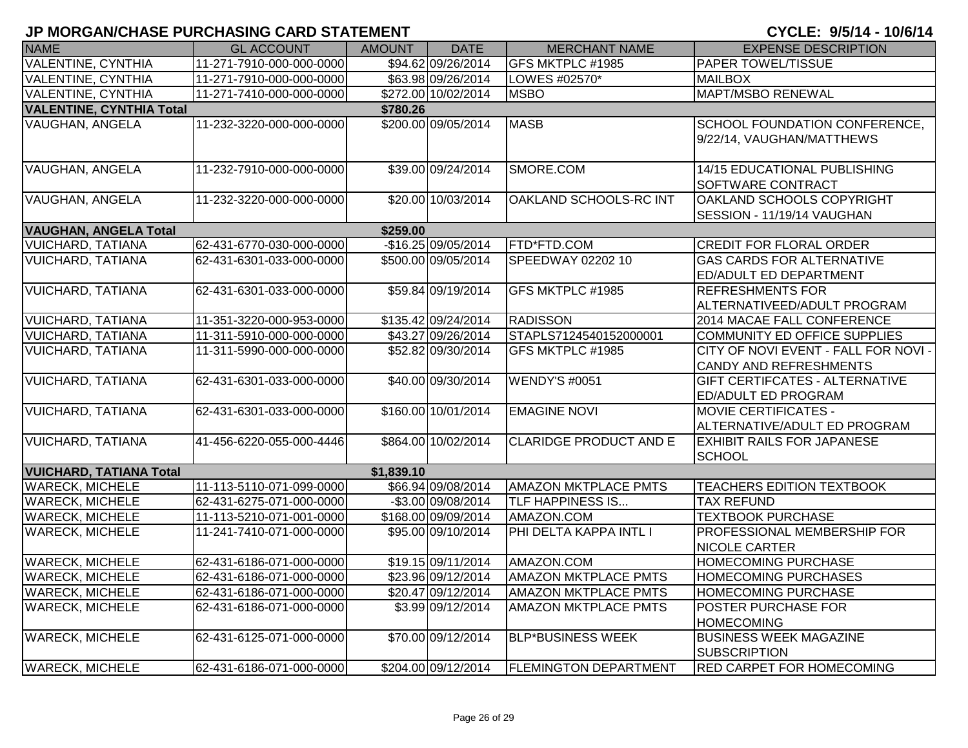| <b>NAME</b>                                 | <b>GL ACCOUNT</b>        | <b>AMOUNT</b> | <b>DATE</b>         | <b>MERCHANT NAME</b>          | <b>EXPENSE DESCRIPTION</b>                                            |  |  |
|---------------------------------------------|--------------------------|---------------|---------------------|-------------------------------|-----------------------------------------------------------------------|--|--|
| <b>VALENTINE, CYNTHIA</b>                   | 11-271-7910-000-000-0000 |               | \$94.62 09/26/2014  | GFS MKTPLC #1985              | <b>PAPER TOWEL/TISSUE</b>                                             |  |  |
| <b>VALENTINE, CYNTHIA</b>                   | 11-271-7910-000-000-0000 |               | \$63.98 09/26/2014  | LOWES #02570*                 | <b>MAILBOX</b>                                                        |  |  |
| <b>VALENTINE, CYNTHIA</b>                   | 11-271-7410-000-000-0000 |               | \$272.00 10/02/2014 | <b>MSBO</b>                   | <b>MAPT/MSBO RENEWAL</b>                                              |  |  |
| <b>VALENTINE, CYNTHIA Total</b><br>\$780.26 |                          |               |                     |                               |                                                                       |  |  |
| <b>VAUGHAN, ANGELA</b>                      | 11-232-3220-000-000-0000 |               | \$200.00 09/05/2014 | <b>MASB</b>                   | SCHOOL FOUNDATION CONFERENCE,<br>9/22/14, VAUGHAN/MATTHEWS            |  |  |
| VAUGHAN, ANGELA                             | 11-232-7910-000-000-0000 |               | \$39.00 09/24/2014  | SMORE.COM                     | 14/15 EDUCATIONAL PUBLISHING<br>SOFTWARE CONTRACT                     |  |  |
| VAUGHAN, ANGELA                             | 11-232-3220-000-000-0000 |               | \$20.00 10/03/2014  | OAKLAND SCHOOLS-RC INT        | OAKLAND SCHOOLS COPYRIGHT<br>SESSION - 11/19/14 VAUGHAN               |  |  |
| <b>VAUGHAN, ANGELA Total</b>                |                          | \$259.00      |                     |                               |                                                                       |  |  |
| <b>VUICHARD, TATIANA</b>                    | 62-431-6770-030-000-0000 |               | -\$16.25 09/05/2014 | FTD*FTD.COM                   | <b>CREDIT FOR FLORAL ORDER</b>                                        |  |  |
| <b>VUICHARD, TATIANA</b>                    | 62-431-6301-033-000-0000 |               | \$500.00 09/05/2014 | SPEEDWAY 02202 10             | <b>GAS CARDS FOR ALTERNATIVE</b><br><b>ED/ADULT ED DEPARTMENT</b>     |  |  |
| <b>VUICHARD, TATIANA</b>                    | 62-431-6301-033-000-0000 |               | \$59.84 09/19/2014  | GFS MKTPLC #1985              | <b>REFRESHMENTS FOR</b><br>ALTERNATIVEED/ADULT PROGRAM                |  |  |
| <b>VUICHARD, TATIANA</b>                    | 11-351-3220-000-953-0000 |               | \$135.42 09/24/2014 | <b>RADISSON</b>               | 2014 MACAE FALL CONFERENCE                                            |  |  |
| <b>VUICHARD, TATIANA</b>                    | 11-311-5910-000-000-0000 |               | \$43.27 09/26/2014  | STAPLS7124540152000001        | COMMUNITY ED OFFICE SUPPLIES                                          |  |  |
| <b>VUICHARD, TATIANA</b>                    | 11-311-5990-000-000-0000 |               | \$52.82 09/30/2014  | GFS MKTPLC #1985              | CITY OF NOVI EVENT - FALL FOR NOVI -<br><b>CANDY AND REFRESHMENTS</b> |  |  |
| <b>VUICHARD, TATIANA</b>                    | 62-431-6301-033-000-0000 |               | \$40.00 09/30/2014  | <b>WENDY'S #0051</b>          | <b>GIFT CERTIFCATES - ALTERNATIVE</b><br><b>ED/ADULT ED PROGRAM</b>   |  |  |
| <b>VUICHARD, TATIANA</b>                    | 62-431-6301-033-000-0000 |               | \$160.00 10/01/2014 | <b>EMAGINE NOVI</b>           | <b>MOVIE CERTIFICATES -</b><br>ALTERNATIVE/ADULT ED PROGRAM           |  |  |
| <b>VUICHARD, TATIANA</b>                    | 41-456-6220-055-000-4446 |               | \$864.00 10/02/2014 | <b>CLARIDGE PRODUCT AND E</b> | <b>EXHIBIT RAILS FOR JAPANESE</b><br><b>SCHOOL</b>                    |  |  |
| <b>VUICHARD, TATIANA Total</b>              |                          | \$1,839.10    |                     |                               |                                                                       |  |  |
| <b>WARECK, MICHELE</b>                      | 11-113-5110-071-099-0000 |               | \$66.94 09/08/2014  | <b>AMAZON MKTPLACE PMTS</b>   | <b>TEACHERS EDITION TEXTBOOK</b>                                      |  |  |
| <b>WARECK, MICHELE</b>                      | 62-431-6275-071-000-0000 |               | -\$3.00 09/08/2014  | <b>TLF HAPPINESS IS</b>       | <b>TAX REFUND</b>                                                     |  |  |
| <b>WARECK, MICHELE</b>                      | 11-113-5210-071-001-0000 |               | \$168.00 09/09/2014 | AMAZON.COM                    | <b>TEXTBOOK PURCHASE</b>                                              |  |  |
| <b>WARECK, MICHELE</b>                      | 11-241-7410-071-000-0000 |               | \$95.00 09/10/2014  | PHI DELTA KAPPA INTL I        | PROFESSIONAL MEMBERSHIP FOR<br><b>NICOLE CARTER</b>                   |  |  |
| <b>WARECK, MICHELE</b>                      | 62-431-6186-071-000-0000 |               | \$19.15 09/11/2014  | AMAZON.COM                    | <b>HOMECOMING PURCHASE</b>                                            |  |  |
| <b>WARECK, MICHELE</b>                      | 62-431-6186-071-000-0000 |               | \$23.96 09/12/2014  | <b>AMAZON MKTPLACE PMTS</b>   | <b>HOMECOMING PURCHASES</b>                                           |  |  |
| <b>WARECK, MICHELE</b>                      | 62-431-6186-071-000-0000 |               | \$20.47 09/12/2014  | <b>AMAZON MKTPLACE PMTS</b>   | <b>HOMECOMING PURCHASE</b>                                            |  |  |
| <b>WARECK, MICHELE</b>                      | 62-431-6186-071-000-0000 |               | \$3.99 09/12/2014   | <b>AMAZON MKTPLACE PMTS</b>   | POSTER PURCHASE FOR<br><b>HOMECOMING</b>                              |  |  |
| <b>WARECK, MICHELE</b>                      | 62-431-6125-071-000-0000 |               | \$70.00 09/12/2014  | <b>BLP*BUSINESS WEEK</b>      | <b>BUSINESS WEEK MAGAZINE</b><br><b>SUBSCRIPTION</b>                  |  |  |
| <b>WARECK, MICHELE</b>                      | 62-431-6186-071-000-0000 |               | \$204.00 09/12/2014 | <b>FLEMINGTON DEPARTMENT</b>  | <b>RED CARPET FOR HOMECOMING</b>                                      |  |  |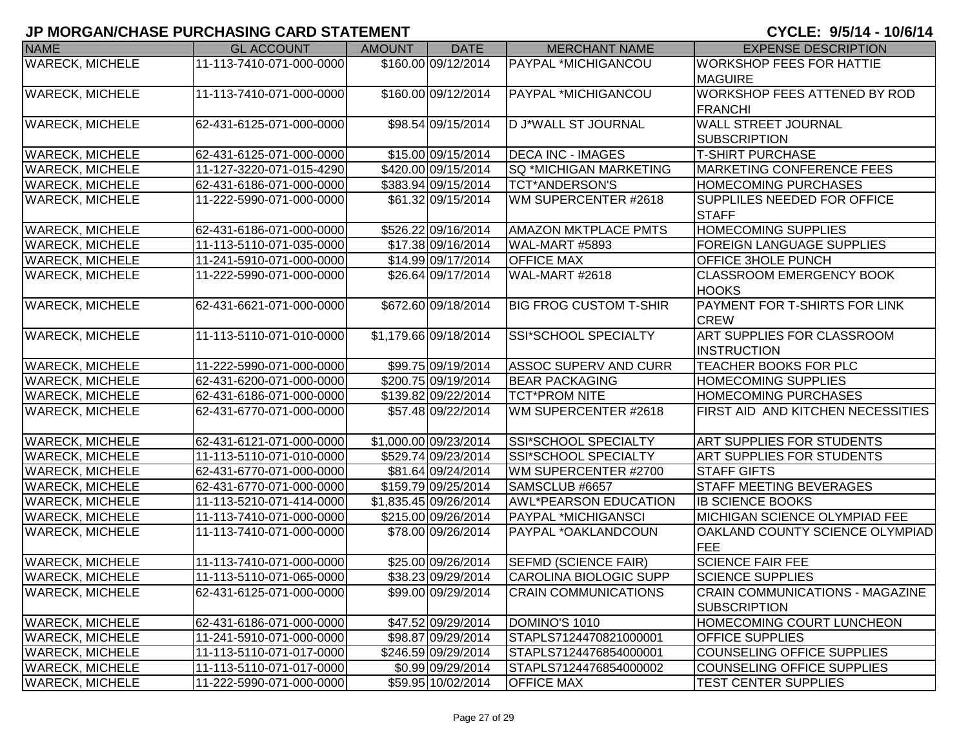| <b>NAME</b>            | <b>GL ACCOUNT</b>        | <b>AMOUNT</b> | <b>DATE</b>           | <b>MERCHANT NAME</b>          | <b>EXPENSE DESCRIPTION</b>             |
|------------------------|--------------------------|---------------|-----------------------|-------------------------------|----------------------------------------|
| <b>WARECK, MICHELE</b> | 11-113-7410-071-000-0000 |               | \$160.00 09/12/2014   | <b>PAYPAL *MICHIGANCOU</b>    | <b>WORKSHOP FEES FOR HATTIE</b>        |
|                        |                          |               |                       |                               | <b>MAGUIRE</b>                         |
| <b>WARECK, MICHELE</b> | 11-113-7410-071-000-0000 |               | \$160.00 09/12/2014   | PAYPAL *MICHIGANCOU           | <b>WORKSHOP FEES ATTENED BY ROD</b>    |
|                        |                          |               |                       |                               | <b>FRANCHI</b>                         |
| <b>WARECK, MICHELE</b> | 62-431-6125-071-000-0000 |               | \$98.54 09/15/2014    | D J*WALL ST JOURNAL           | <b>WALL STREET JOURNAL</b>             |
|                        |                          |               |                       |                               | <b>SUBSCRIPTION</b>                    |
| <b>WARECK, MICHELE</b> | 62-431-6125-071-000-0000 |               | \$15.00 09/15/2014    | <b>DECA INC - IMAGES</b>      | <b>T-SHIRT PURCHASE</b>                |
| <b>WARECK, MICHELE</b> | 11-127-3220-071-015-4290 |               | \$420.00 09/15/2014   | <b>SQ *MICHIGAN MARKETING</b> | <b>MARKETING CONFERENCE FEES</b>       |
| <b>WARECK, MICHELE</b> | 62-431-6186-071-000-0000 |               | \$383.94 09/15/2014   | <b>TCT*ANDERSON'S</b>         | <b>HOMECOMING PURCHASES</b>            |
| <b>WARECK, MICHELE</b> | 11-222-5990-071-000-0000 |               | \$61.32 09/15/2014    | WM SUPERCENTER #2618          | SUPPLILES NEEDED FOR OFFICE            |
|                        |                          |               |                       |                               | <b>STAFF</b>                           |
| <b>WARECK, MICHELE</b> | 62-431-6186-071-000-0000 |               | \$526.22 09/16/2014   | <b>AMAZON MKTPLACE PMTS</b>   | <b>HOMECOMING SUPPLIES</b>             |
| <b>WARECK, MICHELE</b> | 11-113-5110-071-035-0000 |               | \$17.38 09/16/2014    | WAL-MART #5893                | <b>FOREIGN LANGUAGE SUPPLIES</b>       |
| <b>WARECK, MICHELE</b> | 11-241-5910-071-000-0000 |               | \$14.99 09/17/2014    | <b>OFFICE MAX</b>             | <b>OFFICE 3HOLE PUNCH</b>              |
| <b>WARECK, MICHELE</b> | 11-222-5990-071-000-0000 |               | \$26.64 09/17/2014    | WAL-MART #2618                | <b>CLASSROOM EMERGENCY BOOK</b>        |
|                        |                          |               |                       |                               | <b>HOOKS</b>                           |
| <b>WARECK, MICHELE</b> | 62-431-6621-071-000-0000 |               | \$672.60 09/18/2014   | <b>BIG FROG CUSTOM T-SHIR</b> | PAYMENT FOR T-SHIRTS FOR LINK          |
|                        |                          |               |                       |                               | <b>CREW</b>                            |
| <b>WARECK, MICHELE</b> | 11-113-5110-071-010-0000 |               | \$1,179.66 09/18/2014 | SSI*SCHOOL SPECIALTY          | <b>ART SUPPLIES FOR CLASSROOM</b>      |
|                        |                          |               |                       |                               | <b>INSTRUCTION</b>                     |
| <b>WARECK, MICHELE</b> | 11-222-5990-071-000-0000 |               | \$99.75 09/19/2014    | <b>ASSOC SUPERV AND CURR</b>  | <b>TEACHER BOOKS FOR PLC</b>           |
| <b>WARECK, MICHELE</b> | 62-431-6200-071-000-0000 |               | \$200.75 09/19/2014   | <b>BEAR PACKAGING</b>         | <b>HOMECOMING SUPPLIES</b>             |
| <b>WARECK, MICHELE</b> | 62-431-6186-071-000-0000 |               | \$139.82 09/22/2014   | <b>TCT*PROM NITE</b>          | <b>HOMECOMING PURCHASES</b>            |
| <b>WARECK, MICHELE</b> | 62-431-6770-071-000-0000 |               | \$57.48 09/22/2014    | WM SUPERCENTER #2618          | FIRST AID AND KITCHEN NECESSITIES      |
|                        |                          |               |                       |                               |                                        |
| <b>WARECK, MICHELE</b> | 62-431-6121-071-000-0000 |               | \$1,000.00 09/23/2014 | SSI*SCHOOL SPECIALTY          | <b>ART SUPPLIES FOR STUDENTS</b>       |
| <b>WARECK, MICHELE</b> | 11-113-5110-071-010-0000 |               | \$529.74 09/23/2014   | SSI*SCHOOL SPECIALTY          | <b>ART SUPPLIES FOR STUDENTS</b>       |
| <b>WARECK, MICHELE</b> | 62-431-6770-071-000-0000 |               | \$81.64 09/24/2014    | WM SUPERCENTER #2700          | <b>STAFF GIFTS</b>                     |
| <b>WARECK, MICHELE</b> | 62-431-6770-071-000-0000 |               | \$159.79 09/25/2014   | SAMSCLUB #6657                | <b>STAFF MEETING BEVERAGES</b>         |
| <b>WARECK, MICHELE</b> | 11-113-5210-071-414-0000 |               | \$1,835.45 09/26/2014 | <b>AWL*PEARSON EDUCATION</b>  | <b>IB SCIENCE BOOKS</b>                |
| <b>WARECK, MICHELE</b> | 11-113-7410-071-000-0000 |               | \$215.00 09/26/2014   | PAYPAL *MICHIGANSCI           | MICHIGAN SCIENCE OLYMPIAD FEE          |
| <b>WARECK, MICHELE</b> | 11-113-7410-071-000-0000 |               | \$78.00 09/26/2014    | PAYPAL *OAKLANDCOUN           | OAKLAND COUNTY SCIENCE OLYMPIAD        |
|                        |                          |               |                       |                               | <b>FEE</b>                             |
| <b>WARECK, MICHELE</b> | 11-113-7410-071-000-0000 |               | \$25.00 09/26/2014    | <b>SEFMD (SCIENCE FAIR)</b>   | <b>SCIENCE FAIR FEE</b>                |
| <b>WARECK, MICHELE</b> | 11-113-5110-071-065-0000 |               | \$38.23 09/29/2014    | <b>CAROLINA BIOLOGIC SUPP</b> | <b>SCIENCE SUPPLIES</b>                |
| <b>WARECK, MICHELE</b> | 62-431-6125-071-000-0000 |               | \$99.00 09/29/2014    | <b>CRAIN COMMUNICATIONS</b>   | <b>CRAIN COMMUNICATIONS - MAGAZINE</b> |
|                        |                          |               |                       |                               | SUBSCRIPTION                           |
| <b>WARECK, MICHELE</b> | 62-431-6186-071-000-0000 |               | \$47.52 09/29/2014    | DOMINO'S 1010                 | <b>HOMECOMING COURT LUNCHEON</b>       |
| <b>WARECK, MICHELE</b> | 11-241-5910-071-000-0000 |               | \$98.87 09/29/2014    | STAPLS7124470821000001        | <b>OFFICE SUPPLIES</b>                 |
| <b>WARECK, MICHELE</b> | 11-113-5110-071-017-0000 |               | \$246.59 09/29/2014   | STAPLS7124476854000001        | COUNSELING OFFICE SUPPLIES             |
| <b>WARECK, MICHELE</b> | 11-113-5110-071-017-0000 |               | \$0.99 09/29/2014     | STAPLS7124476854000002        | COUNSELING OFFICE SUPPLIES             |
| <b>WARECK, MICHELE</b> | 11-222-5990-071-000-0000 |               | \$59.95 10/02/2014    | <b>OFFICE MAX</b>             | <b>TEST CENTER SUPPLIES</b>            |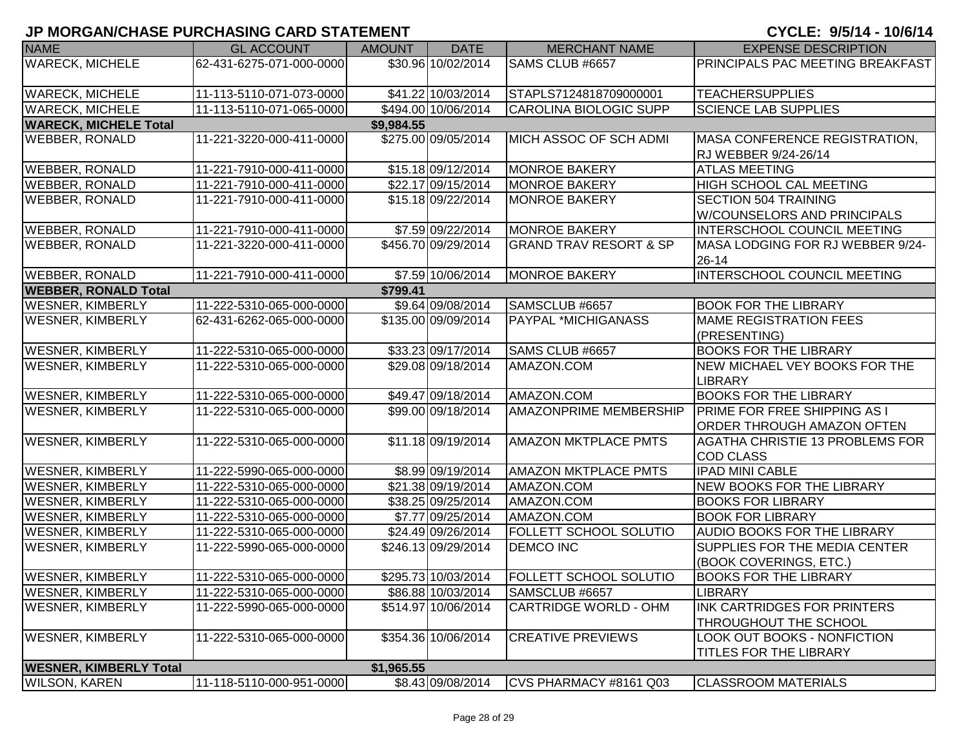| <b>NAME</b>                   | <b>GL ACCOUNT</b>        | <b>AMOUNT</b> | <b>DATE</b>         | <b>MERCHANT NAME</b>              | <b>EXPENSE DESCRIPTION</b>             |
|-------------------------------|--------------------------|---------------|---------------------|-----------------------------------|----------------------------------------|
| <b>WARECK, MICHELE</b>        | 62-431-6275-071-000-0000 |               | \$30.96 10/02/2014  | SAMS CLUB #6657                   | PRINCIPALS PAC MEETING BREAKFAST       |
|                               |                          |               |                     |                                   |                                        |
| <b>WARECK, MICHELE</b>        | 11-113-5110-071-073-0000 |               | \$41.22 10/03/2014  | STAPLS7124818709000001            | <b>TEACHERSUPPLIES</b>                 |
| <b>WARECK, MICHELE</b>        | 11-113-5110-071-065-0000 |               | \$494.00 10/06/2014 | CAROLINA BIOLOGIC SUPP            | <b>SCIENCE LAB SUPPLIES</b>            |
| <b>WARECK, MICHELE Total</b>  |                          | \$9,984.55    |                     |                                   |                                        |
| <b>WEBBER, RONALD</b>         | 11-221-3220-000-411-0000 |               | \$275.00 09/05/2014 | MICH ASSOC OF SCH ADMI            | MASA CONFERENCE REGISTRATION,          |
|                               |                          |               |                     |                                   | RJ WEBBER 9/24-26/14                   |
| <b>WEBBER, RONALD</b>         | 11-221-7910-000-411-0000 |               | \$15.18 09/12/2014  | <b>MONROE BAKERY</b>              | <b>ATLAS MEETING</b>                   |
| <b>WEBBER, RONALD</b>         | 11-221-7910-000-411-0000 |               | \$22.17 09/15/2014  | <b>MONROE BAKERY</b>              | HIGH SCHOOL CAL MEETING                |
| <b>WEBBER, RONALD</b>         | 11-221-7910-000-411-0000 |               | \$15.18 09/22/2014  | <b>MONROE BAKERY</b>              | <b>SECTION 504 TRAINING</b>            |
|                               |                          |               |                     |                                   | W/COUNSELORS AND PRINCIPALS            |
| <b>WEBBER, RONALD</b>         | 11-221-7910-000-411-0000 |               | \$7.59 09/22/2014   | <b>MONROE BAKERY</b>              | INTERSCHOOL COUNCIL MEETING            |
| <b>WEBBER, RONALD</b>         | 11-221-3220-000-411-0000 |               | \$456.70 09/29/2014 | <b>GRAND TRAV RESORT &amp; SP</b> | MASA LODGING FOR RJ WEBBER 9/24-       |
|                               |                          |               |                     |                                   | 26-14                                  |
| <b>WEBBER, RONALD</b>         | 11-221-7910-000-411-0000 |               | \$7.59 10/06/2014   | <b>MONROE BAKERY</b>              | INTERSCHOOL COUNCIL MEETING            |
| <b>WEBBER, RONALD Total</b>   |                          | \$799.41      |                     |                                   |                                        |
| <b>WESNER, KIMBERLY</b>       | 11-222-5310-065-000-0000 |               | \$9.64 09/08/2014   | SAMSCLUB #6657                    | <b>BOOK FOR THE LIBRARY</b>            |
| <b>WESNER, KIMBERLY</b>       | 62-431-6262-065-000-0000 |               | \$135.00 09/09/2014 | <b>PAYPAL *MICHIGANASS</b>        | <b>MAME REGISTRATION FEES</b>          |
|                               |                          |               |                     |                                   | (PRESENTING)                           |
| <b>WESNER, KIMBERLY</b>       | 11-222-5310-065-000-0000 |               | \$33.23 09/17/2014  | SAMS CLUB #6657                   | <b>BOOKS FOR THE LIBRARY</b>           |
| <b>WESNER, KIMBERLY</b>       | 11-222-5310-065-000-0000 |               | \$29.08 09/18/2014  | AMAZON.COM                        | <b>NEW MICHAEL VEY BOOKS FOR THE</b>   |
|                               |                          |               |                     |                                   | <b>LIBRARY</b>                         |
| <b>WESNER, KIMBERLY</b>       | 11-222-5310-065-000-0000 |               | \$49.47 09/18/2014  | AMAZON.COM                        | <b>BOOKS FOR THE LIBRARY</b>           |
| <b>WESNER, KIMBERLY</b>       | 11-222-5310-065-000-0000 |               | \$99.00 09/18/2014  | <b>AMAZONPRIME MEMBERSHIP</b>     | PRIME FOR FREE SHIPPING AS I           |
|                               |                          |               |                     |                                   | ORDER THROUGH AMAZON OFTEN             |
| <b>WESNER, KIMBERLY</b>       | 11-222-5310-065-000-0000 |               | \$11.18 09/19/2014  | <b>AMAZON MKTPLACE PMTS</b>       | <b>AGATHA CHRISTIE 13 PROBLEMS FOR</b> |
|                               |                          |               |                     |                                   | <b>COD CLASS</b>                       |
| <b>WESNER, KIMBERLY</b>       | 11-222-5990-065-000-0000 |               | \$8.99 09/19/2014   | <b>AMAZON MKTPLACE PMTS</b>       | <b>IPAD MINI CABLE</b>                 |
| <b>WESNER, KIMBERLY</b>       | 11-222-5310-065-000-0000 |               | \$21.38 09/19/2014  | AMAZON.COM                        | <b>NEW BOOKS FOR THE LIBRARY</b>       |
| <b>WESNER, KIMBERLY</b>       | 11-222-5310-065-000-0000 |               | \$38.25 09/25/2014  | AMAZON.COM                        | <b>BOOKS FOR LIBRARY</b>               |
| <b>WESNER, KIMBERLY</b>       | 11-222-5310-065-000-0000 |               | \$7.77 09/25/2014   | AMAZON.COM                        | <b>BOOK FOR LIBRARY</b>                |
| <b>WESNER, KIMBERLY</b>       | 11-222-5310-065-000-0000 |               | \$24.49 09/26/2014  | <b>FOLLETT SCHOOL SOLUTIO</b>     | <b>AUDIO BOOKS FOR THE LIBRARY</b>     |
| <b>WESNER, KIMBERLY</b>       | 11-222-5990-065-000-0000 |               | \$246.13 09/29/2014 | <b>DEMCO INC</b>                  | SUPPLIES FOR THE MEDIA CENTER          |
|                               |                          |               |                     |                                   | (BOOK COVERINGS, ETC.)                 |
| <b>WESNER, KIMBERLY</b>       | 11-222-5310-065-000-0000 |               | \$295.73 10/03/2014 | <b>FOLLETT SCHOOL SOLUTIO</b>     | <b>BOOKS FOR THE LIBRARY</b>           |
| <b>WESNER, KIMBERLY</b>       | 11-222-5310-065-000-0000 |               | \$86.88 10/03/2014  | SAMSCLUB #6657                    | <b>LIBRARY</b>                         |
| <b>WESNER, KIMBERLY</b>       | 11-222-5990-065-000-0000 |               | \$514.97 10/06/2014 | <b>CARTRIDGE WORLD - OHM</b>      | INK CARTRIDGES FOR PRINTERS            |
|                               |                          |               |                     |                                   | THROUGHOUT THE SCHOOL                  |
| <b>WESNER, KIMBERLY</b>       | 11-222-5310-065-000-0000 |               | \$354.36 10/06/2014 | <b>CREATIVE PREVIEWS</b>          | LOOK OUT BOOKS - NONFICTION            |
|                               |                          |               |                     |                                   | <b>TITLES FOR THE LIBRARY</b>          |
| <b>WESNER, KIMBERLY Total</b> |                          | \$1,965.55    |                     |                                   |                                        |
| <b>WILSON, KAREN</b>          | 11-118-5110-000-951-0000 |               | \$8.43 09/08/2014   | CVS PHARMACY #8161 Q03            | <b>CLASSROOM MATERIALS</b>             |